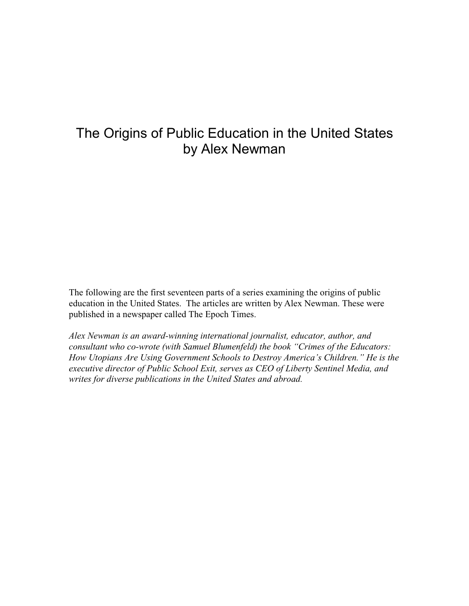## The Origins of Public Education in the United States by Alex Newman

The following are the first seventeen parts of a series examining the origins of public education in the United States. The articles are written by Alex Newman. These were published in a newspaper called The Epoch Times.

*Alex Newman is an award-winning international journalist, educator, author, and consultant who co-wrote (with Samuel Blumenfeld) the book "Crimes of the Educators: How Utopians Are Using Government Schools to Destroy America's Children." He is the executive director of Public School Exit, serves as CEO of Liberty Sentinel Media, and writes for diverse publications in the United States and abroad.*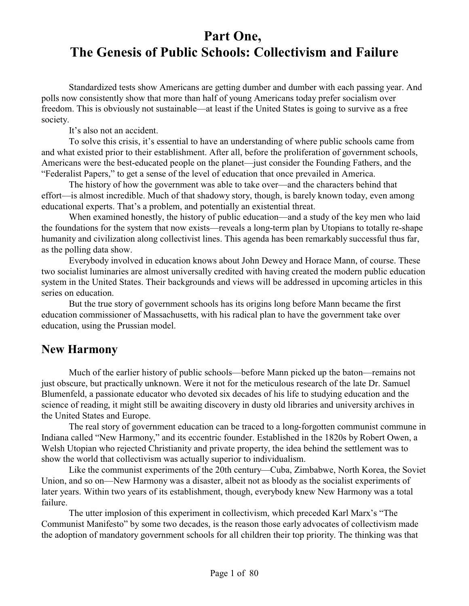## **Part One, The Genesis of Public Schools: Collectivism and Failure**

Standardized tests show Americans are getting dumber and dumber with each passing year. And polls now consistently show that more than half of young Americans today prefer socialism over freedom. This is obviously not sustainable—at least if the United States is going to survive as a free society.

It's also not an accident.

To solve this crisis, it's essential to have an understanding of where public schools came from and what existed prior to their establishment. After all, before the proliferation of government schools, Americans were the best-educated people on the planet—just consider the Founding Fathers, and the "Federalist Papers," to get a sense of the level of education that once prevailed in America.

The history of how the government was able to take over—and the characters behind that effort—is almost incredible. Much of that shadowy story, though, is barely known today, even among educational experts. That's a problem, and potentially an existential threat.

When examined honestly, the history of public education—and a study of the key men who laid the foundations for the system that now exists—reveals a long-term plan by Utopians to totally re-shape humanity and civilization along collectivist lines. This agenda has been remarkably successful thus far, as the polling data show.

Everybody involved in education knows about John Dewey and Horace Mann, of course. These two socialist luminaries are almost universally credited with having created the modern public education system in the United States. Their backgrounds and views will be addressed in upcoming articles in this series on education.

But the true story of government schools has its origins long before Mann became the first education commissioner of Massachusetts, with his radical plan to have the government take over education, using the Prussian model.

#### **New Harmony**

Much of the earlier history of public schools—before Mann picked up the baton—remains not just obscure, but practically unknown. Were it not for the meticulous research of the late Dr. Samuel Blumenfeld, a passionate educator who devoted six decades of his life to studying education and the science of reading, it might still be awaiting discovery in dusty old libraries and university archives in the United States and Europe.

The real story of government education can be traced to a long-forgotten communist commune in Indiana called "New Harmony," and its eccentric founder. Established in the 1820s by Robert Owen, a Welsh Utopian who rejected Christianity and private property, the idea behind the settlement was to show the world that collectivism was actually superior to individualism.

Like the communist experiments of the 20th century—Cuba, Zimbabwe, North Korea, the Soviet Union, and so on—New Harmony was a disaster, albeit not as bloody as the socialist experiments of later years. Within two years of its establishment, though, everybody knew New Harmony was a total failure.

The utter implosion of this experiment in collectivism, which preceded Karl Marx's "The Communist Manifesto" by some two decades, is the reason those early advocates of collectivism made the adoption of mandatory government schools for all children their top priority. The thinking was that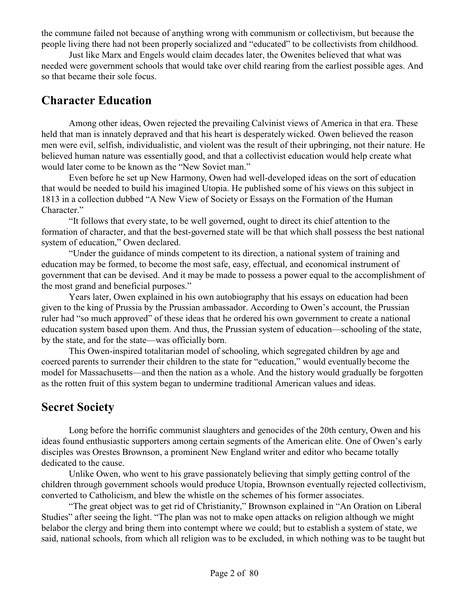the commune failed not because of anything wrong with communism or collectivism, but because the people living there had not been properly socialized and "educated" to be collectivists from childhood.

Just like Marx and Engels would claim decades later, the Owenites believed that what was needed were government schools that would take over child rearing from the earliest possible ages. And so that became their sole focus.

#### **Character Education**

Among other ideas, Owen rejected the prevailing Calvinist views of America in that era. These held that man is innately depraved and that his heart is desperately wicked. Owen believed the reason men were evil, selfish, individualistic, and violent was the result of their upbringing, not their nature. He believed human nature was essentially good, and that a collectivist education would help create what would later come to be known as the "New Soviet man."

Even before he set up New Harmony, Owen had well-developed ideas on the sort of education that would be needed to build his imagined Utopia. He published some of his views on this subject in 1813 in a collection dubbed "A New View of Society or Essays on the Formation of the Human Character."

"It follows that every state, to be well governed, ought to direct its chief attention to the formation of character, and that the best-governed state will be that which shall possess the best national system of education," Owen declared.

"Under the guidance of minds competent to its direction, a national system of training and education may be formed, to become the most safe, easy, effectual, and economical instrument of government that can be devised. And it may be made to possess a power equal to the accomplishment of the most grand and beneficial purposes."

Years later, Owen explained in his own autobiography that his essays on education had been given to the king of Prussia by the Prussian ambassador. According to Owen's account, the Prussian ruler had "so much approved" of these ideas that he ordered his own government to create a national education system based upon them. And thus, the Prussian system of education—schooling of the state, by the state, and for the state—was officially born.

This Owen-inspired totalitarian model of schooling, which segregated children by age and coerced parents to surrender their children to the state for "education," would eventually become the model for Massachusetts—and then the nation as a whole. And the history would gradually be forgotten as the rotten fruit of this system began to undermine traditional American values and ideas.

#### **Secret Society**

Long before the horrific communist slaughters and genocides of the 20th century, Owen and his ideas found enthusiastic supporters among certain segments of the American elite. One of Owen's early disciples was Orestes Brownson, a prominent New England writer and editor who became totally dedicated to the cause.

Unlike Owen, who went to his grave passionately believing that simply getting control of the children through government schools would produce Utopia, Brownson eventually rejected collectivism, converted to Catholicism, and blew the whistle on the schemes of his former associates.

"The great object was to get rid of Christianity," Brownson explained in "An Oration on Liberal Studies" after seeing the light. "The plan was not to make open attacks on religion although we might belabor the clergy and bring them into contempt where we could; but to establish a system of state, we said, national schools, from which all religion was to be excluded, in which nothing was to be taught but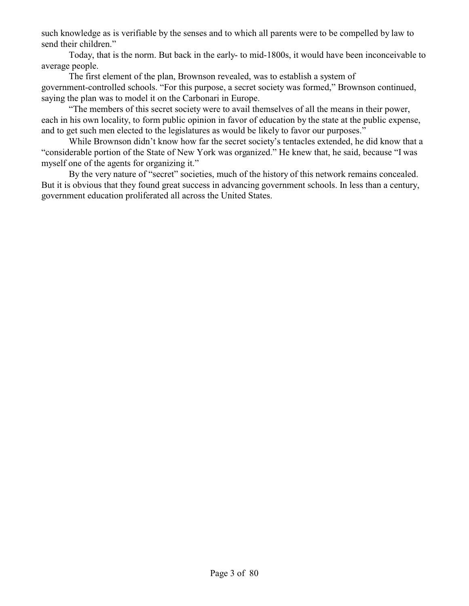such knowledge as is verifiable by the senses and to which all parents were to be compelled by law to send their children."

Today, that is the norm. But back in the early- to mid-1800s, it would have been inconceivable to average people.

The first element of the plan, Brownson revealed, was to establish a system of government-controlled schools. "For this purpose, a secret society was formed," Brownson continued, saying the plan was to model it on the Carbonari in Europe.

"The members of this secret society were to avail themselves of all the means in their power, each in his own locality, to form public opinion in favor of education by the state at the public expense, and to get such men elected to the legislatures as would be likely to favor our purposes."

While Brownson didn't know how far the secret society's tentacles extended, he did know that a "considerable portion of the State of New York was organized." He knew that, he said, because "I was myself one of the agents for organizing it."

By the very nature of "secret" societies, much of the history of this network remains concealed. But it is obvious that they found great success in advancing government schools. In less than a century, government education proliferated all across the United States.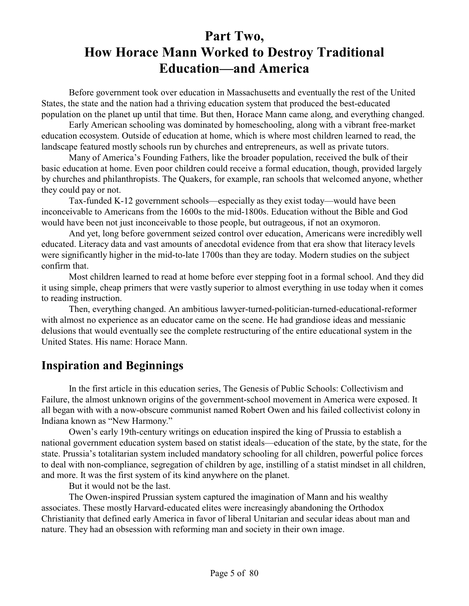# **Part Two, How Horace Mann Worked to Destroy Traditional Education—and America**

Before government took over education in Massachusetts and eventually the rest of the United States, the state and the nation had a thriving education system that produced the best-educated population on the planet up until that time. But then, Horace Mann came along, and everything changed.

Early American schooling was dominated by homeschooling, along with a vibrant free-market education ecosystem. Outside of education at home, which is where most children learned to read, the landscape featured mostly schools run by churches and entrepreneurs, as well as private tutors.

Many of America's Founding Fathers, like the broader population, received the bulk of their basic education at home. Even poor children could receive a formal education, though, provided largely by churches and philanthropists. The Quakers, for example, ran schools that welcomed anyone, whether they could pay or not.

Tax-funded K-12 government schools—especially as they exist today—would have been inconceivable to Americans from the 1600s to the mid-1800s. Education without the Bible and God would have been not just inconceivable to those people, but outrageous, if not an oxymoron.

And yet, long before government seized control over education, Americans were incredibly well educated. Literacy data and vast amounts of anecdotal evidence from that era show that literacy levels were significantly higher in the mid-to-late 1700s than they are today. Modern studies on the subject confirm that.

Most children learned to read at home before ever stepping foot in a formal school. And they did it using simple, cheap primers that were vastly superior to almost everything in use today when it comes to reading instruction.

Then, everything changed. An ambitious lawyer-turned-politician-turned-educational-reformer with almost no experience as an educator came on the scene. He had grandiose ideas and messianic delusions that would eventually see the complete restructuring of the entire educational system in the United States. His name: Horace Mann.

## **Inspiration and Beginnings**

In the first article in this education series, The Genesis of Public Schools: Collectivism and Failure, the almost unknown origins of the government-school movement in America were exposed. It all began with with a now-obscure communist named Robert Owen and his failed collectivist colony in Indiana known as "New Harmony."

Owen's early 19th-century writings on education inspired the king of Prussia to establish a national government education system based on statist ideals—education of the state, by the state, for the state. Prussia's totalitarian system included mandatory schooling for all children, powerful police forces to deal with non-compliance, segregation of children by age, instilling of a statist mindset in all children, and more. It was the first system of its kind anywhere on the planet.

But it would not be the last.

The Owen-inspired Prussian system captured the imagination of Mann and his wealthy associates. These mostly Harvard-educated elites were increasingly abandoning the Orthodox Christianity that defined early America in favor of liberal Unitarian and secular ideas about man and nature. They had an obsession with reforming man and society in their own image.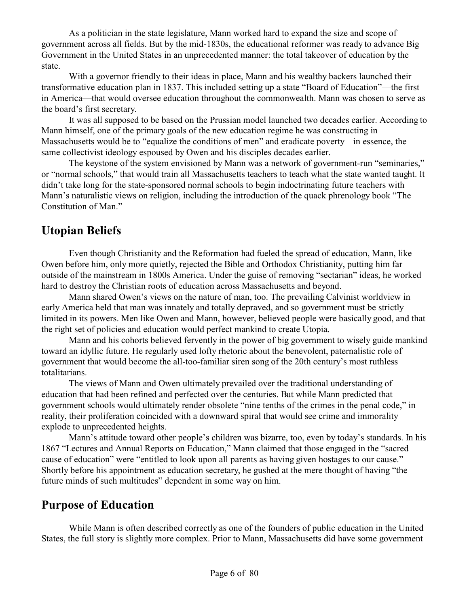As a politician in the state legislature, Mann worked hard to expand the size and scope of government across all fields. But by the mid-1830s, the educational reformer was ready to advance Big Government in the United States in an unprecedented manner: the total takeover of education by the state.

With a governor friendly to their ideas in place, Mann and his wealthy backers launched their transformative education plan in 1837. This included setting up a state "Board of Education"—the first in America—that would oversee education throughout the commonwealth. Mann was chosen to serve as the board's first secretary.

It was all supposed to be based on the Prussian model launched two decades earlier. According to Mann himself, one of the primary goals of the new education regime he was constructing in Massachusetts would be to "equalize the conditions of men" and eradicate poverty—in essence, the same collectivist ideology espoused by Owen and his disciples decades earlier.

The keystone of the system envisioned by Mann was a network of government-run "seminaries," or "normal schools," that would train all Massachusetts teachers to teach what the state wanted taught. It didn't take long for the state-sponsored normal schools to begin indoctrinating future teachers with Mann's naturalistic views on religion, including the introduction of the quack phrenology book "The Constitution of Man."

### **Utopian Beliefs**

Even though Christianity and the Reformation had fueled the spread of education, Mann, like Owen before him, only more quietly, rejected the Bible and Orthodox Christianity, putting him far outside of the mainstream in 1800s America. Under the guise of removing "sectarian" ideas, he worked hard to destroy the Christian roots of education across Massachusetts and beyond.

Mann shared Owen's views on the nature of man, too. The prevailing Calvinist worldview in early America held that man was innately and totally depraved, and so government must be strictly limited in its powers. Men like Owen and Mann, however, believed people were basically good, and that the right set of policies and education would perfect mankind to create Utopia.

Mann and his cohorts believed fervently in the power of big government to wisely guide mankind toward an idyllic future. He regularly used lofty rhetoric about the benevolent, paternalistic role of government that would become the all-too-familiar siren song of the 20th century's most ruthless totalitarians.

The views of Mann and Owen ultimately prevailed over the traditional understanding of education that had been refined and perfected over the centuries. But while Mann predicted that government schools would ultimately render obsolete "nine tenths of the crimes in the penal code," in reality, their proliferation coincided with a downward spiral that would see crime and immorality explode to unprecedented heights.

Mann's attitude toward other people's children was bizarre, too, even by today's standards. In his 1867 "Lectures and Annual Reports on Education," Mann claimed that those engaged in the "sacred cause of education" were "entitled to look upon all parents as having given hostages to our cause." Shortly before his appointment as education secretary, he gushed at the mere thought of having "the future minds of such multitudes" dependent in some way on him.

## **Purpose of Education**

While Mann is often described correctly as one of the founders of public education in the United States, the full story is slightly more complex. Prior to Mann, Massachusetts did have some government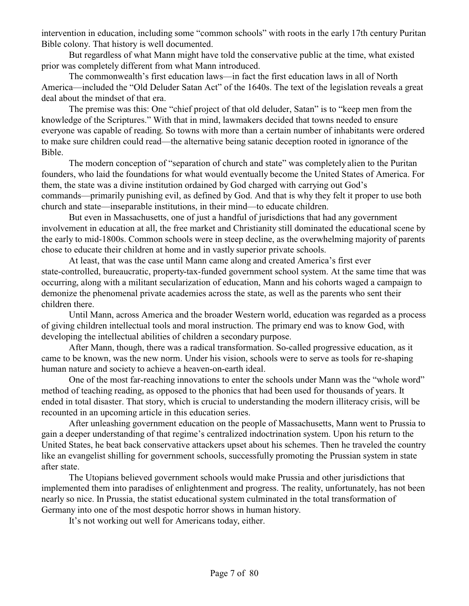intervention in education, including some "common schools" with roots in the early 17th century Puritan Bible colony. That history is well documented.

But regardless of what Mann might have told the conservative public at the time, what existed prior was completely different from what Mann introduced.

The commonwealth's first education laws—in fact the first education laws in all of North America—included the "Old Deluder Satan Act" of the 1640s. The text of the legislation reveals a great deal about the mindset of that era.

The premise was this: One "chief project of that old deluder, Satan" is to "keep men from the knowledge of the Scriptures." With that in mind, lawmakers decided that towns needed to ensure everyone was capable of reading. So towns with more than a certain number of inhabitants were ordered to make sure children could read—the alternative being satanic deception rooted in ignorance of the Bible.

The modern conception of "separation of church and state" was completely alien to the Puritan founders, who laid the foundations for what would eventually become the United States of America. For them, the state was a divine institution ordained by God charged with carrying out God's commands—primarily punishing evil, as defined by God. And that is why they felt it proper to use both church and state—inseparable institutions, in their mind—to educate children.

But even in Massachusetts, one of just a handful of jurisdictions that had any government involvement in education at all, the free market and Christianity still dominated the educational scene by the early to mid-1800s. Common schools were in steep decline, as the overwhelming majority of parents chose to educate their children at home and in vastly superior private schools.

At least, that was the case until Mann came along and created America's first ever state-controlled, bureaucratic, property-tax-funded government school system. At the same time that was occurring, along with a militant secularization of education, Mann and his cohorts waged a campaign to demonize the phenomenal private academies across the state, as well as the parents who sent their children there.

Until Mann, across America and the broader Western world, education was regarded as a process of giving children intellectual tools and moral instruction. The primary end was to know God, with developing the intellectual abilities of children a secondary purpose.

After Mann, though, there was a radical transformation. So-called progressive education, as it came to be known, was the new norm. Under his vision, schools were to serve as tools for re-shaping human nature and society to achieve a heaven-on-earth ideal.

One of the most far-reaching innovations to enter the schools under Mann was the "whole word" method of teaching reading, as opposed to the phonics that had been used for thousands of years. It ended in total disaster. That story, which is crucial to understanding the modern illiteracy crisis, will be recounted in an upcoming article in this education series.

After unleashing government education on the people of Massachusetts, Mann went to Prussia to gain a deeper understanding of that regime's centralized indoctrination system. Upon his return to the United States, he beat back conservative attackers upset about his schemes. Then he traveled the country like an evangelist shilling for government schools, successfully promoting the Prussian system in state after state.

The Utopians believed government schools would make Prussia and other jurisdictions that implemented them into paradises of enlightenment and progress. The reality, unfortunately, has not been nearly so nice. In Prussia, the statist educational system culminated in the total transformation of Germany into one of the most despotic horror shows in human history.

It's not working out well for Americans today, either.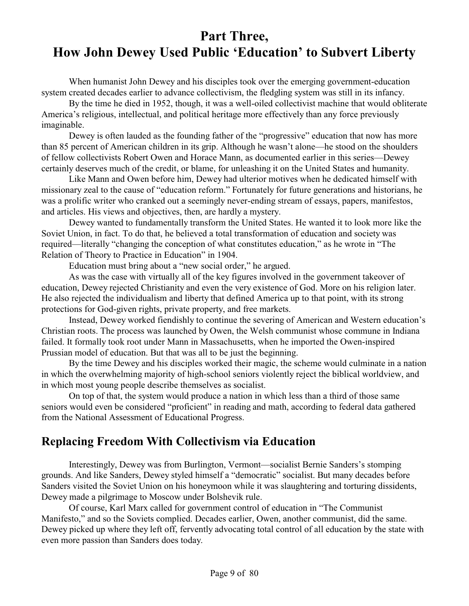## **Part Three, How John Dewey Used Public 'Education' to Subvert Liberty**

When humanist John Dewey and his disciples took over the emerging government-education system created decades earlier to advance collectivism, the fledgling system was still in its infancy.

By the time he died in 1952, though, it was a well-oiled collectivist machine that would obliterate America's religious, intellectual, and political heritage more effectively than any force previously imaginable.

Dewey is often lauded as the founding father of the "progressive" education that now has more than 85 percent of American children in its grip. Although he wasn't alone—he stood on the shoulders of fellow collectivists Robert Owen and Horace Mann, as documented earlier in this series—Dewey certainly deserves much of the credit, or blame, for unleashing it on the United States and humanity.

Like Mann and Owen before him, Dewey had ulterior motives when he dedicated himself with missionary zeal to the cause of "education reform." Fortunately for future generations and historians, he was a prolific writer who cranked out a seemingly never-ending stream of essays, papers, manifestos, and articles. His views and objectives, then, are hardly a mystery.

Dewey wanted to fundamentally transform the United States. He wanted it to look more like the Soviet Union, in fact. To do that, he believed a total transformation of education and society was required—literally "changing the conception of what constitutes education," as he wrote in "The Relation of Theory to Practice in Education" in 1904.

Education must bring about a "new social order," he argued.

As was the case with virtually all of the key figures involved in the government takeover of education, Dewey rejected Christianity and even the very existence of God. More on his religion later. He also rejected the individualism and liberty that defined America up to that point, with its strong protections for God-given rights, private property, and free markets.

Instead, Dewey worked fiendishly to continue the severing of American and Western education's Christian roots. The process was launched by Owen, the Welsh communist whose commune in Indiana failed. It formally took root under Mann in Massachusetts, when he imported the Owen-inspired Prussian model of education. But that was all to be just the beginning.

By the time Dewey and his disciples worked their magic, the scheme would culminate in a nation in which the overwhelming majority of high-school seniors violently reject the biblical worldview, and in which most young people describe themselves as socialist.

On top of that, the system would produce a nation in which less than a third of those same seniors would even be considered "proficient" in reading and math, according to federal data gathered from the National Assessment of Educational Progress.

## **Replacing Freedom With Collectivism via Education**

Interestingly, Dewey was from Burlington, Vermont—socialist Bernie Sanders's stomping grounds. And like Sanders, Dewey styled himself a "democratic" socialist. But many decades before Sanders visited the Soviet Union on his honeymoon while it was slaughtering and torturing dissidents, Dewey made a pilgrimage to Moscow under Bolshevik rule.

Of course, Karl Marx called for government control of education in "The Communist Manifesto," and so the Soviets complied. Decades earlier, Owen, another communist, did the same. Dewey picked up where they left off, fervently advocating total control of all education by the state with even more passion than Sanders does today.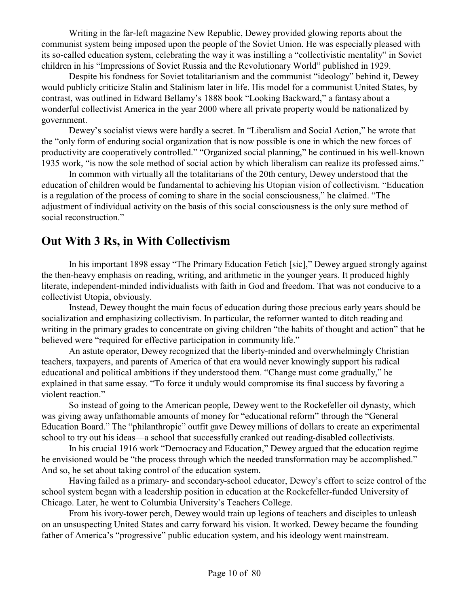Writing in the far-left magazine New Republic, Dewey provided glowing reports about the communist system being imposed upon the people of the Soviet Union. He was especially pleased with its so-called education system, celebrating the way it was instilling a "collectivistic mentality" in Soviet children in his "Impressions of Soviet Russia and the Revolutionary World" published in 1929.

Despite his fondness for Soviet totalitarianism and the communist "ideology" behind it, Dewey would publicly criticize Stalin and Stalinism later in life. His model for a communist United States, by contrast, was outlined in Edward Bellamy's 1888 book "Looking Backward," a fantasy about a wonderful collectivist America in the year 2000 where all private property would be nationalized by government.

Dewey's socialist views were hardly a secret. In "Liberalism and Social Action," he wrote that the "only form of enduring social organization that is now possible is one in which the new forces of productivity are cooperatively controlled." "Organized social planning," he continued in his well-known 1935 work, "is now the sole method of social action by which liberalism can realize its professed aims."

In common with virtually all the totalitarians of the 20th century, Dewey understood that the education of children would be fundamental to achieving his Utopian vision of collectivism. "Education is a regulation of the process of coming to share in the social consciousness," he claimed. "The adjustment of individual activity on the basis of this social consciousness is the only sure method of social reconstruction."

### **Out With 3 Rs, in With Collectivism**

In his important 1898 essay "The Primary Education Fetich [sic]," Dewey argued strongly against the then-heavy emphasis on reading, writing, and arithmetic in the younger years. It produced highly literate, independent-minded individualists with faith in God and freedom. That was not conducive to a collectivist Utopia, obviously.

Instead, Dewey thought the main focus of education during those precious early years should be socialization and emphasizing collectivism. In particular, the reformer wanted to ditch reading and writing in the primary grades to concentrate on giving children "the habits of thought and action" that he believed were "required for effective participation in community life."

An astute operator, Dewey recognized that the liberty-minded and overwhelmingly Christian teachers, taxpayers, and parents of America of that era would never knowingly support his radical educational and political ambitions if they understood them. "Change must come gradually," he explained in that same essay. "To force it unduly would compromise its final success by favoring a violent reaction."

So instead of going to the American people, Dewey went to the Rockefeller oil dynasty, which was giving away unfathomable amounts of money for "educational reform" through the "General Education Board." The "philanthropic" outfit gave Dewey millions of dollars to create an experimental school to try out his ideas—a school that successfully cranked out reading-disabled collectivists.

In his crucial 1916 work "Democracy and Education," Dewey argued that the education regime he envisioned would be "the process through which the needed transformation may be accomplished." And so, he set about taking control of the education system.

Having failed as a primary- and secondary-school educator, Dewey's effort to seize control of the school system began with a leadership position in education at the Rockefeller-funded University of Chicago. Later, he went to Columbia University's Teachers College.

From his ivory-tower perch, Dewey would train up legions of teachers and disciples to unleash on an unsuspecting United States and carry forward his vision. It worked. Dewey became the founding father of America's "progressive" public education system, and his ideology went mainstream.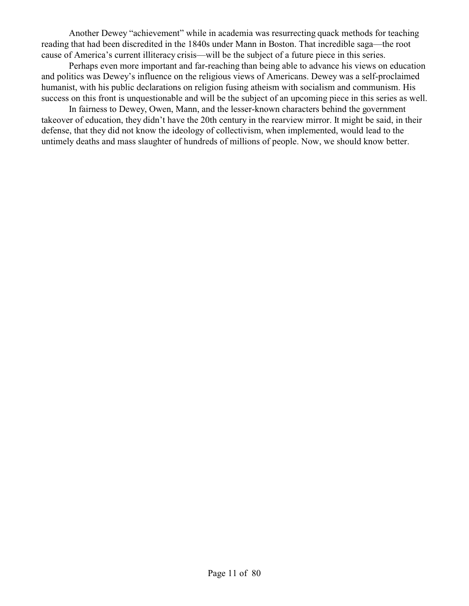Another Dewey "achievement" while in academia was resurrecting quack methods for teaching reading that had been discredited in the 1840s under Mann in Boston. That incredible saga—the root cause of America's current illiteracy crisis—will be the subject of a future piece in this series.

Perhaps even more important and far-reaching than being able to advance his views on education and politics was Dewey's influence on the religious views of Americans. Dewey was a self-proclaimed humanist, with his public declarations on religion fusing atheism with socialism and communism. His success on this front is unquestionable and will be the subject of an upcoming piece in this series as well.

In fairness to Dewey, Owen, Mann, and the lesser-known characters behind the government takeover of education, they didn't have the 20th century in the rearview mirror. It might be said, in their defense, that they did not know the ideology of collectivism, when implemented, would lead to the untimely deaths and mass slaughter of hundreds of millions of people. Now, we should know better.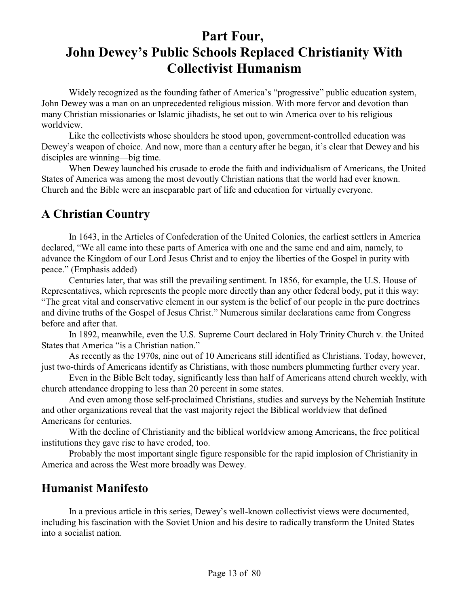# **Part Four, John Dewey's Public Schools Replaced Christianity With Collectivist Humanism**

Widely recognized as the founding father of America's "progressive" public education system, John Dewey was a man on an unprecedented religious mission. With more fervor and devotion than many Christian missionaries or Islamic jihadists, he set out to win America over to his religious worldview.

Like the collectivists whose shoulders he stood upon, government-controlled education was Dewey's weapon of choice. And now, more than a century after he began, it's clear that Dewey and his disciples are winning—big time.

When Dewey launched his crusade to erode the faith and individualism of Americans, the United States of America was among the most devoutly Christian nations that the world had ever known. Church and the Bible were an inseparable part of life and education for virtually everyone.

## **A Christian Country**

In 1643, in the Articles of Confederation of the United Colonies, the earliest settlers in America declared, "We all came into these parts of America with one and the same end and aim, namely, to advance the Kingdom of our Lord Jesus Christ and to enjoy the liberties of the Gospel in purity with peace." (Emphasis added)

Centuries later, that was still the prevailing sentiment. In 1856, for example, the U.S. House of Representatives, which represents the people more directly than any other federal body, put it this way: "The great vital and conservative element in our system is the belief of our people in the pure doctrines and divine truths of the Gospel of Jesus Christ." Numerous similar declarations came from Congress before and after that.

In 1892, meanwhile, even the U.S. Supreme Court declared in Holy Trinity Church v. the United States that America "is a Christian nation."

As recently as the 1970s, nine out of 10 Americans still identified as Christians. Today, however, just two-thirds of Americans identify as Christians, with those numbers plummeting further every year.

Even in the Bible Belt today, significantly less than half of Americans attend church weekly, with church attendance dropping to less than 20 percent in some states.

And even among those self-proclaimed Christians, studies and surveys by the Nehemiah Institute and other organizations reveal that the vast majority reject the Biblical worldview that defined Americans for centuries.

With the decline of Christianity and the biblical worldview among Americans, the free political institutions they gave rise to have eroded, too.

Probably the most important single figure responsible for the rapid implosion of Christianity in America and across the West more broadly was Dewey.

#### **Humanist Manifesto**

In a previous article in this series, Dewey's well-known collectivist views were documented, including his fascination with the Soviet Union and his desire to radically transform the United States into a socialist nation.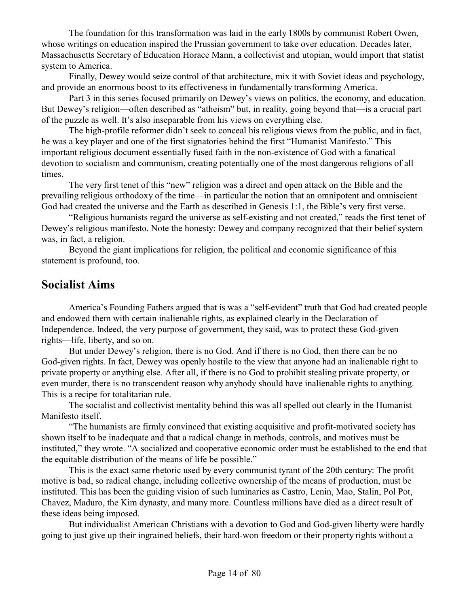The foundation for this transformation was laid in the early 1800s by communist Robert Owen, whose writings on education inspired the Prussian government to take over education. Decades later, Massachusetts Secretary of Education Horace Mann, a collectivist and utopian, would import that statist system to America.

Finally, Dewey would seize control of that architecture, mix it with Soviet ideas and psychology, and provide an enormous boost to its effectiveness in fundamentally transforming America.

Part 3 in this series focused primarily on Dewey's views on politics, the economy, and education. But Dewey's religion—often described as "atheism" but, in reality, going beyond that—is a crucial part of the puzzle as well. It's also inseparable from his views on everything else.

The high-profile reformer didn't seek to conceal his religious views from the public, and in fact, he was a key player and one of the first signatories behind the first "Humanist Manifesto." This important religious document essentially fused faith in the non-existence of God with a fanatical devotion to socialism and communism, creating potentially one of the most dangerous religions of all times.

The very first tenet of this "new" religion was a direct and open attack on the Bible and the prevailing religious orthodoxy of the time—in particular the notion that an omnipotent and omniscient God had created the universe and the Earth as described in Genesis 1:1, the Bible's very first verse.

"Religious humanists regard the universe as self-existing and not created," reads the first tenet of Dewey's religious manifesto. Note the honesty: Dewey and company recognized that their belief system was, in fact, a religion.

Beyond the giant implications for religion, the political and economic significance of this statement is profound, too.

#### **Socialist Aims**

America's Founding Fathers argued that is was a "self-evident" truth that God had created people and endowed them with certain inalienable rights, as explained clearly in the Declaration of Independence. Indeed, the very purpose of government, they said, was to protect these God-given rights—life, liberty, and so on.

But under Dewey's religion, there is no God. And if there is no God, then there can be no God-given rights. In fact, Dewey was openly hostile to the view that anyone had an inalienable right to private property or anything else. After all, if there is no God to prohibit stealing private property, or even murder, there is no transcendent reason why anybody should have inalienable rights to anything. This is a recipe for totalitarian rule.

The socialist and collectivist mentality behind this was all spelled out clearly in the Humanist Manifesto itself.

"The humanists are firmly convinced that existing acquisitive and profit-motivated society has shown itself to be inadequate and that a radical change in methods, controls, and motives must be instituted," they wrote. "A socialized and cooperative economic order must be established to the end that the equitable distribution of the means of life be possible."

This is the exact same rhetoric used by every communist tyrant of the 20th century: The profit motive is bad, so radical change, including collective ownership of the means of production, must be instituted. This has been the guiding vision of such luminaries as Castro, Lenin, Mao, Stalin, Pol Pot, Chavez, Maduro, the Kim dynasty, and many more. Countless millions have died as a direct result of these ideas being imposed.

But individualist American Christians with a devotion to God and God-given liberty were hardly going to just give up their ingrained beliefs, their hard-won freedom or their property rights without a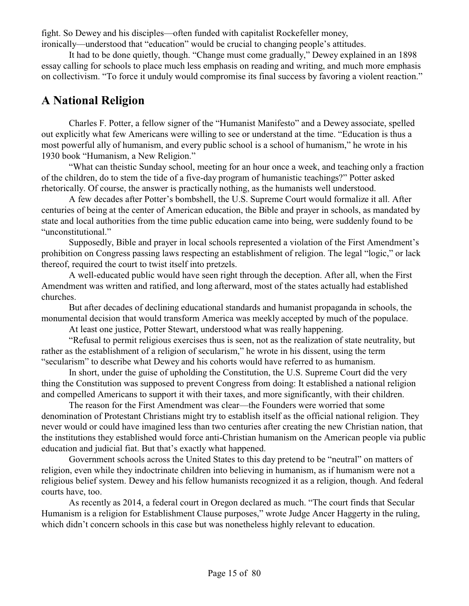fight. So Dewey and his disciples—often funded with capitalist Rockefeller money,

ironically—understood that "education" would be crucial to changing people's attitudes.

It had to be done quietly, though. "Change must come gradually," Dewey explained in an 1898 essay calling for schools to place much less emphasis on reading and writing, and much more emphasis on collectivism. "To force it unduly would compromise its final success by favoring a violent reaction."

## **A National Religion**

Charles F. Potter, a fellow signer of the "Humanist Manifesto" and a Dewey associate, spelled out explicitly what few Americans were willing to see or understand at the time. "Education is thus a most powerful ally of humanism, and every public school is a school of humanism," he wrote in his 1930 book "Humanism, a New Religion."

"What can theistic Sunday school, meeting for an hour once a week, and teaching only a fraction of the children, do to stem the tide of a five-day program of humanistic teachings?" Potter asked rhetorically. Of course, the answer is practically nothing, as the humanists well understood.

A few decades after Potter's bombshell, the U.S. Supreme Court would formalize it all. After centuries of being at the center of American education, the Bible and prayer in schools, as mandated by state and local authorities from the time public education came into being, were suddenly found to be "unconstitutional."

Supposedly, Bible and prayer in local schools represented a violation of the First Amendment's prohibition on Congress passing laws respecting an establishment of religion. The legal "logic," or lack thereof, required the court to twist itself into pretzels.

A well-educated public would have seen right through the deception. After all, when the First Amendment was written and ratified, and long afterward, most of the states actually had established churches.

But after decades of declining educational standards and humanist propaganda in schools, the monumental decision that would transform America was meekly accepted by much of the populace.

At least one justice, Potter Stewart, understood what was really happening.

"Refusal to permit religious exercises thus is seen, not as the realization of state neutrality, but rather as the establishment of a religion of secularism," he wrote in his dissent, using the term "secularism" to describe what Dewey and his cohorts would have referred to as humanism.

In short, under the guise of upholding the Constitution, the U.S. Supreme Court did the very thing the Constitution was supposed to prevent Congress from doing: It established a national religion and compelled Americans to support it with their taxes, and more significantly, with their children.

The reason for the First Amendment was clear—the Founders were worried that some denomination of Protestant Christians might try to establish itself as the official national religion. They never would or could have imagined less than two centuries after creating the new Christian nation, that the institutions they established would force anti-Christian humanism on the American people via public education and judicial fiat. But that's exactly what happened.

Government schools across the United States to this day pretend to be "neutral" on matters of religion, even while they indoctrinate children into believing in humanism, as if humanism were not a religious belief system. Dewey and his fellow humanists recognized it as a religion, though. And federal courts have, too.

As recently as 2014, a federal court in Oregon declared as much. "The court finds that Secular Humanism is a religion for Establishment Clause purposes," wrote Judge Ancer Haggerty in the ruling, which didn't concern schools in this case but was nonetheless highly relevant to education.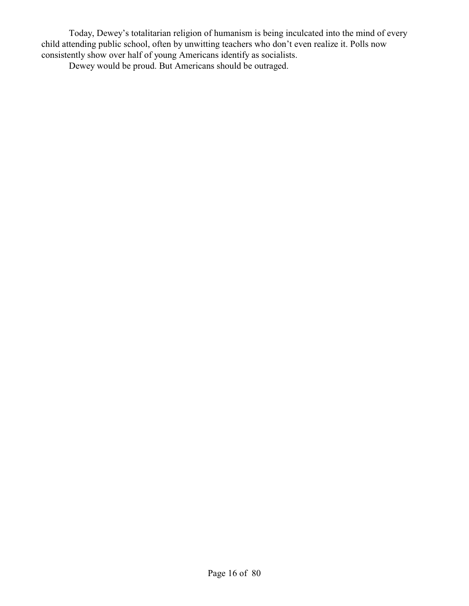Today, Dewey's totalitarian religion of humanism is being inculcated into the mind of every child attending public school, often by unwitting teachers who don't even realize it. Polls now consistently show over half of young Americans identify as socialists.

Dewey would be proud. But Americans should be outraged.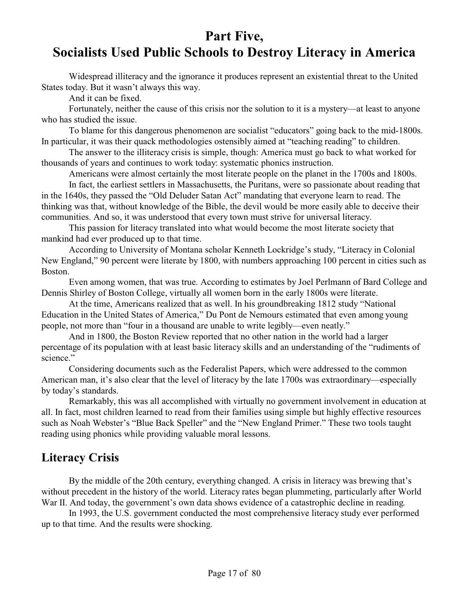## **Part Five, Socialists Used Public Schools to Destroy Literacy in America**

Widespread illiteracy and the ignorance it produces represent an existential threat to the United States today. But it wasn't always this way.

And it can be fixed.

Fortunately, neither the cause of this crisis nor the solution to it is a mystery—at least to anyone who has studied the issue.

To blame for this dangerous phenomenon are socialist "educators" going back to the mid-1800s. In particular, it was their quack methodologies ostensibly aimed at "teaching reading" to children.

The answer to the illiteracy crisis is simple, though: America must go back to what worked for thousands of years and continues to work today: systematic phonics instruction.

Americans were almost certainly the most literate people on the planet in the 1700s and 1800s.

In fact, the earliest settlers in Massachusetts, the Puritans, were so passionate about reading that in the 1640s, they passed the "Old Deluder Satan Act" mandating that everyone learn to read. The thinking was that, without knowledge of the Bible, the devil would be more easily able to deceive their communities. And so, it was understood that every town must strive for universal literacy.

This passion for literacy translated into what would become the most literate society that mankind had ever produced up to that time.

According to University of Montana scholar Kenneth Lockridge's study, "Literacy in Colonial New England," 90 percent were literate by 1800, with numbers approaching 100 percent in cities such as Boston.

Even among women, that was true. According to estimates by Joel Perlmann of Bard College and Dennis Shirley of Boston College, virtually all women born in the early 1800s were literate.

At the time, Americans realized that as well. In his groundbreaking 1812 study "National Education in the United States of America," Du Pont de Nemours estimated that even among young people, not more than "four in a thousand are unable to write legibly—even neatly."

And in 1800, the Boston Review reported that no other nation in the world had a larger percentage of its population with at least basic literacy skills and an understanding of the "rudiments of science."

Considering documents such as the Federalist Papers, which were addressed to the common American man, it's also clear that the level of literacy by the late 1700s was extraordinary—especially by today's standards.

Remarkably, this was all accomplished with virtually no government involvement in education at all. In fact, most children learned to read from their families using simple but highly effective resources such as Noah Webster's "Blue Back Speller" and the "New England Primer." These two tools taught reading using phonics while providing valuable moral lessons.

#### **Literacy Crisis**

By the middle of the 20th century, everything changed. A crisis in literacy was brewing that's without precedent in the history of the world. Literacy rates began plummeting, particularly after World War II. And today, the government's own data shows evidence of a catastrophic decline in reading.

In 1993, the U.S. government conducted the most comprehensive literacy study ever performed up to that time. And the results were shocking.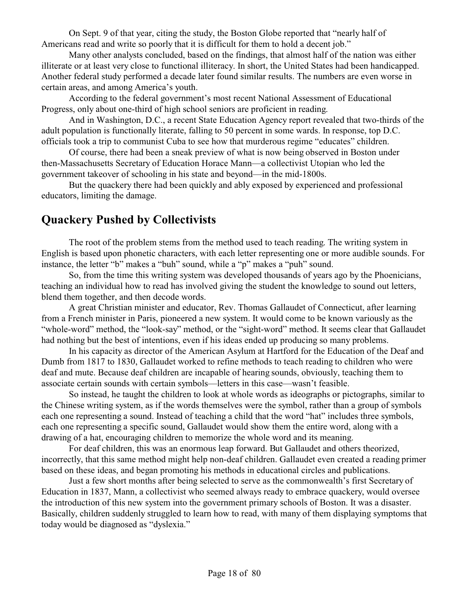On Sept. 9 of that year, citing the study, the Boston Globe reported that "nearly half of Americans read and write so poorly that it is difficult for them to hold a decent job."

Many other analysts concluded, based on the findings, that almost half of the nation was either illiterate or at least very close to functional illiteracy. In short, the United States had been handicapped. Another federal study performed a decade later found similar results. The numbers are even worse in certain areas, and among America's youth.

According to the federal government's most recent National Assessment of Educational Progress, only about one-third of high school seniors are proficient in reading.

And in Washington, D.C., a recent State Education Agency report revealed that two-thirds of the adult population is functionally literate, falling to 50 percent in some wards. In response, top D.C. officials took a trip to communist Cuba to see how that murderous regime "educates" children.

Of course, there had been a sneak preview of what is now being observed in Boston under then-Massachusetts Secretary of Education Horace Mann—a collectivist Utopian who led the government takeover of schooling in his state and beyond—in the mid-1800s.

But the quackery there had been quickly and ably exposed by experienced and professional educators, limiting the damage.

#### **Quackery Pushed by Collectivists**

The root of the problem stems from the method used to teach reading. The writing system in English is based upon phonetic characters, with each letter representing one or more audible sounds. For instance, the letter "b" makes a "buh" sound, while a "p" makes a "puh" sound.

So, from the time this writing system was developed thousands of years ago by the Phoenicians, teaching an individual how to read has involved giving the student the knowledge to sound out letters, blend them together, and then decode words.

A great Christian minister and educator, Rev. Thomas Gallaudet of Connecticut, after learning from a French minister in Paris, pioneered a new system. It would come to be known variously as the "whole-word" method, the "look-say" method, or the "sight-word" method. It seems clear that Gallaudet had nothing but the best of intentions, even if his ideas ended up producing so many problems.

In his capacity as director of the American Asylum at Hartford for the Education of the Deaf and Dumb from 1817 to 1830, Gallaudet worked to refine methods to teach reading to children who were deaf and mute. Because deaf children are incapable of hearing sounds, obviously, teaching them to associate certain sounds with certain symbols—letters in this case—wasn't feasible.

So instead, he taught the children to look at whole words as ideographs or pictographs, similar to the Chinese writing system, as if the words themselves were the symbol, rather than a group of symbols each one representing a sound. Instead of teaching a child that the word "hat" includes three symbols, each one representing a specific sound, Gallaudet would show them the entire word, along with a drawing of a hat, encouraging children to memorize the whole word and its meaning.

For deaf children, this was an enormous leap forward. But Gallaudet and others theorized, incorrectly, that this same method might help non-deaf children. Gallaudet even created a reading primer based on these ideas, and began promoting his methods in educational circles and publications.

Just a few short months after being selected to serve as the commonwealth's first Secretary of Education in 1837, Mann, a collectivist who seemed always ready to embrace quackery, would oversee the introduction of this new system into the government primary schools of Boston. It was a disaster. Basically, children suddenly struggled to learn how to read, with many of them displaying symptoms that today would be diagnosed as "dyslexia."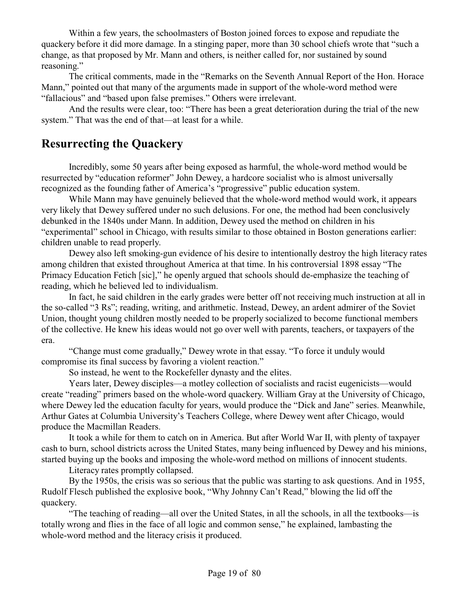Within a few years, the schoolmasters of Boston joined forces to expose and repudiate the quackery before it did more damage. In a stinging paper, more than 30 school chiefs wrote that "such a change, as that proposed by Mr. Mann and others, is neither called for, nor sustained by sound reasoning."

The critical comments, made in the "Remarks on the Seventh Annual Report of the Hon. Horace Mann," pointed out that many of the arguments made in support of the whole-word method were "fallacious" and "based upon false premises." Others were irrelevant.

And the results were clear, too: "There has been a great deterioration during the trial of the new system." That was the end of that—at least for a while.

### **Resurrecting the Quackery**

Incredibly, some 50 years after being exposed as harmful, the whole-word method would be resurrected by "education reformer" John Dewey, a hardcore socialist who is almost universally recognized as the founding father of America's "progressive" public education system.

While Mann may have genuinely believed that the whole-word method would work, it appears very likely that Dewey suffered under no such delusions. For one, the method had been conclusively debunked in the 1840s under Mann. In addition, Dewey used the method on children in his "experimental" school in Chicago, with results similar to those obtained in Boston generations earlier: children unable to read properly.

Dewey also left smoking-gun evidence of his desire to intentionally destroy the high literacy rates among children that existed throughout America at that time. In his controversial 1898 essay "The Primacy Education Fetich [sic]," he openly argued that schools should de-emphasize the teaching of reading, which he believed led to individualism.

In fact, he said children in the early grades were better off not receiving much instruction at all in the so-called "3 Rs"; reading, writing, and arithmetic. Instead, Dewey, an ardent admirer of the Soviet Union, thought young children mostly needed to be properly socialized to become functional members of the collective. He knew his ideas would not go over well with parents, teachers, or taxpayers of the era.

"Change must come gradually," Dewey wrote in that essay. "To force it unduly would compromise its final success by favoring a violent reaction."

So instead, he went to the Rockefeller dynasty and the elites.

Years later, Dewey disciples—a motley collection of socialists and racist eugenicists—would create "reading" primers based on the whole-word quackery. William Gray at the University of Chicago, where Dewey led the education faculty for years, would produce the "Dick and Jane" series. Meanwhile, Arthur Gates at Columbia University's Teachers College, where Dewey went after Chicago, would produce the Macmillan Readers.

It took a while for them to catch on in America. But after World War II, with plenty of taxpayer cash to burn, school districts across the United States, many being influenced by Dewey and his minions, started buying up the books and imposing the whole-word method on millions of innocent students.

Literacy rates promptly collapsed.

By the 1950s, the crisis was so serious that the public was starting to ask questions. And in 1955, Rudolf Flesch published the explosive book, "Why Johnny Can't Read," blowing the lid off the quackery.

"The teaching of reading—all over the United States, in all the schools, in all the textbooks—is totally wrong and flies in the face of all logic and common sense," he explained, lambasting the whole-word method and the literacy crisis it produced.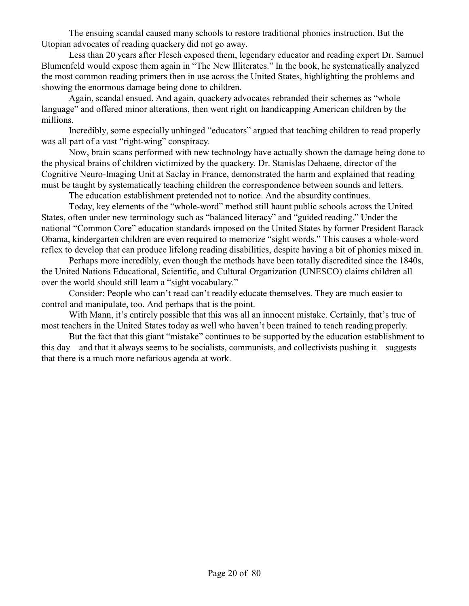The ensuing scandal caused many schools to restore traditional phonics instruction. But the Utopian advocates of reading quackery did not go away.

Less than 20 years after Flesch exposed them, legendary educator and reading expert Dr. Samuel Blumenfeld would expose them again in "The New Illiterates." In the book, he systematically analyzed the most common reading primers then in use across the United States, highlighting the problems and showing the enormous damage being done to children.

Again, scandal ensued. And again, quackery advocates rebranded their schemes as "whole language" and offered minor alterations, then went right on handicapping American children by the millions.

Incredibly, some especially unhinged "educators" argued that teaching children to read properly was all part of a vast "right-wing" conspiracy.

Now, brain scans performed with new technology have actually shown the damage being done to the physical brains of children victimized by the quackery. Dr. Stanislas Dehaene, director of the Cognitive Neuro-Imaging Unit at Saclay in France, demonstrated the harm and explained that reading must be taught by systematically teaching children the correspondence between sounds and letters.

The education establishment pretended not to notice. And the absurdity continues.

Today, key elements of the "whole-word" method still haunt public schools across the United States, often under new terminology such as "balanced literacy" and "guided reading." Under the national "Common Core" education standards imposed on the United States by former President Barack Obama, kindergarten children are even required to memorize "sight words." This causes a whole-word reflex to develop that can produce lifelong reading disabilities, despite having a bit of phonics mixed in.

Perhaps more incredibly, even though the methods have been totally discredited since the 1840s, the United Nations Educational, Scientific, and Cultural Organization (UNESCO) claims children all over the world should still learn a "sight vocabulary."

Consider: People who can't read can't readily educate themselves. They are much easier to control and manipulate, too. And perhaps that is the point.

With Mann, it's entirely possible that this was all an innocent mistake. Certainly, that's true of most teachers in the United States today as well who haven't been trained to teach reading properly.

But the fact that this giant "mistake" continues to be supported by the education establishment to this day—and that it always seems to be socialists, communists, and collectivists pushing it—suggests that there is a much more nefarious agenda at work.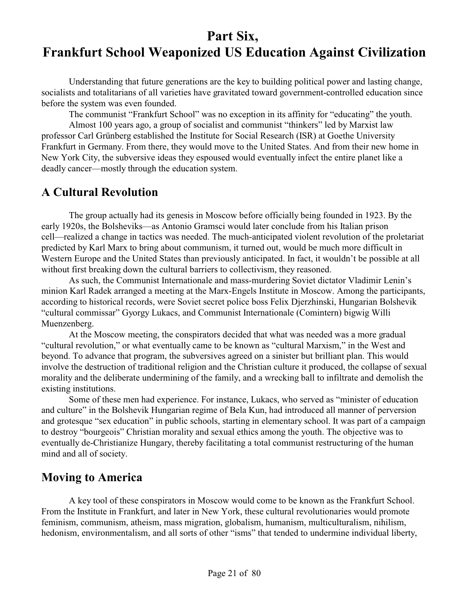# **Part Six, Frankfurt School Weaponized US Education Against Civilization**

Understanding that future generations are the key to building political power and lasting change, socialists and totalitarians of all varieties have gravitated toward government-controlled education since before the system was even founded.

The communist "Frankfurt School" was no exception in its affinity for "educating" the youth.

Almost 100 years ago, a group of socialist and communist "thinkers" led by Marxist law professor Carl Grünberg established the Institute for Social Research (ISR) at Goethe University Frankfurt in Germany. From there, they would move to the United States. And from their new home in New York City, the subversive ideas they espoused would eventually infect the entire planet like a deadly cancer—mostly through the education system.

#### **A Cultural Revolution**

The group actually had its genesis in Moscow before officially being founded in 1923. By the early 1920s, the Bolsheviks—as Antonio Gramsci would later conclude from his Italian prison cell—realized a change in tactics was needed. The much-anticipated violent revolution of the proletariat predicted by Karl Marx to bring about communism, it turned out, would be much more difficult in Western Europe and the United States than previously anticipated. In fact, it wouldn't be possible at all without first breaking down the cultural barriers to collectivism, they reasoned.

As such, the Communist Internationale and mass-murdering Soviet dictator Vladimir Lenin's minion Karl Radek arranged a meeting at the Marx-Engels Institute in Moscow. Among the participants, according to historical records, were Soviet secret police boss Felix Djerzhinski, Hungarian Bolshevik "cultural commissar" Gyorgy Lukacs, and Communist Internationale (Comintern) bigwig Willi Muenzenberg.

At the Moscow meeting, the conspirators decided that what was needed was a more gradual "cultural revolution," or what eventually came to be known as "cultural Marxism," in the West and beyond. To advance that program, the subversives agreed on a sinister but brilliant plan. This would involve the destruction of traditional religion and the Christian culture it produced, the collapse of sexual morality and the deliberate undermining of the family, and a wrecking ball to infiltrate and demolish the existing institutions.

Some of these men had experience. For instance, Lukacs, who served as "minister of education and culture" in the Bolshevik Hungarian regime of Bela Kun, had introduced all manner of perversion and grotesque "sex education" in public schools, starting in elementary school. It was part of a campaign to destroy "bourgeois" Christian morality and sexual ethics among the youth. The objective was to eventually de-Christianize Hungary, thereby facilitating a total communist restructuring of the human mind and all of society.

#### **Moving to America**

A key tool of these conspirators in Moscow would come to be known as the Frankfurt School. From the Institute in Frankfurt, and later in New York, these cultural revolutionaries would promote feminism, communism, atheism, mass migration, globalism, humanism, multiculturalism, nihilism, hedonism, environmentalism, and all sorts of other "isms" that tended to undermine individual liberty,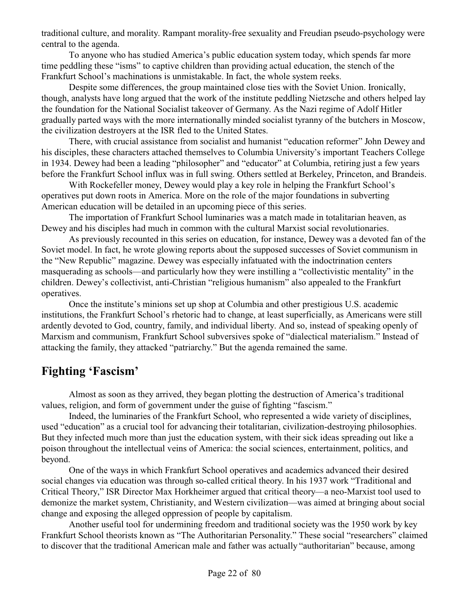traditional culture, and morality. Rampant morality-free sexuality and Freudian pseudo-psychology were central to the agenda.

To anyone who has studied America's public education system today, which spends far more time peddling these "isms" to captive children than providing actual education, the stench of the Frankfurt School's machinations is unmistakable. In fact, the whole system reeks.

Despite some differences, the group maintained close ties with the Soviet Union. Ironically, though, analysts have long argued that the work of the institute peddling Nietzsche and others helped lay the foundation for the National Socialist takeover of Germany. As the Nazi regime of Adolf Hitler gradually parted ways with the more internationally minded socialist tyranny of the butchers in Moscow, the civilization destroyers at the ISR fled to the United States.

There, with crucial assistance from socialist and humanist "education reformer" John Dewey and his disciples, these characters attached themselves to Columbia University's important Teachers College in 1934. Dewey had been a leading "philosopher" and "educator" at Columbia, retiring just a few years before the Frankfurt School influx was in full swing. Others settled at Berkeley, Princeton, and Brandeis.

With Rockefeller money, Dewey would play a key role in helping the Frankfurt School's operatives put down roots in America. More on the role of the major foundations in subverting American education will be detailed in an upcoming piece of this series.

The importation of Frankfurt School luminaries was a match made in totalitarian heaven, as Dewey and his disciples had much in common with the cultural Marxist social revolutionaries.

As previously recounted in this series on education, for instance, Dewey was a devoted fan of the Soviet model. In fact, he wrote glowing reports about the supposed successes of Soviet communism in the "New Republic" magazine. Dewey was especially infatuated with the indoctrination centers masquerading as schools—and particularly how they were instilling a "collectivistic mentality" in the children. Dewey's collectivist, anti-Christian "religious humanism" also appealed to the Frankfurt operatives.

Once the institute's minions set up shop at Columbia and other prestigious U.S. academic institutions, the Frankfurt School's rhetoric had to change, at least superficially, as Americans were still ardently devoted to God, country, family, and individual liberty. And so, instead of speaking openly of Marxism and communism, Frankfurt School subversives spoke of "dialectical materialism." Instead of attacking the family, they attacked "patriarchy." But the agenda remained the same.

### **Fighting 'Fascism'**

Almost as soon as they arrived, they began plotting the destruction of America's traditional values, religion, and form of government under the guise of fighting "fascism."

Indeed, the luminaries of the Frankfurt School, who represented a wide variety of disciplines, used "education" as a crucial tool for advancing their totalitarian, civilization-destroying philosophies. But they infected much more than just the education system, with their sick ideas spreading out like a poison throughout the intellectual veins of America: the social sciences, entertainment, politics, and beyond.

One of the ways in which Frankfurt School operatives and academics advanced their desired social changes via education was through so-called critical theory. In his 1937 work "Traditional and Critical Theory," ISR Director Max Horkheimer argued that critical theory—a neo-Marxist tool used to demonize the market system, Christianity, and Western civilization—was aimed at bringing about social change and exposing the alleged oppression of people by capitalism.

Another useful tool for undermining freedom and traditional society was the 1950 work by key Frankfurt School theorists known as "The Authoritarian Personality." These social "researchers" claimed to discover that the traditional American male and father was actually "authoritarian" because, among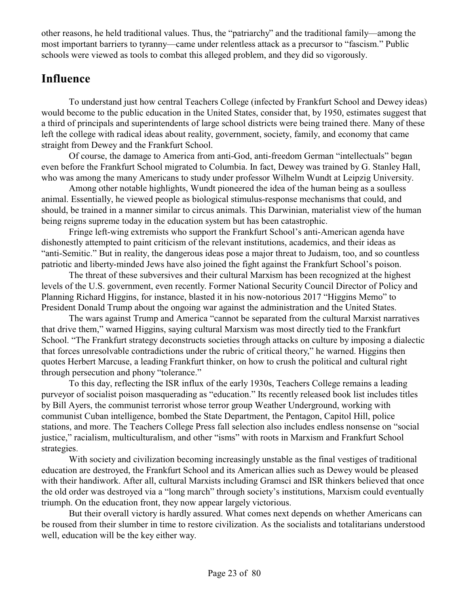other reasons, he held traditional values. Thus, the "patriarchy" and the traditional family—among the most important barriers to tyranny—came under relentless attack as a precursor to "fascism." Public schools were viewed as tools to combat this alleged problem, and they did so vigorously.

## **Influence**

To understand just how central Teachers College (infected by Frankfurt School and Dewey ideas) would become to the public education in the United States, consider that, by 1950, estimates suggest that a third of principals and superintendents of large school districts were being trained there. Many of these left the college with radical ideas about reality, government, society, family, and economy that came straight from Dewey and the Frankfurt School.

Of course, the damage to America from anti-God, anti-freedom German "intellectuals" began even before the Frankfurt School migrated to Columbia. In fact, Dewey was trained by G. Stanley Hall, who was among the many Americans to study under professor Wilhelm Wundt at Leipzig University.

Among other notable highlights, Wundt pioneered the idea of the human being as a soulless animal. Essentially, he viewed people as biological stimulus-response mechanisms that could, and should, be trained in a manner similar to circus animals. This Darwinian, materialist view of the human being reigns supreme today in the education system but has been catastrophic.

Fringe left-wing extremists who support the Frankfurt School's anti-American agenda have dishonestly attempted to paint criticism of the relevant institutions, academics, and their ideas as "anti-Semitic." But in reality, the dangerous ideas pose a major threat to Judaism, too, and so countless patriotic and liberty-minded Jews have also joined the fight against the Frankfurt School's poison.

The threat of these subversives and their cultural Marxism has been recognized at the highest levels of the U.S. government, even recently. Former National Security Council Director of Policy and Planning Richard Higgins, for instance, blasted it in his now-notorious 2017 "Higgins Memo" to President Donald Trump about the ongoing war against the administration and the United States.

The wars against Trump and America "cannot be separated from the cultural Marxist narratives that drive them," warned Higgins, saying cultural Marxism was most directly tied to the Frankfurt School. "The Frankfurt strategy deconstructs societies through attacks on culture by imposing a dialectic that forces unresolvable contradictions under the rubric of critical theory," he warned. Higgins then quotes Herbert Marcuse, a leading Frankfurt thinker, on how to crush the political and cultural right through persecution and phony "tolerance."

To this day, reflecting the ISR influx of the early 1930s, Teachers College remains a leading purveyor of socialist poison masquerading as "education." Its recently released book list includes titles by Bill Ayers, the communist terrorist whose terror group Weather Underground, working with communist Cuban intelligence, bombed the State Department, the Pentagon, Capitol Hill, police stations, and more. The Teachers College Press fall selection also includes endless nonsense on "social justice," racialism, multiculturalism, and other "isms" with roots in Marxism and Frankfurt School strategies.

With society and civilization becoming increasingly unstable as the final vestiges of traditional education are destroyed, the Frankfurt School and its American allies such as Dewey would be pleased with their handiwork. After all, cultural Marxists including Gramsci and ISR thinkers believed that once the old order was destroyed via a "long march" through society's institutions, Marxism could eventually triumph. On the education front, they now appear largely victorious.

But their overall victory is hardly assured. What comes next depends on whether Americans can be roused from their slumber in time to restore civilization. As the socialists and totalitarians understood well, education will be the key either way.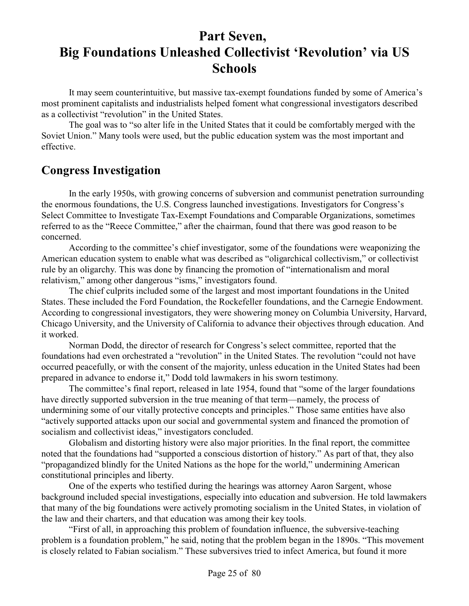## **Part Seven, Big Foundations Unleashed Collectivist 'Revolution' via US Schools**

It may seem counterintuitive, but massive tax-exempt foundations funded by some of America's most prominent capitalists and industrialists helped foment what congressional investigators described as a collectivist "revolution" in the United States.

The goal was to "so alter life in the United States that it could be comfortably merged with the Soviet Union." Many tools were used, but the public education system was the most important and effective.

#### **Congress Investigation**

In the early 1950s, with growing concerns of subversion and communist penetration surrounding the enormous foundations, the U.S. Congress launched investigations. Investigators for Congress's Select Committee to Investigate Tax-Exempt Foundations and Comparable Organizations, sometimes referred to as the "Reece Committee," after the chairman, found that there was good reason to be concerned.

According to the committee's chief investigator, some of the foundations were weaponizing the American education system to enable what was described as "oligarchical collectivism," or collectivist rule by an oligarchy. This was done by financing the promotion of "internationalism and moral relativism," among other dangerous "isms," investigators found.

The chief culprits included some of the largest and most important foundations in the United States. These included the Ford Foundation, the Rockefeller foundations, and the Carnegie Endowment. According to congressional investigators, they were showering money on Columbia University, Harvard, Chicago University, and the University of California to advance their objectives through education. And it worked.

Norman Dodd, the director of research for Congress's select committee, reported that the foundations had even orchestrated a "revolution" in the United States. The revolution "could not have occurred peacefully, or with the consent of the majority, unless education in the United States had been prepared in advance to endorse it," Dodd told lawmakers in his sworn testimony.

The committee's final report, released in late 1954, found that "some of the larger foundations have directly supported subversion in the true meaning of that term—namely, the process of undermining some of our vitally protective concepts and principles." Those same entities have also "actively supported attacks upon our social and governmental system and financed the promotion of socialism and collectivist ideas," investigators concluded.

Globalism and distorting history were also major priorities. In the final report, the committee noted that the foundations had "supported a conscious distortion of history." As part of that, they also "propagandized blindly for the United Nations as the hope for the world," undermining American constitutional principles and liberty.

One of the experts who testified during the hearings was attorney Aaron Sargent, whose background included special investigations, especially into education and subversion. He told lawmakers that many of the big foundations were actively promoting socialism in the United States, in violation of the law and their charters, and that education was among their key tools.

"First of all, in approaching this problem of foundation influence, the subversive-teaching problem is a foundation problem," he said, noting that the problem began in the 1890s. "This movement is closely related to Fabian socialism." These subversives tried to infect America, but found it more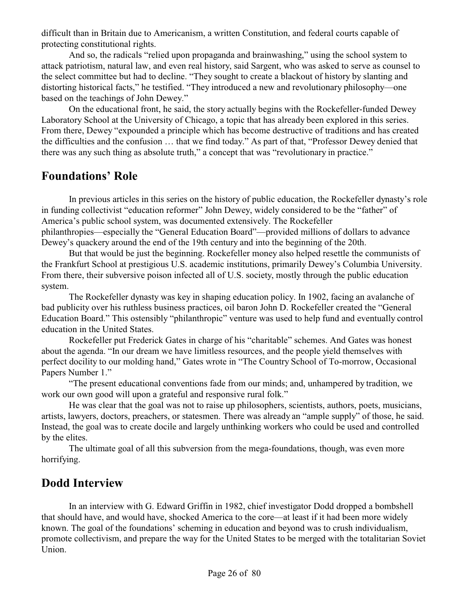difficult than in Britain due to Americanism, a written Constitution, and federal courts capable of protecting constitutional rights.

And so, the radicals "relied upon propaganda and brainwashing," using the school system to attack patriotism, natural law, and even real history, said Sargent, who was asked to serve as counsel to the select committee but had to decline. "They sought to create a blackout of history by slanting and distorting historical facts," he testified. "They introduced a new and revolutionary philosophy—one based on the teachings of John Dewey."

On the educational front, he said, the story actually begins with the Rockefeller-funded Dewey Laboratory School at the University of Chicago, a topic that has already been explored in this series. From there, Dewey "expounded a principle which has become destructive of traditions and has created the difficulties and the confusion … that we find today." As part of that, "Professor Dewey denied that there was any such thing as absolute truth," a concept that was "revolutionary in practice."

## **Foundations' Role**

In previous articles in this series on the history of public education, the Rockefeller dynasty's role in funding collectivist "education reformer" John Dewey, widely considered to be the "father" of America's public school system, was documented extensively. The Rockefeller philanthropies—especially the "General Education Board"—provided millions of dollars to advance Dewey's quackery around the end of the 19th century and into the beginning of the 20th.

But that would be just the beginning. Rockefeller money also helped resettle the communists of the Frankfurt School at prestigious U.S. academic institutions, primarily Dewey's Columbia University. From there, their subversive poison infected all of U.S. society, mostly through the public education system.

The Rockefeller dynasty was key in shaping education policy. In 1902, facing an avalanche of bad publicity over his ruthless business practices, oil baron John D. Rockefeller created the "General Education Board." This ostensibly "philanthropic" venture was used to help fund and eventually control education in the United States.

Rockefeller put Frederick Gates in charge of his "charitable" schemes. And Gates was honest about the agenda. "In our dream we have limitless resources, and the people yield themselves with perfect docility to our molding hand," Gates wrote in "The Country School of To-morrow, Occasional Papers Number 1."

"The present educational conventions fade from our minds; and, unhampered by tradition, we work our own good will upon a grateful and responsive rural folk."

He was clear that the goal was not to raise up philosophers, scientists, authors, poets, musicians, artists, lawyers, doctors, preachers, or statesmen. There was already an "ample supply" of those, he said. Instead, the goal was to create docile and largely unthinking workers who could be used and controlled by the elites.

The ultimate goal of all this subversion from the mega-foundations, though, was even more horrifying.

## **Dodd Interview**

In an interview with G. Edward Griffin in 1982, chief investigator Dodd dropped a bombshell that should have, and would have, shocked America to the core—at least if it had been more widely known. The goal of the foundations' scheming in education and beyond was to crush individualism, promote collectivism, and prepare the way for the United States to be merged with the totalitarian Soviet Union.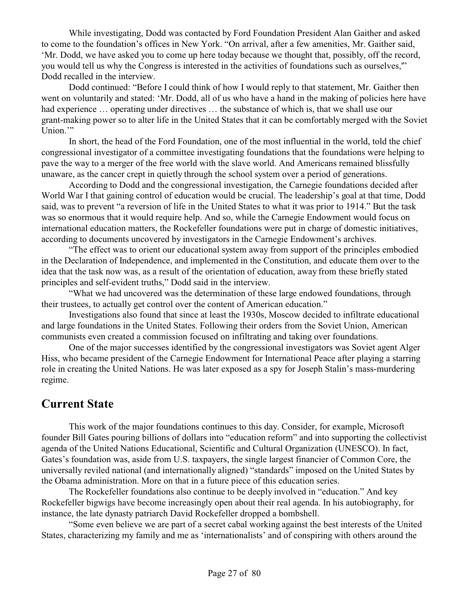While investigating, Dodd was contacted by Ford Foundation President Alan Gaither and asked to come to the foundation's offices in New York. "On arrival, after a few amenities, Mr. Gaither said, 'Mr. Dodd, we have asked you to come up here today because we thought that, possibly, off the record, you would tell us why the Congress is interested in the activities of foundations such as ourselves,'" Dodd recalled in the interview.

Dodd continued: "Before I could think of how I would reply to that statement, Mr. Gaither then went on voluntarily and stated: 'Mr. Dodd, all of us who have a hand in the making of policies here have had experience ... operating under directives ... the substance of which is, that we shall use our grant-making power so to alter life in the United States that it can be comfortably merged with the Soviet Union."

In short, the head of the Ford Foundation, one of the most influential in the world, told the chief congressional investigator of a committee investigating foundations that the foundations were helping to pave the way to a merger of the free world with the slave world. And Americans remained blissfully unaware, as the cancer crept in quietly through the school system over a period of generations.

According to Dodd and the congressional investigation, the Carnegie foundations decided after World War I that gaining control of education would be crucial. The leadership's goal at that time, Dodd said, was to prevent "a reversion of life in the United States to what it was prior to 1914." But the task was so enormous that it would require help. And so, while the Carnegie Endowment would focus on international education matters, the Rockefeller foundations were put in charge of domestic initiatives, according to documents uncovered by investigators in the Carnegie Endowment's archives.

"The effect was to orient our educational system away from support of the principles embodied in the Declaration of Independence, and implemented in the Constitution, and educate them over to the idea that the task now was, as a result of the orientation of education, away from these briefly stated principles and self-evident truths," Dodd said in the interview.

"What we had uncovered was the determination of these large endowed foundations, through their trustees, to actually get control over the content of American education."

Investigations also found that since at least the 1930s, Moscow decided to infiltrate educational and large foundations in the United States. Following their orders from the Soviet Union, American communists even created a commission focused on infiltrating and taking over foundations.

One of the major successes identified by the congressional investigators was Soviet agent Alger Hiss, who became president of the Carnegie Endowment for International Peace after playing a starring role in creating the United Nations. He was later exposed as a spy for Joseph Stalin's mass-murdering regime.

#### **Current State**

This work of the major foundations continues to this day. Consider, for example, Microsoft founder Bill Gates pouring billions of dollars into "education reform" and into supporting the collectivist agenda of the United Nations Educational, Scientific and Cultural Organization (UNESCO). In fact, Gates's foundation was, aside from U.S. taxpayers, the single largest financier of Common Core, the universally reviled national (and internationally aligned) "standards" imposed on the United States by the Obama administration. More on that in a future piece of this education series.

The Rockefeller foundations also continue to be deeply involved in "education." And key Rockefeller bigwigs have become increasingly open about their real agenda. In his autobiography, for instance, the late dynasty patriarch David Rockefeller dropped a bombshell.

"Some even believe we are part of a secret cabal working against the best interests of the United States, characterizing my family and me as 'internationalists' and of conspiring with others around the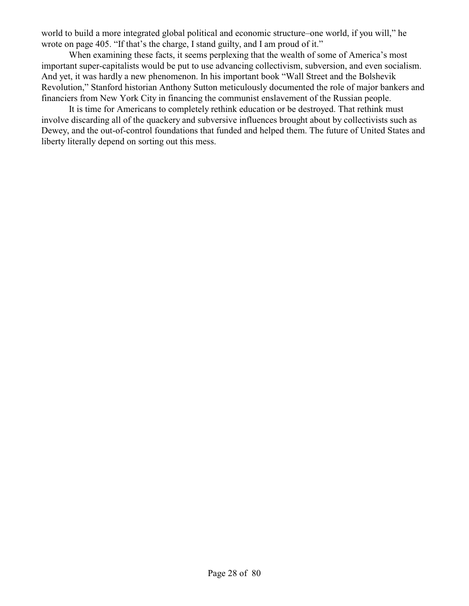world to build a more integrated global political and economic structure–one world, if you will," he wrote on page 405. "If that's the charge, I stand guilty, and I am proud of it."

When examining these facts, it seems perplexing that the wealth of some of America's most important super-capitalists would be put to use advancing collectivism, subversion, and even socialism. And yet, it was hardly a new phenomenon. In his important book "Wall Street and the Bolshevik Revolution," Stanford historian Anthony Sutton meticulously documented the role of major bankers and financiers from New York City in financing the communist enslavement of the Russian people.

It is time for Americans to completely rethink education or be destroyed. That rethink must involve discarding all of the quackery and subversive influences brought about by collectivists such as Dewey, and the out-of-control foundations that funded and helped them. The future of United States and liberty literally depend on sorting out this mess.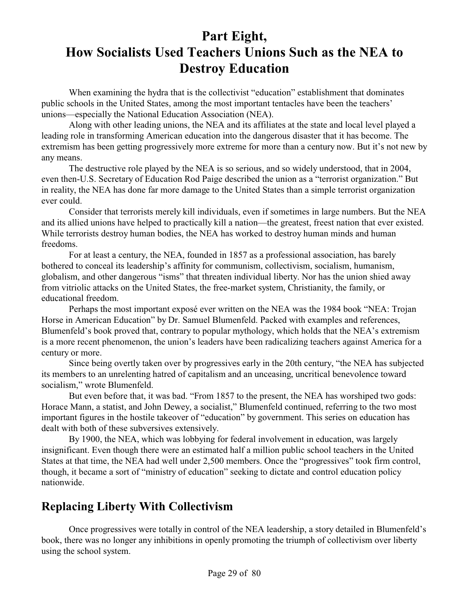# **Part Eight, How Socialists Used Teachers Unions Such as the NEA to Destroy Education**

When examining the hydra that is the collectivist "education" establishment that dominates public schools in the United States, among the most important tentacles have been the teachers' unions—especially the National Education Association (NEA).

Along with other leading unions, the NEA and its affiliates at the state and local level played a leading role in transforming American education into the dangerous disaster that it has become. The extremism has been getting progressively more extreme for more than a century now. But it's not new by any means.

The destructive role played by the NEA is so serious, and so widely understood, that in 2004, even then-U.S. Secretary of Education Rod Paige described the union as a "terrorist organization." But in reality, the NEA has done far more damage to the United States than a simple terrorist organization ever could.

Consider that terrorists merely kill individuals, even if sometimes in large numbers. But the NEA and its allied unions have helped to practically kill a nation—the greatest, freest nation that ever existed. While terrorists destroy human bodies, the NEA has worked to destroy human minds and human freedoms.

For at least a century, the NEA, founded in 1857 as a professional association, has barely bothered to conceal its leadership's affinity for communism, collectivism, socialism, humanism, globalism, and other dangerous "isms" that threaten individual liberty. Nor has the union shied away from vitriolic attacks on the United States, the free-market system, Christianity, the family, or educational freedom.

Perhaps the most important exposé ever written on the NEA was the 1984 book "NEA: Trojan Horse in American Education" by Dr. Samuel Blumenfeld. Packed with examples and references, Blumenfeld's book proved that, contrary to popular mythology, which holds that the NEA's extremism is a more recent phenomenon, the union's leaders have been radicalizing teachers against America for a century or more.

Since being overtly taken over by progressives early in the 20th century, "the NEA has subjected its members to an unrelenting hatred of capitalism and an unceasing, uncritical benevolence toward socialism," wrote Blumenfeld.

But even before that, it was bad. "From 1857 to the present, the NEA has worshiped two gods: Horace Mann, a statist, and John Dewey, a socialist," Blumenfeld continued, referring to the two most important figures in the hostile takeover of "education" by government. This series on education has dealt with both of these subversives extensively.

By 1900, the NEA, which was lobbying for federal involvement in education, was largely insignificant. Even though there were an estimated half a million public school teachers in the United States at that time, the NEA had well under 2,500 members. Once the "progressives" took firm control, though, it became a sort of "ministry of education" seeking to dictate and control education policy nationwide.

## **Replacing Liberty With Collectivism**

Once progressives were totally in control of the NEA leadership, a story detailed in Blumenfeld's book, there was no longer any inhibitions in openly promoting the triumph of collectivism over liberty using the school system.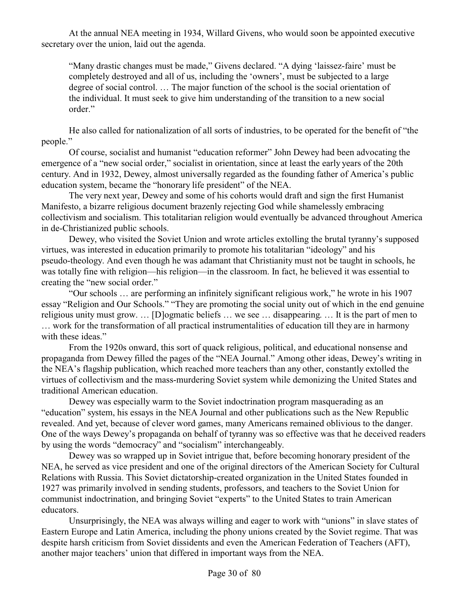At the annual NEA meeting in 1934, Willard Givens, who would soon be appointed executive secretary over the union, laid out the agenda.

"Many drastic changes must be made," Givens declared. "A dying 'laissez-faire' must be completely destroyed and all of us, including the 'owners', must be subjected to a large degree of social control. … The major function of the school is the social orientation of the individual. It must seek to give him understanding of the transition to a new social order."

He also called for nationalization of all sorts of industries, to be operated for the benefit of "the people."

Of course, socialist and humanist "education reformer" John Dewey had been advocating the emergence of a "new social order," socialist in orientation, since at least the early years of the 20th century. And in 1932, Dewey, almost universally regarded as the founding father of America's public education system, became the "honorary life president" of the NEA.

The very next year, Dewey and some of his cohorts would draft and sign the first Humanist Manifesto, a bizarre religious document brazenly rejecting God while shamelessly embracing collectivism and socialism. This totalitarian religion would eventually be advanced throughout America in de-Christianized public schools.

Dewey, who visited the Soviet Union and wrote articles extolling the brutal tyranny's supposed virtues, was interested in education primarily to promote his totalitarian "ideology" and his pseudo-theology. And even though he was adamant that Christianity must not be taught in schools, he was totally fine with religion—his religion—in the classroom. In fact, he believed it was essential to creating the "new social order."

"Our schools … are performing an infinitely significant religious work," he wrote in his 1907 essay "Religion and Our Schools." "They are promoting the social unity out of which in the end genuine religious unity must grow. … [D]ogmatic beliefs … we see … disappearing. … It is the part of men to … work for the transformation of all practical instrumentalities of education till they are in harmony with these ideas."

From the 1920s onward, this sort of quack religious, political, and educational nonsense and propaganda from Dewey filled the pages of the "NEA Journal." Among other ideas, Dewey's writing in the NEA's flagship publication, which reached more teachers than any other, constantly extolled the virtues of collectivism and the mass-murdering Soviet system while demonizing the United States and traditional American education.

Dewey was especially warm to the Soviet indoctrination program masquerading as an "education" system, his essays in the NEA Journal and other publications such as the New Republic revealed. And yet, because of clever word games, many Americans remained oblivious to the danger. One of the ways Dewey's propaganda on behalf of tyranny was so effective was that he deceived readers by using the words "democracy" and "socialism" interchangeably.

Dewey was so wrapped up in Soviet intrigue that, before becoming honorary president of the NEA, he served as vice president and one of the original directors of the American Society for Cultural Relations with Russia. This Soviet dictatorship-created organization in the United States founded in 1927 was primarily involved in sending students, professors, and teachers to the Soviet Union for communist indoctrination, and bringing Soviet "experts" to the United States to train American educators.

Unsurprisingly, the NEA was always willing and eager to work with "unions" in slave states of Eastern Europe and Latin America, including the phony unions created by the Soviet regime. That was despite harsh criticism from Soviet dissidents and even the American Federation of Teachers (AFT), another major teachers' union that differed in important ways from the NEA.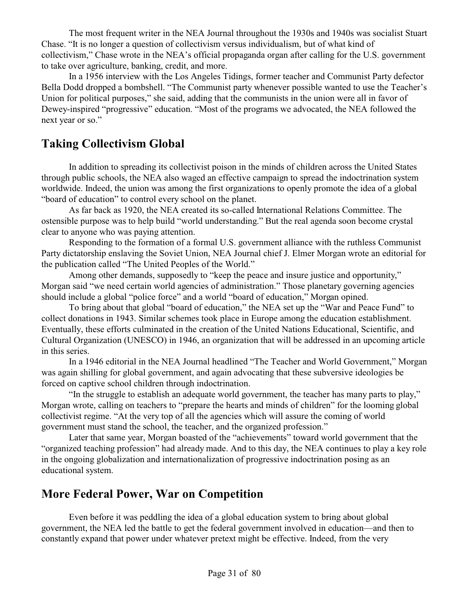The most frequent writer in the NEA Journal throughout the 1930s and 1940s was socialist Stuart Chase. "It is no longer a question of collectivism versus individualism, but of what kind of collectivism," Chase wrote in the NEA's official propaganda organ after calling for the U.S. government to take over agriculture, banking, credit, and more.

In a 1956 interview with the Los Angeles Tidings, former teacher and Communist Party defector Bella Dodd dropped a bombshell. "The Communist party whenever possible wanted to use the Teacher's Union for political purposes," she said, adding that the communists in the union were all in favor of Dewey-inspired "progressive" education. "Most of the programs we advocated, the NEA followed the next year or so."

### **Taking Collectivism Global**

In addition to spreading its collectivist poison in the minds of children across the United States through public schools, the NEA also waged an effective campaign to spread the indoctrination system worldwide. Indeed, the union was among the first organizations to openly promote the idea of a global "board of education" to control every school on the planet.

As far back as 1920, the NEA created its so-called International Relations Committee. The ostensible purpose was to help build "world understanding." But the real agenda soon become crystal clear to anyone who was paying attention.

Responding to the formation of a formal U.S. government alliance with the ruthless Communist Party dictatorship enslaving the Soviet Union, NEA Journal chief J. Elmer Morgan wrote an editorial for the publication called "The United Peoples of the World."

Among other demands, supposedly to "keep the peace and insure justice and opportunity," Morgan said "we need certain world agencies of administration." Those planetary governing agencies should include a global "police force" and a world "board of education," Morgan opined.

To bring about that global "board of education," the NEA set up the "War and Peace Fund" to collect donations in 1943. Similar schemes took place in Europe among the education establishment. Eventually, these efforts culminated in the creation of the United Nations Educational, Scientific, and Cultural Organization (UNESCO) in 1946, an organization that will be addressed in an upcoming article in this series.

In a 1946 editorial in the NEA Journal headlined "The Teacher and World Government," Morgan was again shilling for global government, and again advocating that these subversive ideologies be forced on captive school children through indoctrination.

"In the struggle to establish an adequate world government, the teacher has many parts to play," Morgan wrote, calling on teachers to "prepare the hearts and minds of children" for the looming global collectivist regime. "At the very top of all the agencies which will assure the coming of world government must stand the school, the teacher, and the organized profession."

Later that same year, Morgan boasted of the "achievements" toward world government that the "organized teaching profession" had already made. And to this day, the NEA continues to play a key role in the ongoing globalization and internationalization of progressive indoctrination posing as an educational system.

## **More Federal Power, War on Competition**

Even before it was peddling the idea of a global education system to bring about global government, the NEA led the battle to get the federal government involved in education—and then to constantly expand that power under whatever pretext might be effective. Indeed, from the very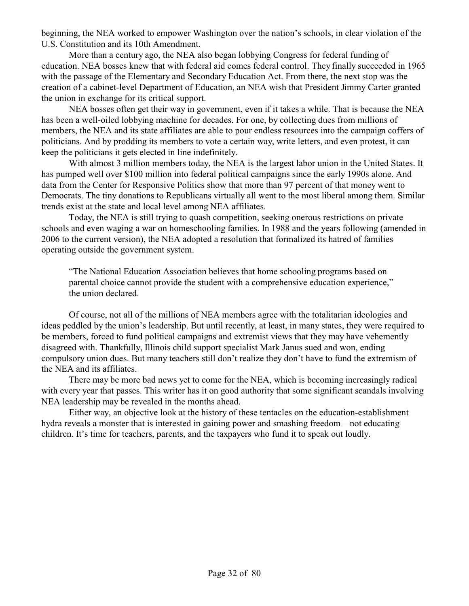beginning, the NEA worked to empower Washington over the nation's schools, in clear violation of the U.S. Constitution and its 10th Amendment.

More than a century ago, the NEA also began lobbying Congress for federal funding of education. NEA bosses knew that with federal aid comes federal control. They finally succeeded in 1965 with the passage of the Elementary and Secondary Education Act. From there, the next stop was the creation of a cabinet-level Department of Education, an NEA wish that President Jimmy Carter granted the union in exchange for its critical support.

NEA bosses often get their way in government, even if it takes a while. That is because the NEA has been a well-oiled lobbying machine for decades. For one, by collecting dues from millions of members, the NEA and its state affiliates are able to pour endless resources into the campaign coffers of politicians. And by prodding its members to vote a certain way, write letters, and even protest, it can keep the politicians it gets elected in line indefinitely.

With almost 3 million members today, the NEA is the largest labor union in the United States. It has pumped well over \$100 million into federal political campaigns since the early 1990s alone. And data from the Center for Responsive Politics show that more than 97 percent of that money went to Democrats. The tiny donations to Republicans virtually all went to the most liberal among them. Similar trends exist at the state and local level among NEA affiliates.

Today, the NEA is still trying to quash competition, seeking onerous restrictions on private schools and even waging a war on homeschooling families. In 1988 and the years following (amended in 2006 to the current version), the NEA adopted a resolution that formalized its hatred of families operating outside the government system.

"The National Education Association believes that home schooling programs based on parental choice cannot provide the student with a comprehensive education experience," the union declared.

Of course, not all of the millions of NEA members agree with the totalitarian ideologies and ideas peddled by the union's leadership. But until recently, at least, in many states, they were required to be members, forced to fund political campaigns and extremist views that they may have vehemently disagreed with. Thankfully, Illinois child support specialist Mark Janus sued and won, ending compulsory union dues. But many teachers still don't realize they don't have to fund the extremism of the NEA and its affiliates.

There may be more bad news yet to come for the NEA, which is becoming increasingly radical with every year that passes. This writer has it on good authority that some significant scandals involving NEA leadership may be revealed in the months ahead.

Either way, an objective look at the history of these tentacles on the education-establishment hydra reveals a monster that is interested in gaining power and smashing freedom—not educating children. It's time for teachers, parents, and the taxpayers who fund it to speak out loudly.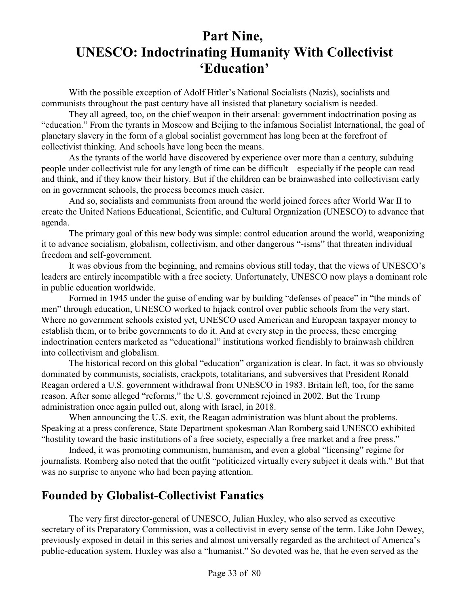# **Part Nine, UNESCO: Indoctrinating Humanity With Collectivist 'Education'**

With the possible exception of Adolf Hitler's National Socialists (Nazis), socialists and communists throughout the past century have all insisted that planetary socialism is needed.

They all agreed, too, on the chief weapon in their arsenal: government indoctrination posing as "education." From the tyrants in Moscow and Beijing to the infamous Socialist International, the goal of planetary slavery in the form of a global socialist government has long been at the forefront of collectivist thinking. And schools have long been the means.

As the tyrants of the world have discovered by experience over more than a century, subduing people under collectivist rule for any length of time can be difficult—especially if the people can read and think, and if they know their history. But if the children can be brainwashed into collectivism early on in government schools, the process becomes much easier.

And so, socialists and communists from around the world joined forces after World War II to create the United Nations Educational, Scientific, and Cultural Organization (UNESCO) to advance that agenda.

The primary goal of this new body was simple: control education around the world, weaponizing it to advance socialism, globalism, collectivism, and other dangerous "-isms" that threaten individual freedom and self-government.

It was obvious from the beginning, and remains obvious still today, that the views of UNESCO's leaders are entirely incompatible with a free society. Unfortunately, UNESCO now plays a dominant role in public education worldwide.

Formed in 1945 under the guise of ending war by building "defenses of peace" in "the minds of men" through education, UNESCO worked to hijack control over public schools from the very start. Where no government schools existed yet, UNESCO used American and European taxpayer money to establish them, or to bribe governments to do it. And at every step in the process, these emerging indoctrination centers marketed as "educational" institutions worked fiendishly to brainwash children into collectivism and globalism.

The historical record on this global "education" organization is clear. In fact, it was so obviously dominated by communists, socialists, crackpots, totalitarians, and subversives that President Ronald Reagan ordered a U.S. government withdrawal from UNESCO in 1983. Britain left, too, for the same reason. After some alleged "reforms," the U.S. government rejoined in 2002. But the Trump administration once again pulled out, along with Israel, in 2018.

When announcing the U.S. exit, the Reagan administration was blunt about the problems. Speaking at a press conference, State Department spokesman Alan Romberg said UNESCO exhibited "hostility toward the basic institutions of a free society, especially a free market and a free press."

Indeed, it was promoting communism, humanism, and even a global "licensing" regime for journalists. Romberg also noted that the outfit "politicized virtually every subject it deals with." But that was no surprise to anyone who had been paying attention.

#### **Founded by Globalist-Collectivist Fanatics**

The very first director-general of UNESCO, Julian Huxley, who also served as executive secretary of its Preparatory Commission, was a collectivist in every sense of the term. Like John Dewey, previously exposed in detail in this series and almost universally regarded as the architect of America's public-education system, Huxley was also a "humanist." So devoted was he, that he even served as the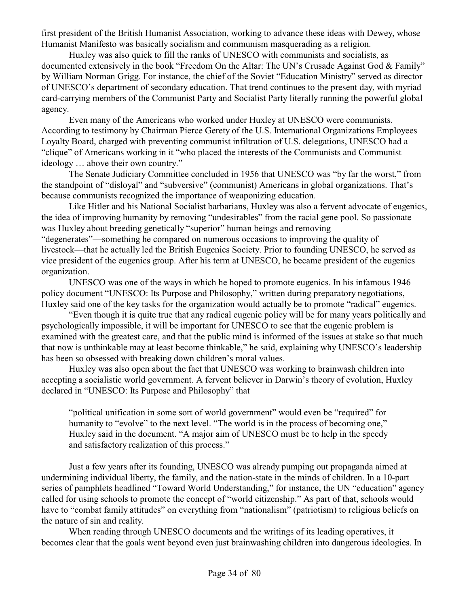first president of the British Humanist Association, working to advance these ideas with Dewey, whose Humanist Manifesto was basically socialism and communism masquerading as a religion.

Huxley was also quick to fill the ranks of UNESCO with communists and socialists, as documented extensively in the book "Freedom On the Altar: The UN's Crusade Against God & Family" by William Norman Grigg. For instance, the chief of the Soviet "Education Ministry" served as director of UNESCO's department of secondary education. That trend continues to the present day, with myriad card-carrying members of the Communist Party and Socialist Party literally running the powerful global agency.

Even many of the Americans who worked under Huxley at UNESCO were communists. According to testimony by Chairman Pierce Gerety of the U.S. International Organizations Employees Loyalty Board, charged with preventing communist infiltration of U.S. delegations, UNESCO had a "clique" of Americans working in it "who placed the interests of the Communists and Communist ideology … above their own country."

The Senate Judiciary Committee concluded in 1956 that UNESCO was "by far the worst," from the standpoint of "disloyal" and "subversive" (communist) Americans in global organizations. That's because communists recognized the importance of weaponizing education.

Like Hitler and his National Socialist barbarians, Huxley was also a fervent advocate of eugenics, the idea of improving humanity by removing "undesirables" from the racial gene pool. So passionate was Huxley about breeding genetically "superior" human beings and removing "degenerates"—something he compared on numerous occasions to improving the quality of livestock—that he actually led the British Eugenics Society. Prior to founding UNESCO, he served as vice president of the eugenics group. After his term at UNESCO, he became president of the eugenics organization.

UNESCO was one of the ways in which he hoped to promote eugenics. In his infamous 1946 policy document "UNESCO: Its Purpose and Philosophy," written during preparatory negotiations, Huxley said one of the key tasks for the organization would actually be to promote "radical" eugenics.

"Even though it is quite true that any radical eugenic policy will be for many years politically and psychologically impossible, it will be important for UNESCO to see that the eugenic problem is examined with the greatest care, and that the public mind is informed of the issues at stake so that much that now is unthinkable may at least become thinkable," he said, explaining why UNESCO's leadership has been so obsessed with breaking down children's moral values.

Huxley was also open about the fact that UNESCO was working to brainwash children into accepting a socialistic world government. A fervent believer in Darwin's theory of evolution, Huxley declared in "UNESCO: Its Purpose and Philosophy" that

"political unification in some sort of world government" would even be "required" for humanity to "evolve" to the next level. "The world is in the process of becoming one," Huxley said in the document. "A major aim of UNESCO must be to help in the speedy and satisfactory realization of this process."

Just a few years after its founding, UNESCO was already pumping out propaganda aimed at undermining individual liberty, the family, and the nation-state in the minds of children. In a 10-part series of pamphlets headlined "Toward World Understanding," for instance, the UN "education" agency called for using schools to promote the concept of "world citizenship." As part of that, schools would have to "combat family attitudes" on everything from "nationalism" (patriotism) to religious beliefs on the nature of sin and reality.

When reading through UNESCO documents and the writings of its leading operatives, it becomes clear that the goals went beyond even just brainwashing children into dangerous ideologies. In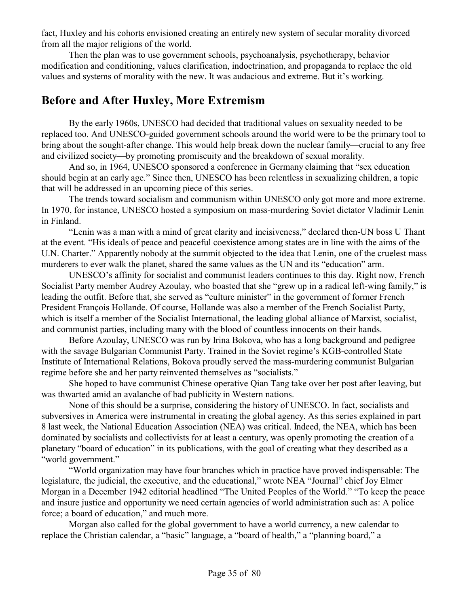fact, Huxley and his cohorts envisioned creating an entirely new system of secular morality divorced from all the major religions of the world.

Then the plan was to use government schools, psychoanalysis, psychotherapy, behavior modification and conditioning, values clarification, indoctrination, and propaganda to replace the old values and systems of morality with the new. It was audacious and extreme. But it's working.

### **Before and After Huxley, More Extremism**

By the early 1960s, UNESCO had decided that traditional values on sexuality needed to be replaced too. And UNESCO-guided government schools around the world were to be the primary tool to bring about the sought-after change. This would help break down the nuclear family—crucial to any free and civilized society—by promoting promiscuity and the breakdown of sexual morality.

And so, in 1964, UNESCO sponsored a conference in Germany claiming that "sex education should begin at an early age." Since then, UNESCO has been relentless in sexualizing children, a topic that will be addressed in an upcoming piece of this series.

The trends toward socialism and communism within UNESCO only got more and more extreme. In 1970, for instance, UNESCO hosted a symposium on mass-murdering Soviet dictator Vladimir Lenin in Finland.

"Lenin was a man with a mind of great clarity and incisiveness," declared then-UN boss U Thant at the event. "His ideals of peace and peaceful coexistence among states are in line with the aims of the U.N. Charter." Apparently nobody at the summit objected to the idea that Lenin, one of the cruelest mass murderers to ever walk the planet, shared the same values as the UN and its "education" arm.

UNESCO's affinity for socialist and communist leaders continues to this day. Right now, French Socialist Party member Audrey Azoulay, who boasted that she "grew up in a radical left-wing family," is leading the outfit. Before that, she served as "culture minister" in the government of former French President François Hollande. Of course, Hollande was also a member of the French Socialist Party, which is itself a member of the Socialist International, the leading global alliance of Marxist, socialist, and communist parties, including many with the blood of countless innocents on their hands.

Before Azoulay, UNESCO was run by Irina Bokova, who has a long background and pedigree with the savage Bulgarian Communist Party. Trained in the Soviet regime's KGB-controlled State Institute of International Relations, Bokova proudly served the mass-murdering communist Bulgarian regime before she and her party reinvented themselves as "socialists."

She hoped to have communist Chinese operative Qian Tang take over her post after leaving, but was thwarted amid an avalanche of bad publicity in Western nations.

None of this should be a surprise, considering the history of UNESCO. In fact, socialists and subversives in America were instrumental in creating the global agency. As this series explained in part 8 last week, the National Education Association (NEA) was critical. Indeed, the NEA, which has been dominated by socialists and collectivists for at least a century, was openly promoting the creation of a planetary "board of education" in its publications, with the goal of creating what they described as a "world government."

"World organization may have four branches which in practice have proved indispensable: The legislature, the judicial, the executive, and the educational," wrote NEA "Journal" chief Joy Elmer Morgan in a December 1942 editorial headlined "The United Peoples of the World." "To keep the peace and insure justice and opportunity we need certain agencies of world administration such as: A police force; a board of education," and much more.

Morgan also called for the global government to have a world currency, a new calendar to replace the Christian calendar, a "basic" language, a "board of health," a "planning board," a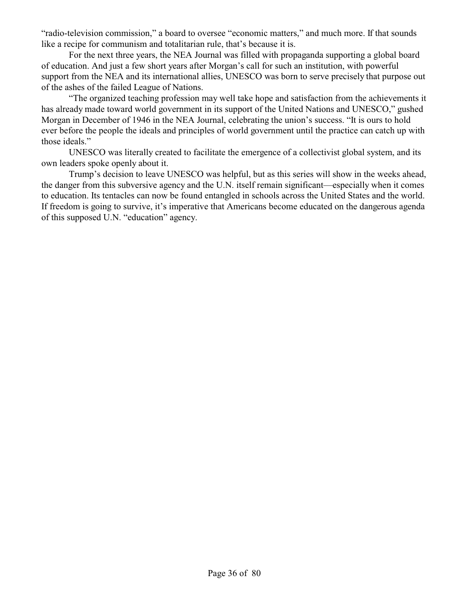"radio-television commission," a board to oversee "economic matters," and much more. If that sounds like a recipe for communism and totalitarian rule, that's because it is.

For the next three years, the NEA Journal was filled with propaganda supporting a global board of education. And just a few short years after Morgan's call for such an institution, with powerful support from the NEA and its international allies, UNESCO was born to serve precisely that purpose out of the ashes of the failed League of Nations.

"The organized teaching profession may well take hope and satisfaction from the achievements it has already made toward world government in its support of the United Nations and UNESCO," gushed Morgan in December of 1946 in the NEA Journal, celebrating the union's success. "It is ours to hold ever before the people the ideals and principles of world government until the practice can catch up with those ideals."

UNESCO was literally created to facilitate the emergence of a collectivist global system, and its own leaders spoke openly about it.

Trump's decision to leave UNESCO was helpful, but as this series will show in the weeks ahead, the danger from this subversive agency and the U.N. itself remain significant—especially when it comes to education. Its tentacles can now be found entangled in schools across the United States and the world. If freedom is going to survive, it's imperative that Americans become educated on the dangerous agenda of this supposed U.N. "education" agency.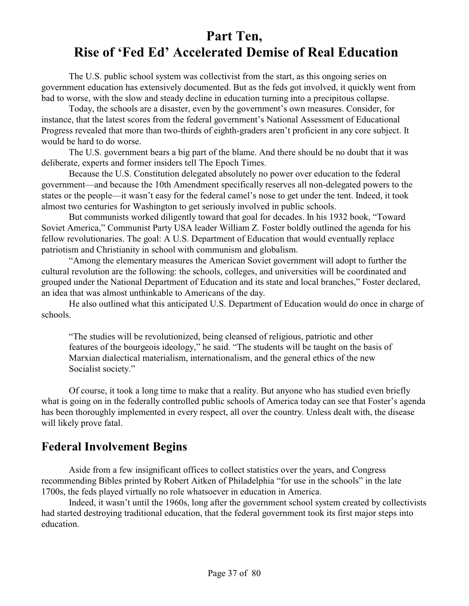# **Part Ten, Rise of 'Fed Ed' Accelerated Demise of Real Education**

The U.S. public school system was collectivist from the start, as this ongoing series on government education has extensively documented. But as the feds got involved, it quickly went from bad to worse, with the slow and steady decline in education turning into a precipitous collapse.

Today, the schools are a disaster, even by the government's own measures. Consider, for instance, that the latest scores from the federal government's National Assessment of Educational Progress revealed that more than two-thirds of eighth-graders aren't proficient in any core subject. It would be hard to do worse.

The U.S. government bears a big part of the blame. And there should be no doubt that it was deliberate, experts and former insiders tell The Epoch Times.

Because the U.S. Constitution delegated absolutely no power over education to the federal government—and because the 10th Amendment specifically reserves all non-delegated powers to the states or the people—it wasn't easy for the federal camel's nose to get under the tent. Indeed, it took almost two centuries for Washington to get seriously involved in public schools.

But communists worked diligently toward that goal for decades. In his 1932 book, "Toward Soviet America," Communist Party USA leader William Z. Foster boldly outlined the agenda for his fellow revolutionaries. The goal: A U.S. Department of Education that would eventually replace patriotism and Christianity in school with communism and globalism.

"Among the elementary measures the American Soviet government will adopt to further the cultural revolution are the following: the schools, colleges, and universities will be coordinated and grouped under the National Department of Education and its state and local branches," Foster declared, an idea that was almost unthinkable to Americans of the day.

He also outlined what this anticipated U.S. Department of Education would do once in charge of schools.

"The studies will be revolutionized, being cleansed of religious, patriotic and other features of the bourgeois ideology," he said. "The students will be taught on the basis of Marxian dialectical materialism, internationalism, and the general ethics of the new Socialist society."

Of course, it took a long time to make that a reality. But anyone who has studied even briefly what is going on in the federally controlled public schools of America today can see that Foster's agenda has been thoroughly implemented in every respect, all over the country. Unless dealt with, the disease will likely prove fatal.

### **Federal Involvement Begins**

Aside from a few insignificant offices to collect statistics over the years, and Congress recommending Bibles printed by Robert Aitken of Philadelphia "for use in the schools" in the late 1700s, the feds played virtually no role whatsoever in education in America.

Indeed, it wasn't until the 1960s, long after the government school system created by collectivists had started destroying traditional education, that the federal government took its first major steps into education.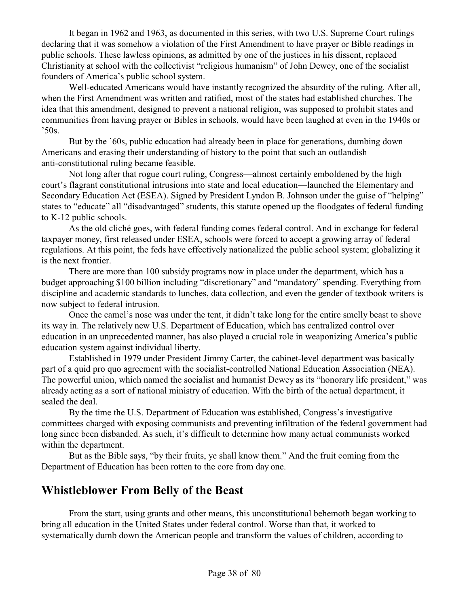It began in 1962 and 1963, as documented in this series, with two U.S. Supreme Court rulings declaring that it was somehow a violation of the First Amendment to have prayer or Bible readings in public schools. These lawless opinions, as admitted by one of the justices in his dissent, replaced Christianity at school with the collectivist "religious humanism" of John Dewey, one of the socialist founders of America's public school system.

Well-educated Americans would have instantly recognized the absurdity of the ruling. After all, when the First Amendment was written and ratified, most of the states had established churches. The idea that this amendment, designed to prevent a national religion, was supposed to prohibit states and communities from having prayer or Bibles in schools, would have been laughed at even in the 1940s or '50s.

But by the '60s, public education had already been in place for generations, dumbing down Americans and erasing their understanding of history to the point that such an outlandish anti-constitutional ruling became feasible.

Not long after that rogue court ruling, Congress—almost certainly emboldened by the high court's flagrant constitutional intrusions into state and local education—launched the Elementary and Secondary Education Act (ESEA). Signed by President Lyndon B. Johnson under the guise of "helping" states to "educate" all "disadvantaged" students, this statute opened up the floodgates of federal funding to K-12 public schools.

As the old cliché goes, with federal funding comes federal control. And in exchange for federal taxpayer money, first released under ESEA, schools were forced to accept a growing array of federal regulations. At this point, the feds have effectively nationalized the public school system; globalizing it is the next frontier.

There are more than 100 subsidy programs now in place under the department, which has a budget approaching \$100 billion including "discretionary" and "mandatory" spending. Everything from discipline and academic standards to lunches, data collection, and even the gender of textbook writers is now subject to federal intrusion.

Once the camel's nose was under the tent, it didn't take long for the entire smelly beast to shove its way in. The relatively new U.S. Department of Education, which has centralized control over education in an unprecedented manner, has also played a crucial role in weaponizing America's public education system against individual liberty.

Established in 1979 under President Jimmy Carter, the cabinet-level department was basically part of a quid pro quo agreement with the socialist-controlled National Education Association (NEA). The powerful union, which named the socialist and humanist Dewey as its "honorary life president," was already acting as a sort of national ministry of education. With the birth of the actual department, it sealed the deal.

By the time the U.S. Department of Education was established, Congress's investigative committees charged with exposing communists and preventing infiltration of the federal government had long since been disbanded. As such, it's difficult to determine how many actual communists worked within the department.

But as the Bible says, "by their fruits, ye shall know them." And the fruit coming from the Department of Education has been rotten to the core from day one.

## **Whistleblower From Belly of the Beast**

From the start, using grants and other means, this unconstitutional behemoth began working to bring all education in the United States under federal control. Worse than that, it worked to systematically dumb down the American people and transform the values of children, according to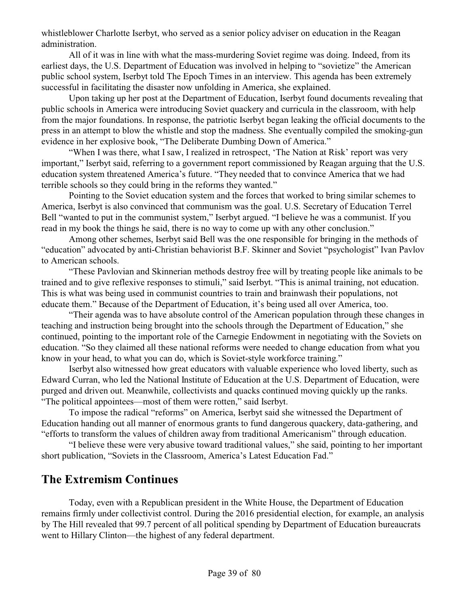whistleblower Charlotte Iserbyt, who served as a senior policy adviser on education in the Reagan administration.

All of it was in line with what the mass-murdering Soviet regime was doing. Indeed, from its earliest days, the U.S. Department of Education was involved in helping to "sovietize" the American public school system, Iserbyt told The Epoch Times in an interview. This agenda has been extremely successful in facilitating the disaster now unfolding in America, she explained.

Upon taking up her post at the Department of Education, Iserbyt found documents revealing that public schools in America were introducing Soviet quackery and curricula in the classroom, with help from the major foundations. In response, the patriotic Iserbyt began leaking the official documents to the press in an attempt to blow the whistle and stop the madness. She eventually compiled the smoking-gun evidence in her explosive book, "The Deliberate Dumbing Down of America."

"When I was there, what I saw, I realized in retrospect, 'The Nation at Risk' report was very important," Iserbyt said, referring to a government report commissioned by Reagan arguing that the U.S. education system threatened America's future. "They needed that to convince America that we had terrible schools so they could bring in the reforms they wanted."

Pointing to the Soviet education system and the forces that worked to bring similar schemes to America, Iserbyt is also convinced that communism was the goal. U.S. Secretary of Education Terrel Bell "wanted to put in the communist system," Iserbyt argued. "I believe he was a communist. If you read in my book the things he said, there is no way to come up with any other conclusion."

Among other schemes, Iserbyt said Bell was the one responsible for bringing in the methods of "education" advocated by anti-Christian behaviorist B.F. Skinner and Soviet "psychologist" Ivan Pavlov to American schools.

"These Pavlovian and Skinnerian methods destroy free will by treating people like animals to be trained and to give reflexive responses to stimuli," said Iserbyt. "This is animal training, not education. This is what was being used in communist countries to train and brainwash their populations, not educate them." Because of the Department of Education, it's being used all over America, too.

"Their agenda was to have absolute control of the American population through these changes in teaching and instruction being brought into the schools through the Department of Education," she continued, pointing to the important role of the Carnegie Endowment in negotiating with the Soviets on education. "So they claimed all these national reforms were needed to change education from what you know in your head, to what you can do, which is Soviet-style workforce training."

Iserbyt also witnessed how great educators with valuable experience who loved liberty, such as Edward Curran, who led the National Institute of Education at the U.S. Department of Education, were purged and driven out. Meanwhile, collectivists and quacks continued moving quickly up the ranks. "The political appointees—most of them were rotten," said Iserbyt.

To impose the radical "reforms" on America, Iserbyt said she witnessed the Department of Education handing out all manner of enormous grants to fund dangerous quackery, data-gathering, and "efforts to transform the values of children away from traditional Americanism" through education.

"I believe these were very abusive toward traditional values," she said, pointing to her important short publication, "Soviets in the Classroom, America's Latest Education Fad."

### **The Extremism Continues**

Today, even with a Republican president in the White House, the Department of Education remains firmly under collectivist control. During the 2016 presidential election, for example, an analysis by The Hill revealed that 99.7 percent of all political spending by Department of Education bureaucrats went to Hillary Clinton—the highest of any federal department.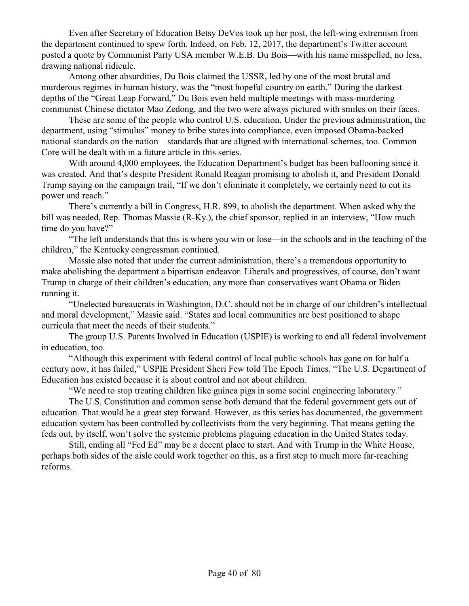Even after Secretary of Education Betsy DeVos took up her post, the left-wing extremism from the department continued to spew forth. Indeed, on Feb. 12, 2017, the department's Twitter account posted a quote by Communist Party USA member W.E.B. Du Bois—with his name misspelled, no less, drawing national ridicule.

Among other absurdities, Du Bois claimed the USSR, led by one of the most brutal and murderous regimes in human history, was the "most hopeful country on earth." During the darkest depths of the "Great Leap Forward," Du Bois even held multiple meetings with mass-murdering communist Chinese dictator Mao Zedong, and the two were always pictured with smiles on their faces.

These are some of the people who control U.S. education. Under the previous administration, the department, using "stimulus" money to bribe states into compliance, even imposed Obama-backed national standards on the nation—standards that are aligned with international schemes, too. Common Core will be dealt with in a future article in this series.

With around 4,000 employees, the Education Department's budget has been ballooning since it was created. And that's despite President Ronald Reagan promising to abolish it, and President Donald Trump saying on the campaign trail, "If we don't eliminate it completely, we certainly need to cut its power and reach."

There's currently a bill in Congress, H.R. 899, to abolish the department. When asked why the bill was needed, Rep. Thomas Massie (R-Ky.), the chief sponsor, replied in an interview, "How much time do you have?"

"The left understands that this is where you win or lose—in the schools and in the teaching of the children," the Kentucky congressman continued.

Massie also noted that under the current administration, there's a tremendous opportunity to make abolishing the department a bipartisan endeavor. Liberals and progressives, of course, don't want Trump in charge of their children's education, any more than conservatives want Obama or Biden running it.

"Unelected bureaucrats in Washington, D.C. should not be in charge of our children's intellectual and moral development," Massie said. "States and local communities are best positioned to shape curricula that meet the needs of their students."

The group U.S. Parents Involved in Education (USPIE) is working to end all federal involvement in education, too.

"Although this experiment with federal control of local public schools has gone on for half a century now, it has failed," USPIE President Sheri Few told The Epoch Times. "The U.S. Department of Education has existed because it is about control and not about children.

"We need to stop treating children like guinea pigs in some social engineering laboratory."

The U.S. Constitution and common sense both demand that the federal government gets out of education. That would be a great step forward. However, as this series has documented, the government education system has been controlled by collectivists from the very beginning. That means getting the feds out, by itself, won't solve the systemic problems plaguing education in the United States today.

Still, ending all "Fed Ed" may be a decent place to start. And with Trump in the White House, perhaps both sides of the aisle could work together on this, as a first step to much more far-reaching reforms.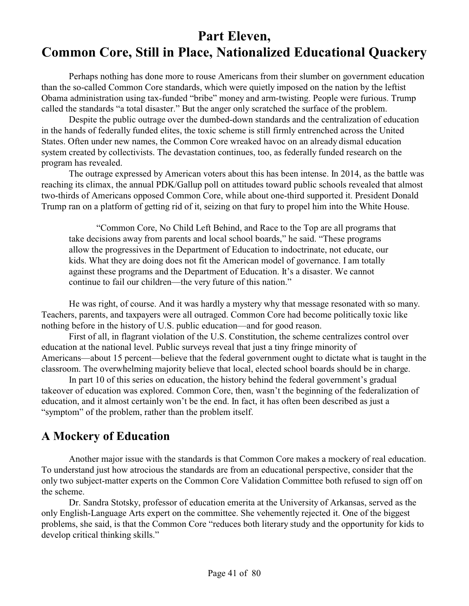# **Part Eleven, Common Core, Still in Place, Nationalized Educational Quackery**

Perhaps nothing has done more to rouse Americans from their slumber on government education than the so-called Common Core standards, which were quietly imposed on the nation by the leftist Obama administration using tax-funded "bribe" money and arm-twisting. People were furious. Trump called the standards "a total disaster." But the anger only scratched the surface of the problem.

Despite the public outrage over the dumbed-down standards and the centralization of education in the hands of federally funded elites, the toxic scheme is still firmly entrenched across the United States. Often under new names, the Common Core wreaked havoc on an already dismal education system created by collectivists. The devastation continues, too, as federally funded research on the program has revealed.

The outrage expressed by American voters about this has been intense. In 2014, as the battle was reaching its climax, the annual PDK/Gallup poll on attitudes toward public schools revealed that almost two-thirds of Americans opposed Common Core, while about one-third supported it. President Donald Trump ran on a platform of getting rid of it, seizing on that fury to propel him into the White House.

"Common Core, No Child Left Behind, and Race to the Top are all programs that take decisions away from parents and local school boards," he said. "These programs allow the progressives in the Department of Education to indoctrinate, not educate, our kids. What they are doing does not fit the American model of governance. I am totally against these programs and the Department of Education. It's a disaster. We cannot continue to fail our children—the very future of this nation."

He was right, of course. And it was hardly a mystery why that message resonated with so many. Teachers, parents, and taxpayers were all outraged. Common Core had become politically toxic like nothing before in the history of U.S. public education—and for good reason.

First of all, in flagrant violation of the U.S. Constitution, the scheme centralizes control over education at the national level. Public surveys reveal that just a tiny fringe minority of Americans—about 15 percent—believe that the federal government ought to dictate what is taught in the classroom. The overwhelming majority believe that local, elected school boards should be in charge.

In part 10 of this series on education, the history behind the federal government's gradual takeover of education was explored. Common Core, then, wasn't the beginning of the federalization of education, and it almost certainly won't be the end. In fact, it has often been described as just a "symptom" of the problem, rather than the problem itself.

### **A Mockery of Education**

Another major issue with the standards is that Common Core makes a mockery of real education. To understand just how atrocious the standards are from an educational perspective, consider that the only two subject-matter experts on the Common Core Validation Committee both refused to sign off on the scheme.

Dr. Sandra Stotsky, professor of education emerita at the University of Arkansas, served as the only English-Language Arts expert on the committee. She vehemently rejected it. One of the biggest problems, she said, is that the Common Core "reduces both literary study and the opportunity for kids to develop critical thinking skills."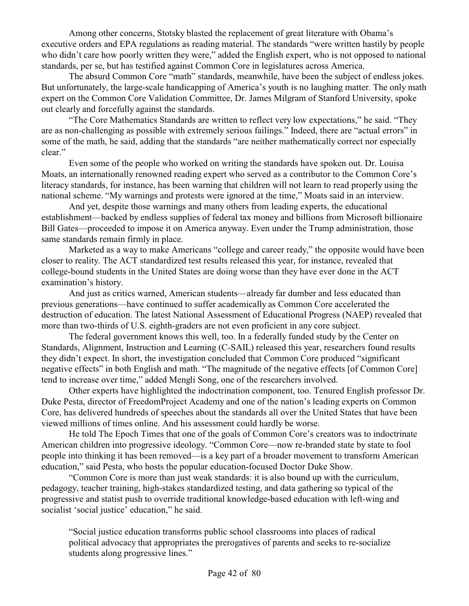Among other concerns, Stotsky blasted the replacement of great literature with Obama's executive orders and EPA regulations as reading material. The standards "were written hastily by people who didn't care how poorly written they were," added the English expert, who is not opposed to national standards, per se, but has testified against Common Core in legislatures across America.

The absurd Common Core "math" standards, meanwhile, have been the subject of endless jokes. But unfortunately, the large-scale handicapping of America's youth is no laughing matter. The only math expert on the Common Core Validation Committee, Dr. James Milgram of Stanford University, spoke out clearly and forcefully against the standards.

"The Core Mathematics Standards are written to reflect very low expectations," he said. "They are as non-challenging as possible with extremely serious failings." Indeed, there are "actual errors" in some of the math, he said, adding that the standards "are neither mathematically correct nor especially clear."

Even some of the people who worked on writing the standards have spoken out. Dr. Louisa Moats, an internationally renowned reading expert who served as a contributor to the Common Core's literacy standards, for instance, has been warning that children will not learn to read properly using the national scheme. "My warnings and protests were ignored at the time," Moats said in an interview.

And yet, despite those warnings and many others from leading experts, the educational establishment—backed by endless supplies of federal tax money and billions from Microsoft billionaire Bill Gates—proceeded to impose it on America anyway. Even under the Trump administration, those same standards remain firmly in place.

Marketed as a way to make Americans "college and career ready," the opposite would have been closer to reality. The ACT standardized test results released this year, for instance, revealed that college-bound students in the United States are doing worse than they have ever done in the ACT examination's history.

And just as critics warned, American students—already far dumber and less educated than previous generations—have continued to suffer academically as Common Core accelerated the destruction of education. The latest National Assessment of Educational Progress (NAEP) revealed that more than two-thirds of U.S. eighth-graders are not even proficient in any core subject.

The federal government knows this well, too. In a federally funded study by the Center on Standards, Alignment, Instruction and Learning (C-SAIL) released this year, researchers found results they didn't expect. In short, the investigation concluded that Common Core produced "significant negative effects" in both English and math. "The magnitude of the negative effects [of Common Core] tend to increase over time," added Mengli Song, one of the researchers involved.

Other experts have highlighted the indoctrination component, too. Tenured English professor Dr. Duke Pesta, director of FreedomProject Academy and one of the nation's leading experts on Common Core, has delivered hundreds of speeches about the standards all over the United States that have been viewed millions of times online. And his assessment could hardly be worse.

He told The Epoch Times that one of the goals of Common Core's creators was to indoctrinate American children into progressive ideology. "Common Core—now re-branded state by state to fool people into thinking it has been removed—is a key part of a broader movement to transform American education," said Pesta, who hosts the popular education-focused Doctor Duke Show.

"Common Core is more than just weak standards: it is also bound up with the curriculum, pedagogy, teacher training, high-stakes standardized testing, and data gathering so typical of the progressive and statist push to override traditional knowledge-based education with left-wing and socialist 'social justice' education," he said.

"Social justice education transforms public school classrooms into places of radical political advocacy that appropriates the prerogatives of parents and seeks to re-socialize students along progressive lines."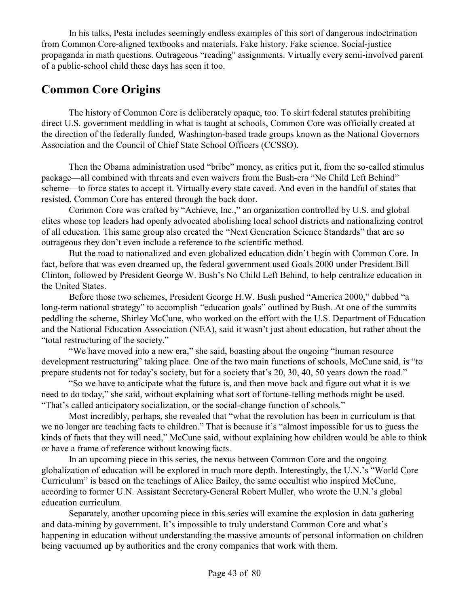In his talks, Pesta includes seemingly endless examples of this sort of dangerous indoctrination from Common Core-aligned textbooks and materials. Fake history. Fake science. Social-justice propaganda in math questions. Outrageous "reading" assignments. Virtually every semi-involved parent of a public-school child these days has seen it too.

## **Common Core Origins**

The history of Common Core is deliberately opaque, too. To skirt federal statutes prohibiting direct U.S. government meddling in what is taught at schools, Common Core was officially created at the direction of the federally funded, Washington-based trade groups known as the National Governors Association and the Council of Chief State School Officers (CCSSO).

Then the Obama administration used "bribe" money, as critics put it, from the so-called stimulus package—all combined with threats and even waivers from the Bush-era "No Child Left Behind" scheme—to force states to accept it. Virtually every state caved. And even in the handful of states that resisted, Common Core has entered through the back door.

Common Core was crafted by "Achieve, Inc.," an organization controlled by U.S. and global elites whose top leaders had openly advocated abolishing local school districts and nationalizing control of all education. This same group also created the "Next Generation Science Standards" that are so outrageous they don't even include a reference to the scientific method.

But the road to nationalized and even globalized education didn't begin with Common Core. In fact, before that was even dreamed up, the federal government used Goals 2000 under President Bill Clinton, followed by President George W. Bush's No Child Left Behind, to help centralize education in the United States.

Before those two schemes, President George H.W. Bush pushed "America 2000," dubbed "a long-term national strategy" to accomplish "education goals" outlined by Bush. At one of the summits peddling the scheme, Shirley McCune, who worked on the effort with the U.S. Department of Education and the National Education Association (NEA), said it wasn't just about education, but rather about the "total restructuring of the society."

"We have moved into a new era," she said, boasting about the ongoing "human resource development restructuring" taking place. One of the two main functions of schools, McCune said, is "to prepare students not for today's society, but for a society that's 20, 30, 40, 50 years down the road."

"So we have to anticipate what the future is, and then move back and figure out what it is we need to do today," she said, without explaining what sort of fortune-telling methods might be used. "That's called anticipatory socialization, or the social-change function of schools."

Most incredibly, perhaps, she revealed that "what the revolution has been in curriculum is that we no longer are teaching facts to children." That is because it's "almost impossible for us to guess the kinds of facts that they will need," McCune said, without explaining how children would be able to think or have a frame of reference without knowing facts.

In an upcoming piece in this series, the nexus between Common Core and the ongoing globalization of education will be explored in much more depth. Interestingly, the U.N.'s "World Core Curriculum" is based on the teachings of Alice Bailey, the same occultist who inspired McCune, according to former U.N. Assistant Secretary-General Robert Muller, who wrote the U.N.'s global education curriculum.

Separately, another upcoming piece in this series will examine the explosion in data gathering and data-mining by government. It's impossible to truly understand Common Core and what's happening in education without understanding the massive amounts of personal information on children being vacuumed up by authorities and the crony companies that work with them.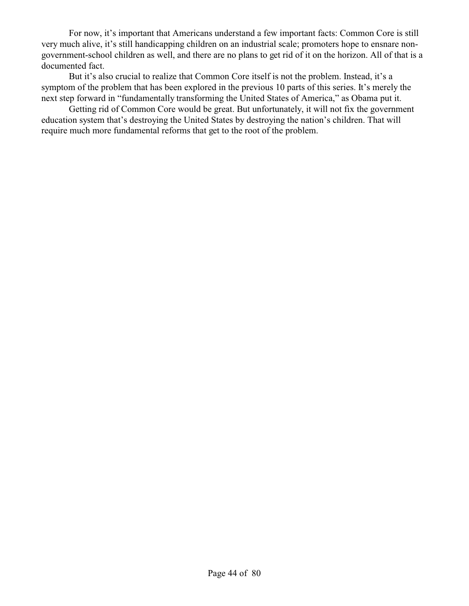For now, it's important that Americans understand a few important facts: Common Core is still very much alive, it's still handicapping children on an industrial scale; promoters hope to ensnare nongovernment-school children as well, and there are no plans to get rid of it on the horizon. All of that is a documented fact.

But it's also crucial to realize that Common Core itself is not the problem. Instead, it's a symptom of the problem that has been explored in the previous 10 parts of this series. It's merely the next step forward in "fundamentally transforming the United States of America," as Obama put it.

Getting rid of Common Core would be great. But unfortunately, it will not fix the government education system that's destroying the United States by destroying the nation's children. That will require much more fundamental reforms that get to the root of the problem.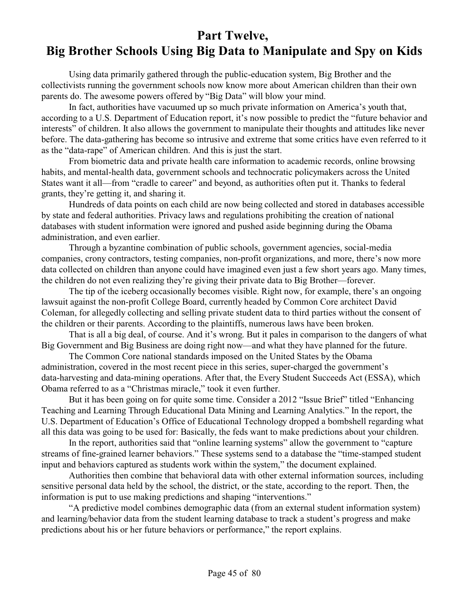## **Part Twelve, Big Brother Schools Using Big Data to Manipulate and Spy on Kids**

Using data primarily gathered through the public-education system, Big Brother and the collectivists running the government schools now know more about American children than their own parents do. The awesome powers offered by "Big Data" will blow your mind.

In fact, authorities have vacuumed up so much private information on America's youth that, according to a U.S. Department of Education report, it's now possible to predict the "future behavior and interests" of children. It also allows the government to manipulate their thoughts and attitudes like never before. The data-gathering has become so intrusive and extreme that some critics have even referred to it as the "data-rape" of American children. And this is just the start.

From biometric data and private health care information to academic records, online browsing habits, and mental-health data, government schools and technocratic policymakers across the United States want it all—from "cradle to career" and beyond, as authorities often put it. Thanks to federal grants, they're getting it, and sharing it.

Hundreds of data points on each child are now being collected and stored in databases accessible by state and federal authorities. Privacy laws and regulations prohibiting the creation of national databases with student information were ignored and pushed aside beginning during the Obama administration, and even earlier.

Through a byzantine combination of public schools, government agencies, social-media companies, crony contractors, testing companies, non-profit organizations, and more, there's now more data collected on children than anyone could have imagined even just a few short years ago. Many times, the children do not even realizing they're giving their private data to Big Brother—forever.

The tip of the iceberg occasionally becomes visible. Right now, for example, there's an ongoing lawsuit against the non-profit College Board, currently headed by Common Core architect David Coleman, for allegedly collecting and selling private student data to third parties without the consent of the children or their parents. According to the plaintiffs, numerous laws have been broken.

That is all a big deal, of course. And it's wrong. But it pales in comparison to the dangers of what Big Government and Big Business are doing right now—and what they have planned for the future.

The Common Core national standards imposed on the United States by the Obama administration, covered in the most recent piece in this series, super-charged the government's data-harvesting and data-mining operations. After that, the Every Student Succeeds Act (ESSA), which Obama referred to as a "Christmas miracle," took it even further.

But it has been going on for quite some time. Consider a 2012 "Issue Brief" titled "Enhancing Teaching and Learning Through Educational Data Mining and Learning Analytics." In the report, the U.S. Department of Education's Office of Educational Technology dropped a bombshell regarding what all this data was going to be used for: Basically, the feds want to make predictions about your children.

In the report, authorities said that "online learning systems" allow the government to "capture streams of fine-grained learner behaviors." These systems send to a database the "time-stamped student input and behaviors captured as students work within the system," the document explained.

Authorities then combine that behavioral data with other external information sources, including sensitive personal data held by the school, the district, or the state, according to the report. Then, the information is put to use making predictions and shaping "interventions."

"A predictive model combines demographic data (from an external student information system) and learning/behavior data from the student learning database to track a student's progress and make predictions about his or her future behaviors or performance," the report explains.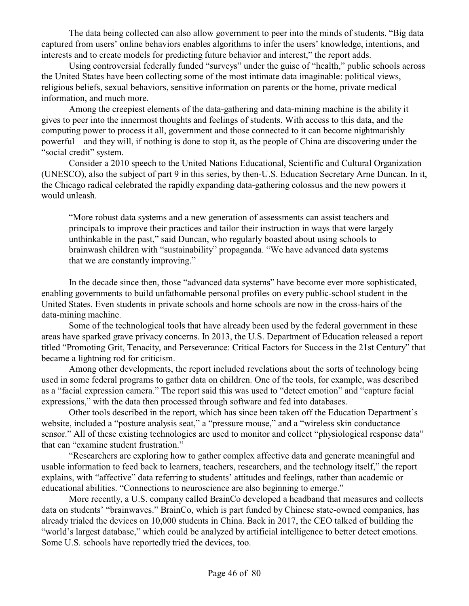The data being collected can also allow government to peer into the minds of students. "Big data captured from users' online behaviors enables algorithms to infer the users' knowledge, intentions, and interests and to create models for predicting future behavior and interest," the report adds.

Using controversial federally funded "surveys" under the guise of "health," public schools across the United States have been collecting some of the most intimate data imaginable: political views, religious beliefs, sexual behaviors, sensitive information on parents or the home, private medical information, and much more.

Among the creepiest elements of the data-gathering and data-mining machine is the ability it gives to peer into the innermost thoughts and feelings of students. With access to this data, and the computing power to process it all, government and those connected to it can become nightmarishly powerful—and they will, if nothing is done to stop it, as the people of China are discovering under the "social credit" system.

Consider a 2010 speech to the United Nations Educational, Scientific and Cultural Organization (UNESCO), also the subject of part 9 in this series, by then-U.S. Education Secretary Arne Duncan. In it, the Chicago radical celebrated the rapidly expanding data-gathering colossus and the new powers it would unleash.

"More robust data systems and a new generation of assessments can assist teachers and principals to improve their practices and tailor their instruction in ways that were largely unthinkable in the past," said Duncan, who regularly boasted about using schools to brainwash children with "sustainability" propaganda. "We have advanced data systems that we are constantly improving."

In the decade since then, those "advanced data systems" have become ever more sophisticated, enabling governments to build unfathomable personal profiles on every public-school student in the United States. Even students in private schools and home schools are now in the cross-hairs of the data-mining machine.

Some of the technological tools that have already been used by the federal government in these areas have sparked grave privacy concerns. In 2013, the U.S. Department of Education released a report titled "Promoting Grit, Tenacity, and Perseverance: Critical Factors for Success in the 21st Century" that became a lightning rod for criticism.

Among other developments, the report included revelations about the sorts of technology being used in some federal programs to gather data on children. One of the tools, for example, was described as a "facial expression camera." The report said this was used to "detect emotion" and "capture facial expressions," with the data then processed through software and fed into databases.

Other tools described in the report, which has since been taken off the Education Department's website, included a "posture analysis seat," a "pressure mouse," and a "wireless skin conductance sensor." All of these existing technologies are used to monitor and collect "physiological response data" that can "examine student frustration."

"Researchers are exploring how to gather complex affective data and generate meaningful and usable information to feed back to learners, teachers, researchers, and the technology itself," the report explains, with "affective" data referring to students' attitudes and feelings, rather than academic or educational abilities. "Connections to neuroscience are also beginning to emerge."

More recently, a U.S. company called BrainCo developed a headband that measures and collects data on students' "brainwaves." BrainCo, which is part funded by Chinese state-owned companies, has already trialed the devices on 10,000 students in China. Back in 2017, the CEO talked of building the "world's largest database," which could be analyzed by artificial intelligence to better detect emotions. Some U.S. schools have reportedly tried the devices, too.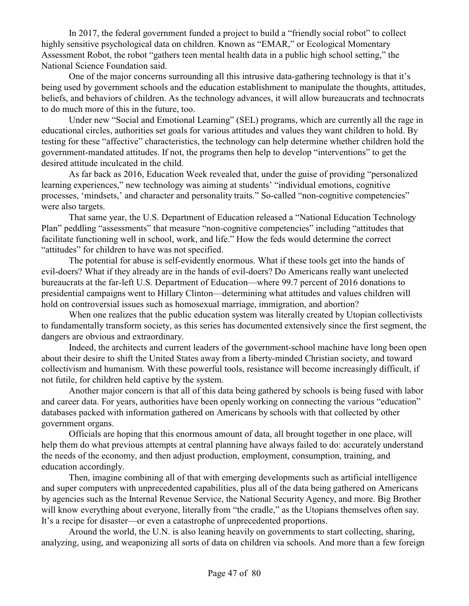In 2017, the federal government funded a project to build a "friendly social robot" to collect highly sensitive psychological data on children. Known as "EMAR," or Ecological Momentary Assessment Robot, the robot "gathers teen mental health data in a public high school setting," the National Science Foundation said.

One of the major concerns surrounding all this intrusive data-gathering technology is that it's being used by government schools and the education establishment to manipulate the thoughts, attitudes, beliefs, and behaviors of children. As the technology advances, it will allow bureaucrats and technocrats to do much more of this in the future, too.

Under new "Social and Emotional Learning" (SEL) programs, which are currently all the rage in educational circles, authorities set goals for various attitudes and values they want children to hold. By testing for these "affective" characteristics, the technology can help determine whether children hold the government-mandated attitudes. If not, the programs then help to develop "interventions" to get the desired attitude inculcated in the child.

As far back as 2016, Education Week revealed that, under the guise of providing "personalized learning experiences," new technology was aiming at students' "individual emotions, cognitive processes, 'mindsets,' and character and personality traits." So-called "non-cognitive competencies" were also targets.

That same year, the U.S. Department of Education released a "National Education Technology Plan" peddling "assessments" that measure "non-cognitive competencies" including "attitudes that facilitate functioning well in school, work, and life." How the feds would determine the correct "attitudes" for children to have was not specified.

The potential for abuse is self-evidently enormous. What if these tools get into the hands of evil-doers? What if they already are in the hands of evil-doers? Do Americans really want unelected bureaucrats at the far-left U.S. Department of Education—where 99.7 percent of 2016 donations to presidential campaigns went to Hillary Clinton—determining what attitudes and values children will hold on controversial issues such as homosexual marriage, immigration, and abortion?

When one realizes that the public education system was literally created by Utopian collectivists to fundamentally transform society, as this series has documented extensively since the first segment, the dangers are obvious and extraordinary.

Indeed, the architects and current leaders of the government-school machine have long been open about their desire to shift the United States away from a liberty-minded Christian society, and toward collectivism and humanism. With these powerful tools, resistance will become increasingly difficult, if not futile, for children held captive by the system.

Another major concern is that all of this data being gathered by schools is being fused with labor and career data. For years, authorities have been openly working on connecting the various "education" databases packed with information gathered on Americans by schools with that collected by other government organs.

Officials are hoping that this enormous amount of data, all brought together in one place, will help them do what previous attempts at central planning have always failed to do: accurately understand the needs of the economy, and then adjust production, employment, consumption, training, and education accordingly.

Then, imagine combining all of that with emerging developments such as artificial intelligence and super computers with unprecedented capabilities, plus all of the data being gathered on Americans by agencies such as the Internal Revenue Service, the National Security Agency, and more. Big Brother will know everything about everyone, literally from "the cradle," as the Utopians themselves often say. It's a recipe for disaster—or even a catastrophe of unprecedented proportions.

Around the world, the U.N. is also leaning heavily on governments to start collecting, sharing, analyzing, using, and weaponizing all sorts of data on children via schools. And more than a few foreign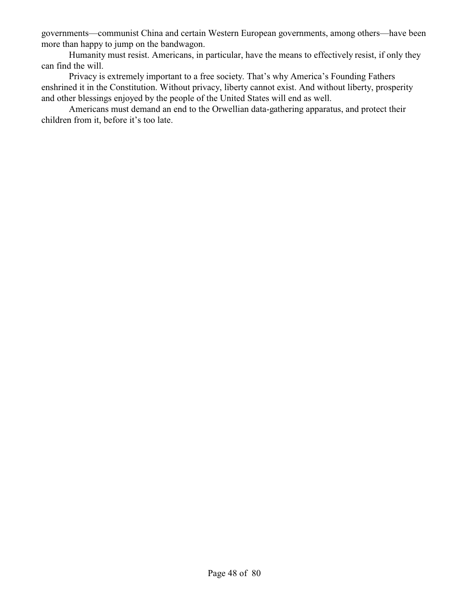governments—communist China and certain Western European governments, among others—have been more than happy to jump on the bandwagon.

Humanity must resist. Americans, in particular, have the means to effectively resist, if only they can find the will.

Privacy is extremely important to a free society. That's why America's Founding Fathers enshrined it in the Constitution. Without privacy, liberty cannot exist. And without liberty, prosperity and other blessings enjoyed by the people of the United States will end as well.

Americans must demand an end to the Orwellian data-gathering apparatus, and protect their children from it, before it's too late.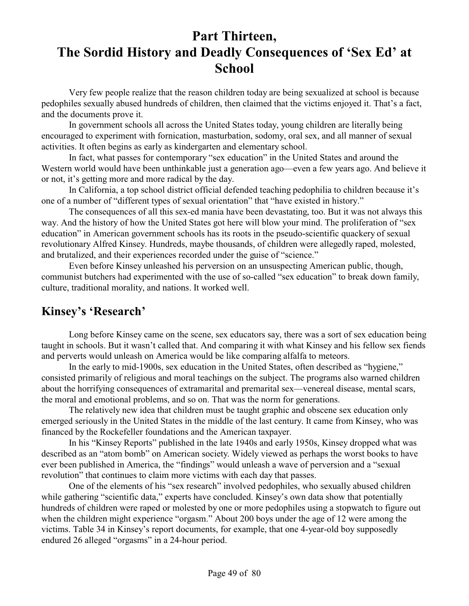# **Part Thirteen, The Sordid History and Deadly Consequences of 'Sex Ed' at School**

Very few people realize that the reason children today are being sexualized at school is because pedophiles sexually abused hundreds of children, then claimed that the victims enjoyed it. That's a fact, and the documents prove it.

In government schools all across the United States today, young children are literally being encouraged to experiment with fornication, masturbation, sodomy, oral sex, and all manner of sexual activities. It often begins as early as kindergarten and elementary school.

In fact, what passes for contemporary "sex education" in the United States and around the Western world would have been unthinkable just a generation ago—even a few years ago. And believe it or not, it's getting more and more radical by the day.

In California, a top school district official defended teaching pedophilia to children because it's one of a number of "different types of sexual orientation" that "have existed in history."

The consequences of all this sex-ed mania have been devastating, too. But it was not always this way. And the history of how the United States got here will blow your mind. The proliferation of "sex education" in American government schools has its roots in the pseudo-scientific quackery of sexual revolutionary Alfred Kinsey. Hundreds, maybe thousands, of children were allegedly raped, molested, and brutalized, and their experiences recorded under the guise of "science."

Even before Kinsey unleashed his perversion on an unsuspecting American public, though, communist butchers had experimented with the use of so-called "sex education" to break down family, culture, traditional morality, and nations. It worked well.

### **Kinsey's 'Research'**

Long before Kinsey came on the scene, sex educators say, there was a sort of sex education being taught in schools. But it wasn't called that. And comparing it with what Kinsey and his fellow sex fiends and perverts would unleash on America would be like comparing alfalfa to meteors.

In the early to mid-1900s, sex education in the United States, often described as "hygiene," consisted primarily of religious and moral teachings on the subject. The programs also warned children about the horrifying consequences of extramarital and premarital sex—venereal disease, mental scars, the moral and emotional problems, and so on. That was the norm for generations.

The relatively new idea that children must be taught graphic and obscene sex education only emerged seriously in the United States in the middle of the last century. It came from Kinsey, who was financed by the Rockefeller foundations and the American taxpayer.

In his "Kinsey Reports" published in the late 1940s and early 1950s, Kinsey dropped what was described as an "atom bomb" on American society. Widely viewed as perhaps the worst books to have ever been published in America, the "findings" would unleash a wave of perversion and a "sexual revolution" that continues to claim more victims with each day that passes.

One of the elements of his "sex research" involved pedophiles, who sexually abused children while gathering "scientific data," experts have concluded. Kinsey's own data show that potentially hundreds of children were raped or molested by one or more pedophiles using a stopwatch to figure out when the children might experience "orgasm." About 200 boys under the age of 12 were among the victims. Table 34 in Kinsey's report documents, for example, that one 4-year-old boy supposedly endured 26 alleged "orgasms" in a 24-hour period.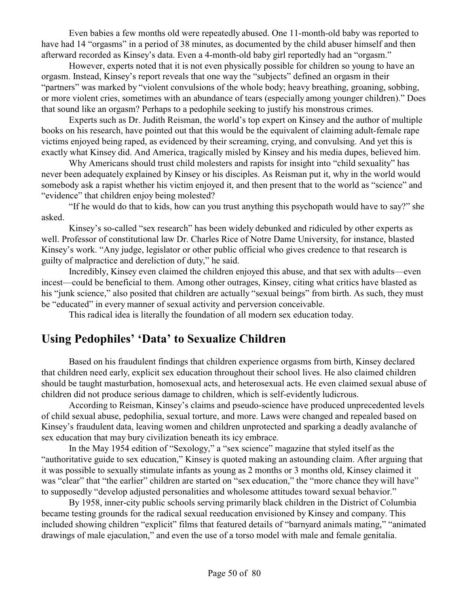Even babies a few months old were repeatedly abused. One 11-month-old baby was reported to have had 14 "orgasms" in a period of 38 minutes, as documented by the child abuser himself and then afterward recorded as Kinsey's data. Even a 4-month-old baby girl reportedly had an "orgasm."

However, experts noted that it is not even physically possible for children so young to have an orgasm. Instead, Kinsey's report reveals that one way the "subjects" defined an orgasm in their "partners" was marked by "violent convulsions of the whole body; heavy breathing, groaning, sobbing, or more violent cries, sometimes with an abundance of tears (especially among younger children)." Does that sound like an orgasm? Perhaps to a pedophile seeking to justify his monstrous crimes.

Experts such as Dr. Judith Reisman, the world's top expert on Kinsey and the author of multiple books on his research, have pointed out that this would be the equivalent of claiming adult-female rape victims enjoyed being raped, as evidenced by their screaming, crying, and convulsing. And yet this is exactly what Kinsey did. And America, tragically misled by Kinsey and his media dupes, believed him.

Why Americans should trust child molesters and rapists for insight into "child sexuality" has never been adequately explained by Kinsey or his disciples. As Reisman put it, why in the world would somebody ask a rapist whether his victim enjoyed it, and then present that to the world as "science" and "evidence" that children enjoy being molested?

"If he would do that to kids, how can you trust anything this psychopath would have to say?" she asked.

Kinsey's so-called "sex research" has been widely debunked and ridiculed by other experts as well. Professor of constitutional law Dr. Charles Rice of Notre Dame University, for instance, blasted Kinsey's work. "Any judge, legislator or other public official who gives credence to that research is guilty of malpractice and dereliction of duty," he said.

Incredibly, Kinsey even claimed the children enjoyed this abuse, and that sex with adults—even incest—could be beneficial to them. Among other outrages, Kinsey, citing what critics have blasted as his "junk science," also posited that children are actually "sexual beings" from birth. As such, they must be "educated" in every manner of sexual activity and perversion conceivable.

This radical idea is literally the foundation of all modern sex education today.

### **Using Pedophiles' 'Data' to Sexualize Children**

Based on his fraudulent findings that children experience orgasms from birth, Kinsey declared that children need early, explicit sex education throughout their school lives. He also claimed children should be taught masturbation, homosexual acts, and heterosexual acts. He even claimed sexual abuse of children did not produce serious damage to children, which is self-evidently ludicrous.

According to Reisman, Kinsey's claims and pseudo-science have produced unprecedented levels of child sexual abuse, pedophilia, sexual torture, and more. Laws were changed and repealed based on Kinsey's fraudulent data, leaving women and children unprotected and sparking a deadly avalanche of sex education that may bury civilization beneath its icy embrace.

In the May 1954 edition of "Sexology," a "sex science" magazine that styled itself as the "authoritative guide to sex education," Kinsey is quoted making an astounding claim. After arguing that it was possible to sexually stimulate infants as young as 2 months or 3 months old, Kinsey claimed it was "clear" that "the earlier" children are started on "sex education," the "more chance they will have" to supposedly "develop adjusted personalities and wholesome attitudes toward sexual behavior."

By 1958, inner-city public schools serving primarily black children in the District of Columbia became testing grounds for the radical sexual reeducation envisioned by Kinsey and company. This included showing children "explicit" films that featured details of "barnyard animals mating," "animated drawings of male ejaculation," and even the use of a torso model with male and female genitalia.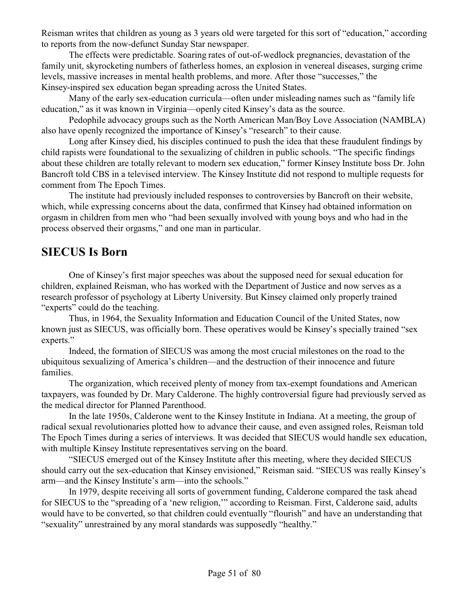Reisman writes that children as young as 3 years old were targeted for this sort of "education," according to reports from the now-defunct Sunday Star newspaper.

The effects were predictable. Soaring rates of out-of-wedlock pregnancies, devastation of the family unit, skyrocketing numbers of fatherless homes, an explosion in venereal diseases, surging crime levels, massive increases in mental health problems, and more. After those "successes," the Kinsey-inspired sex education began spreading across the United States.

Many of the early sex-education curricula—often under misleading names such as "family life education," as it was known in Virginia—openly cited Kinsey's data as the source.

Pedophile advocacy groups such as the North American Man/Boy Love Association (NAMBLA) also have openly recognized the importance of Kinsey's "research" to their cause.

Long after Kinsey died, his disciples continued to push the idea that these fraudulent findings by child rapists were foundational to the sexualizing of children in public schools. "The specific findings about these children are totally relevant to modern sex education," former Kinsey Institute boss Dr. John Bancroft told CBS in a televised interview. The Kinsey Institute did not respond to multiple requests for comment from The Epoch Times.

The institute had previously included responses to controversies by Bancroft on their website, which, while expressing concerns about the data, confirmed that Kinsey had obtained information on orgasm in children from men who "had been sexually involved with young boys and who had in the process observed their orgasms," and one man in particular.

#### **SIECUS Is Born**

One of Kinsey's first major speeches was about the supposed need for sexual education for children, explained Reisman, who has worked with the Department of Justice and now serves as a research professor of psychology at Liberty University. But Kinsey claimed only properly trained "experts" could do the teaching.

Thus, in 1964, the Sexuality Information and Education Council of the United States, now known just as SIECUS, was officially born. These operatives would be Kinsey's specially trained "sex experts."

Indeed, the formation of SIECUS was among the most crucial milestones on the road to the ubiquitous sexualizing of America's children—and the destruction of their innocence and future families.

The organization, which received plenty of money from tax-exempt foundations and American taxpayers, was founded by Dr. Mary Calderone. The highly controversial figure had previously served as the medical director for Planned Parenthood.

In the late 1950s, Calderone went to the Kinsey Institute in Indiana. At a meeting, the group of radical sexual revolutionaries plotted how to advance their cause, and even assigned roles, Reisman told The Epoch Times during a series of interviews. It was decided that SIECUS would handle sex education, with multiple Kinsey Institute representatives serving on the board.

"SIECUS emerged out of the Kinsey Institute after this meeting, where they decided SIECUS should carry out the sex-education that Kinsey envisioned," Reisman said. "SIECUS was really Kinsey's arm—and the Kinsey Institute's arm—into the schools."

In 1979, despite receiving all sorts of government funding, Calderone compared the task ahead for SIECUS to the "spreading of a 'new religion,'" according to Reisman. First, Calderone said, adults would have to be converted, so that children could eventually "flourish" and have an understanding that "sexuality" unrestrained by any moral standards was supposedly "healthy."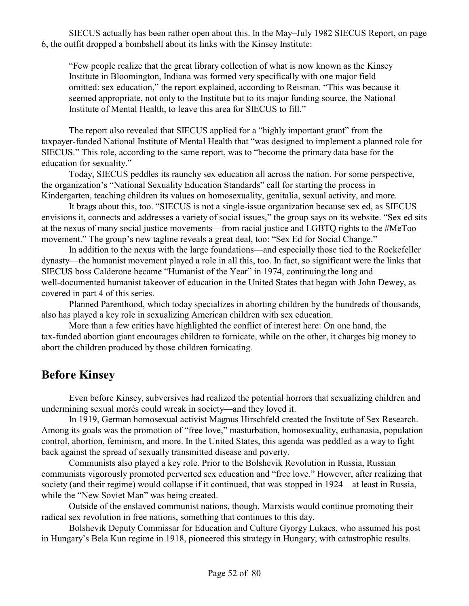SIECUS actually has been rather open about this. In the May–July 1982 SIECUS Report, on page 6, the outfit dropped a bombshell about its links with the Kinsey Institute:

"Few people realize that the great library collection of what is now known as the Kinsey Institute in Bloomington, Indiana was formed very specifically with one major field omitted: sex education," the report explained, according to Reisman. "This was because it seemed appropriate, not only to the Institute but to its major funding source, the National Institute of Mental Health, to leave this area for SIECUS to fill."

The report also revealed that SIECUS applied for a "highly important grant" from the taxpayer-funded National Institute of Mental Health that "was designed to implement a planned role for SIECUS." This role, according to the same report, was to "become the primary data base for the education for sexuality."

Today, SIECUS peddles its raunchy sex education all across the nation. For some perspective, the organization's "National Sexuality Education Standards" call for starting the process in Kindergarten, teaching children its values on homosexuality, genitalia, sexual activity, and more.

It brags about this, too. "SIECUS is not a single-issue organization because sex ed, as SIECUS envisions it, connects and addresses a variety of social issues," the group says on its website. "Sex ed sits at the nexus of many social justice movements—from racial justice and LGBTQ rights to the #MeToo movement." The group's new tagline reveals a great deal, too: "Sex Ed for Social Change."

In addition to the nexus with the large foundations—and especially those tied to the Rockefeller dynasty—the humanist movement played a role in all this, too. In fact, so significant were the links that SIECUS boss Calderone became "Humanist of the Year" in 1974, continuing the long and well-documented humanist takeover of education in the United States that began with John Dewey, as covered in part 4 of this series.

Planned Parenthood, which today specializes in aborting children by the hundreds of thousands, also has played a key role in sexualizing American children with sex education.

More than a few critics have highlighted the conflict of interest here: On one hand, the tax-funded abortion giant encourages children to fornicate, while on the other, it charges big money to abort the children produced by those children fornicating.

### **Before Kinsey**

Even before Kinsey, subversives had realized the potential horrors that sexualizing children and undermining sexual morés could wreak in society—and they loved it.

In 1919, German homosexual activist Magnus Hirschfeld created the Institute of Sex Research. Among its goals was the promotion of "free love," masturbation, homosexuality, euthanasia, population control, abortion, feminism, and more. In the United States, this agenda was peddled as a way to fight back against the spread of sexually transmitted disease and poverty.

Communists also played a key role. Prior to the Bolshevik Revolution in Russia, Russian communists vigorously promoted perverted sex education and "free love." However, after realizing that society (and their regime) would collapse if it continued, that was stopped in 1924—at least in Russia, while the "New Soviet Man" was being created.

Outside of the enslaved communist nations, though, Marxists would continue promoting their radical sex revolution in free nations, something that continues to this day.

Bolshevik Deputy Commissar for Education and Culture Gyorgy Lukacs, who assumed his post in Hungary's Bela Kun regime in 1918, pioneered this strategy in Hungary, with catastrophic results.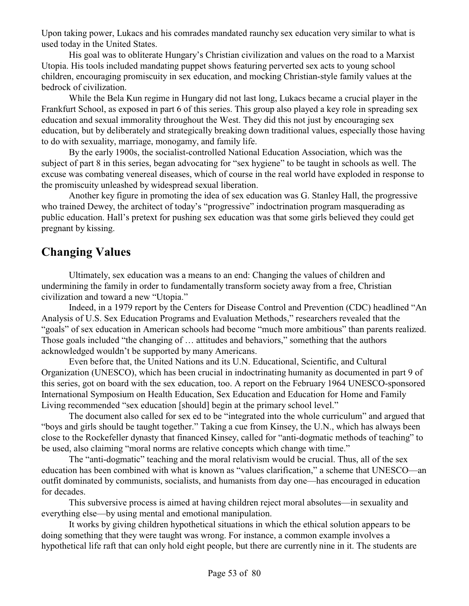Upon taking power, Lukacs and his comrades mandated raunchy sex education very similar to what is used today in the United States.

His goal was to obliterate Hungary's Christian civilization and values on the road to a Marxist Utopia. His tools included mandating puppet shows featuring perverted sex acts to young school children, encouraging promiscuity in sex education, and mocking Christian-style family values at the bedrock of civilization.

While the Bela Kun regime in Hungary did not last long, Lukacs became a crucial player in the Frankfurt School, as exposed in part 6 of this series. This group also played a key role in spreading sex education and sexual immorality throughout the West. They did this not just by encouraging sex education, but by deliberately and strategically breaking down traditional values, especially those having to do with sexuality, marriage, monogamy, and family life.

By the early 1900s, the socialist-controlled National Education Association, which was the subject of part 8 in this series, began advocating for "sex hygiene" to be taught in schools as well. The excuse was combating venereal diseases, which of course in the real world have exploded in response to the promiscuity unleashed by widespread sexual liberation.

Another key figure in promoting the idea of sex education was G. Stanley Hall, the progressive who trained Dewey, the architect of today's "progressive" indoctrination program masquerading as public education. Hall's pretext for pushing sex education was that some girls believed they could get pregnant by kissing.

### **Changing Values**

Ultimately, sex education was a means to an end: Changing the values of children and undermining the family in order to fundamentally transform society away from a free, Christian civilization and toward a new "Utopia."

Indeed, in a 1979 report by the Centers for Disease Control and Prevention (CDC) headlined "An Analysis of U.S. Sex Education Programs and Evaluation Methods," researchers revealed that the "goals" of sex education in American schools had become "much more ambitious" than parents realized. Those goals included "the changing of … attitudes and behaviors," something that the authors acknowledged wouldn't be supported by many Americans.

Even before that, the United Nations and its U.N. Educational, Scientific, and Cultural Organization (UNESCO), which has been crucial in indoctrinating humanity as documented in part 9 of this series, got on board with the sex education, too. A report on the February 1964 UNESCO-sponsored International Symposium on Health Education, Sex Education and Education for Home and Family Living recommended "sex education [should] begin at the primary school level."

The document also called for sex ed to be "integrated into the whole curriculum" and argued that "boys and girls should be taught together." Taking a cue from Kinsey, the U.N., which has always been close to the Rockefeller dynasty that financed Kinsey, called for "anti-dogmatic methods of teaching" to be used, also claiming "moral norms are relative concepts which change with time."

The "anti-dogmatic" teaching and the moral relativism would be crucial. Thus, all of the sex education has been combined with what is known as "values clarification," a scheme that UNESCO—an outfit dominated by communists, socialists, and humanists from day one—has encouraged in education for decades.

This subversive process is aimed at having children reject moral absolutes—in sexuality and everything else—by using mental and emotional manipulation.

It works by giving children hypothetical situations in which the ethical solution appears to be doing something that they were taught was wrong. For instance, a common example involves a hypothetical life raft that can only hold eight people, but there are currently nine in it. The students are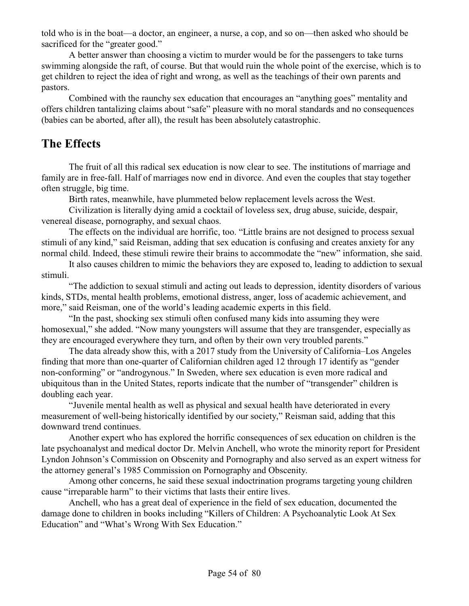told who is in the boat—a doctor, an engineer, a nurse, a cop, and so on—then asked who should be sacrificed for the "greater good."

A better answer than choosing a victim to murder would be for the passengers to take turns swimming alongside the raft, of course. But that would ruin the whole point of the exercise, which is to get children to reject the idea of right and wrong, as well as the teachings of their own parents and pastors.

Combined with the raunchy sex education that encourages an "anything goes" mentality and offers children tantalizing claims about "safe" pleasure with no moral standards and no consequences (babies can be aborted, after all), the result has been absolutely catastrophic.

### **The Effects**

The fruit of all this radical sex education is now clear to see. The institutions of marriage and family are in free-fall. Half of marriages now end in divorce. And even the couples that stay together often struggle, big time.

Birth rates, meanwhile, have plummeted below replacement levels across the West.

Civilization is literally dying amid a cocktail of loveless sex, drug abuse, suicide, despair, venereal disease, pornography, and sexual chaos.

The effects on the individual are horrific, too. "Little brains are not designed to process sexual stimuli of any kind," said Reisman, adding that sex education is confusing and creates anxiety for any normal child. Indeed, these stimuli rewire their brains to accommodate the "new" information, she said.

It also causes children to mimic the behaviors they are exposed to, leading to addiction to sexual stimuli.

"The addiction to sexual stimuli and acting out leads to depression, identity disorders of various kinds, STDs, mental health problems, emotional distress, anger, loss of academic achievement, and more," said Reisman, one of the world's leading academic experts in this field.

"In the past, shocking sex stimuli often confused many kids into assuming they were homosexual," she added. "Now many youngsters will assume that they are transgender, especially as they are encouraged everywhere they turn, and often by their own very troubled parents."

The data already show this, with a 2017 study from the University of California–Los Angeles finding that more than one-quarter of Californian children aged 12 through 17 identify as "gender non-conforming" or "androgynous." In Sweden, where sex education is even more radical and ubiquitous than in the United States, reports indicate that the number of "transgender" children is doubling each year.

"Juvenile mental health as well as physical and sexual health have deteriorated in every measurement of well-being historically identified by our society," Reisman said, adding that this downward trend continues.

Another expert who has explored the horrific consequences of sex education on children is the late psychoanalyst and medical doctor Dr. Melvin Anchell, who wrote the minority report for President Lyndon Johnson's Commission on Obscenity and Pornography and also served as an expert witness for the attorney general's 1985 Commission on Pornography and Obscenity.

Among other concerns, he said these sexual indoctrination programs targeting young children cause "irreparable harm" to their victims that lasts their entire lives.

Anchell, who has a great deal of experience in the field of sex education, documented the damage done to children in books including "Killers of Children: A Psychoanalytic Look At Sex Education" and "What's Wrong With Sex Education."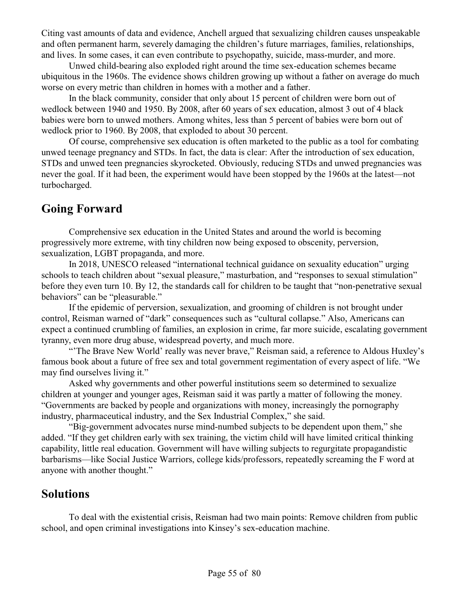Citing vast amounts of data and evidence, Anchell argued that sexualizing children causes unspeakable and often permanent harm, severely damaging the children's future marriages, families, relationships, and lives. In some cases, it can even contribute to psychopathy, suicide, mass-murder, and more.

Unwed child-bearing also exploded right around the time sex-education schemes became ubiquitous in the 1960s. The evidence shows children growing up without a father on average do much worse on every metric than children in homes with a mother and a father.

In the black community, consider that only about 15 percent of children were born out of wedlock between 1940 and 1950. By 2008, after 60 years of sex education, almost 3 out of 4 black babies were born to unwed mothers. Among whites, less than 5 percent of babies were born out of wedlock prior to 1960. By 2008, that exploded to about 30 percent.

Of course, comprehensive sex education is often marketed to the public as a tool for combating unwed teenage pregnancy and STDs. In fact, the data is clear: After the introduction of sex education, STDs and unwed teen pregnancies skyrocketed. Obviously, reducing STDs and unwed pregnancies was never the goal. If it had been, the experiment would have been stopped by the 1960s at the latest—not turbocharged.

### **Going Forward**

Comprehensive sex education in the United States and around the world is becoming progressively more extreme, with tiny children now being exposed to obscenity, perversion, sexualization, LGBT propaganda, and more.

In 2018, UNESCO released "international technical guidance on sexuality education" urging schools to teach children about "sexual pleasure," masturbation, and "responses to sexual stimulation" before they even turn 10. By 12, the standards call for children to be taught that "non-penetrative sexual behaviors" can be "pleasurable."

If the epidemic of perversion, sexualization, and grooming of children is not brought under control, Reisman warned of "dark" consequences such as "cultural collapse." Also, Americans can expect a continued crumbling of families, an explosion in crime, far more suicide, escalating government tyranny, even more drug abuse, widespread poverty, and much more.

"'The Brave New World' really was never brave," Reisman said, a reference to Aldous Huxley's famous book about a future of free sex and total government regimentation of every aspect of life. "We may find ourselves living it."

Asked why governments and other powerful institutions seem so determined to sexualize children at younger and younger ages, Reisman said it was partly a matter of following the money. "Governments are backed by people and organizations with money, increasingly the pornography industry, pharmaceutical industry, and the Sex Industrial Complex," she said.

"Big-government advocates nurse mind-numbed subjects to be dependent upon them," she added. "If they get children early with sex training, the victim child will have limited critical thinking capability, little real education. Government will have willing subjects to regurgitate propagandistic barbarisms—like Social Justice Warriors, college kids/professors, repeatedly screaming the F word at anyone with another thought."

### **Solutions**

To deal with the existential crisis, Reisman had two main points: Remove children from public school, and open criminal investigations into Kinsey's sex-education machine.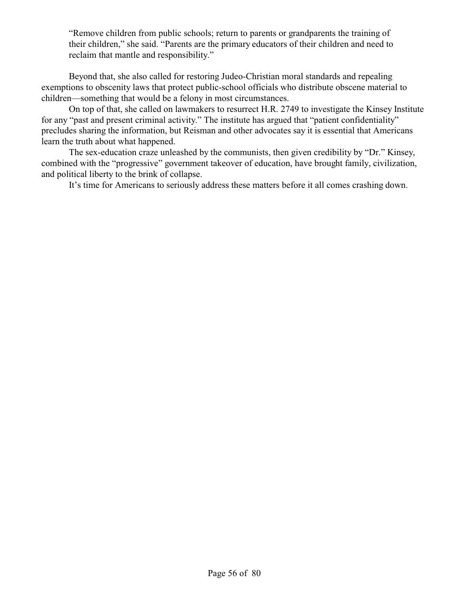"Remove children from public schools; return to parents or grandparents the training of their children," she said. "Parents are the primary educators of their children and need to reclaim that mantle and responsibility."

Beyond that, she also called for restoring Judeo-Christian moral standards and repealing exemptions to obscenity laws that protect public-school officials who distribute obscene material to children—something that would be a felony in most circumstances.

On top of that, she called on lawmakers to resurrect H.R. 2749 to investigate the Kinsey Institute for any "past and present criminal activity." The institute has argued that "patient confidentiality" precludes sharing the information, but Reisman and other advocates say it is essential that Americans learn the truth about what happened.

The sex-education craze unleashed by the communists, then given credibility by "Dr." Kinsey, combined with the "progressive" government takeover of education, have brought family, civilization, and political liberty to the brink of collapse.

It's time for Americans to seriously address these matters before it all comes crashing down.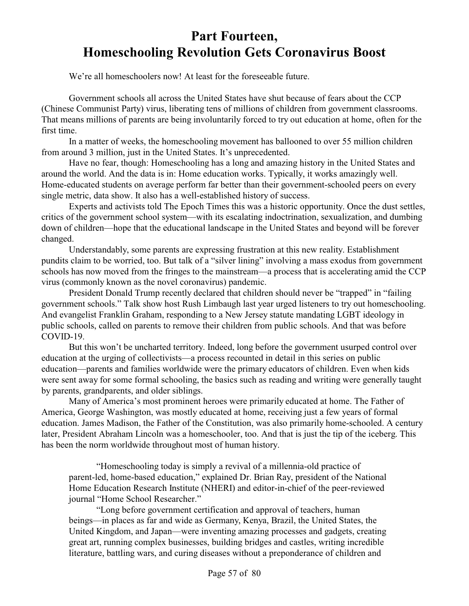# **Part Fourteen, Homeschooling Revolution Gets Coronavirus Boost**

We're all homeschoolers now! At least for the foreseeable future.

Government schools all across the United States have shut because of fears about the CCP (Chinese Communist Party) virus, liberating tens of millions of children from government classrooms. That means millions of parents are being involuntarily forced to try out education at home, often for the first time.

In a matter of weeks, the homeschooling movement has ballooned to over 55 million children from around 3 million, just in the United States. It's unprecedented.

Have no fear, though: Homeschooling has a long and amazing history in the United States and around the world. And the data is in: Home education works. Typically, it works amazingly well. Home-educated students on average perform far better than their government-schooled peers on every single metric, data show. It also has a well-established history of success.

Experts and activists told The Epoch Times this was a historic opportunity. Once the dust settles, critics of the government school system—with its escalating indoctrination, sexualization, and dumbing down of children—hope that the educational landscape in the United States and beyond will be forever changed.

Understandably, some parents are expressing frustration at this new reality. Establishment pundits claim to be worried, too. But talk of a "silver lining" involving a mass exodus from government schools has now moved from the fringes to the mainstream—a process that is accelerating amid the CCP virus (commonly known as the novel coronavirus) pandemic.

President Donald Trump recently declared that children should never be "trapped" in "failing government schools." Talk show host Rush Limbaugh last year urged listeners to try out homeschooling. And evangelist Franklin Graham, responding to a New Jersey statute mandating LGBT ideology in public schools, called on parents to remove their children from public schools. And that was before COVID-19.

But this won't be uncharted territory. Indeed, long before the government usurped control over education at the urging of collectivists—a process recounted in detail in this series on public education—parents and families worldwide were the primary educators of children. Even when kids were sent away for some formal schooling, the basics such as reading and writing were generally taught by parents, grandparents, and older siblings.

Many of America's most prominent heroes were primarily educated at home. The Father of America, George Washington, was mostly educated at home, receiving just a few years of formal education. James Madison, the Father of the Constitution, was also primarily home-schooled. A century later, President Abraham Lincoln was a homeschooler, too. And that is just the tip of the iceberg. This has been the norm worldwide throughout most of human history.

"Homeschooling today is simply a revival of a millennia-old practice of parent-led, home-based education," explained Dr. Brian Ray, president of the National Home Education Research Institute (NHERI) and editor-in-chief of the peer-reviewed journal "Home School Researcher."

"Long before government certification and approval of teachers, human beings—in places as far and wide as Germany, Kenya, Brazil, the United States, the United Kingdom, and Japan—were inventing amazing processes and gadgets, creating great art, running complex businesses, building bridges and castles, writing incredible literature, battling wars, and curing diseases without a preponderance of children and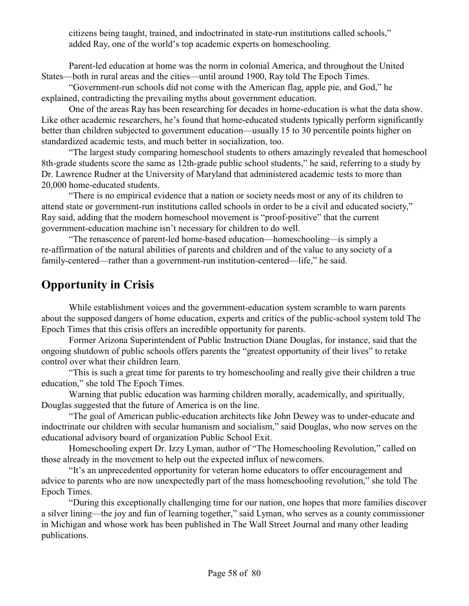citizens being taught, trained, and indoctrinated in state-run institutions called schools," added Ray, one of the world's top academic experts on homeschooling.

Parent-led education at home was the norm in colonial America, and throughout the United States—both in rural areas and the cities—until around 1900, Ray told The Epoch Times.

"Government-run schools did not come with the American flag, apple pie, and God," he explained, contradicting the prevailing myths about government education.

One of the areas Ray has been researching for decades in home-education is what the data show. Like other academic researchers, he's found that home-educated students typically perform significantly better than children subjected to government education—usually 15 to 30 percentile points higher on standardized academic tests, and much better in socialization, too.

"The largest study comparing homeschool students to others amazingly revealed that homeschool 8th-grade students score the same as 12th-grade public school students," he said, referring to a study by Dr. Lawrence Rudner at the University of Maryland that administered academic tests to more than 20,000 home-educated students.

"There is no empirical evidence that a nation or society needs most or any of its children to attend state or government-run institutions called schools in order to be a civil and educated society," Ray said, adding that the modern homeschool movement is "proof-positive" that the current government-education machine isn't necessary for children to do well.

"The renascence of parent-led home-based education—homeschooling—is simply a re-affirmation of the natural abilities of parents and children and of the value to any society of a family-centered—rather than a government-run institution-centered—life," he said.

## **Opportunity in Crisis**

While establishment voices and the government-education system scramble to warn parents about the supposed dangers of home education, experts and critics of the public-school system told The Epoch Times that this crisis offers an incredible opportunity for parents.

Former Arizona Superintendent of Public Instruction Diane Douglas, for instance, said that the ongoing shutdown of public schools offers parents the "greatest opportunity of their lives" to retake control over what their children learn.

"This is such a great time for parents to try homeschooling and really give their children a true education," she told The Epoch Times.

Warning that public education was harming children morally, academically, and spiritually, Douglas suggested that the future of America is on the line.

"The goal of American public-education architects like John Dewey was to under-educate and indoctrinate our children with secular humanism and socialism," said Douglas, who now serves on the educational advisory board of organization Public School Exit.

Homeschooling expert Dr. Izzy Lyman, author of "The Homeschooling Revolution," called on those already in the movement to help out the expected influx of newcomers.

"It's an unprecedented opportunity for veteran home educators to offer encouragement and advice to parents who are now unexpectedly part of the mass homeschooling revolution," she told The Epoch Times.

"During this exceptionally challenging time for our nation, one hopes that more families discover a silver lining—the joy and fun of learning together," said Lyman, who serves as a county commissioner in Michigan and whose work has been published in The Wall Street Journal and many other leading publications.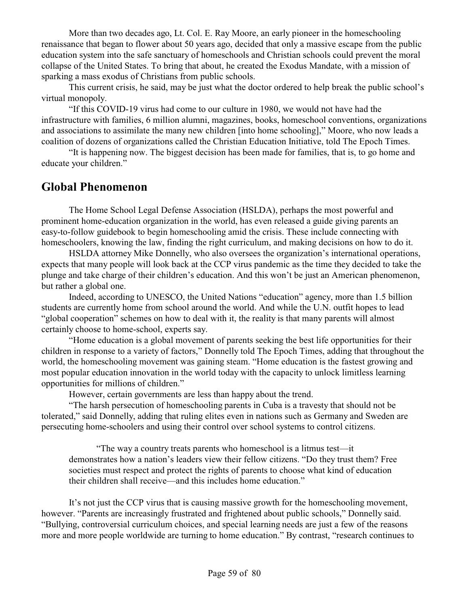More than two decades ago, Lt. Col. E. Ray Moore, an early pioneer in the homeschooling renaissance that began to flower about 50 years ago, decided that only a massive escape from the public education system into the safe sanctuary of homeschools and Christian schools could prevent the moral collapse of the United States. To bring that about, he created the Exodus Mandate, with a mission of sparking a mass exodus of Christians from public schools.

This current crisis, he said, may be just what the doctor ordered to help break the public school's virtual monopoly.

"If this COVID-19 virus had come to our culture in 1980, we would not have had the infrastructure with families, 6 million alumni, magazines, books, homeschool conventions, organizations and associations to assimilate the many new children [into home schooling]," Moore, who now leads a coalition of dozens of organizations called the Christian Education Initiative, told The Epoch Times.

"It is happening now. The biggest decision has been made for families, that is, to go home and educate your children."

### **Global Phenomenon**

The Home School Legal Defense Association (HSLDA), perhaps the most powerful and prominent home-education organization in the world, has even released a guide giving parents an easy-to-follow guidebook to begin homeschooling amid the crisis. These include connecting with homeschoolers, knowing the law, finding the right curriculum, and making decisions on how to do it.

HSLDA attorney Mike Donnelly, who also oversees the organization's international operations, expects that many people will look back at the CCP virus pandemic as the time they decided to take the plunge and take charge of their children's education. And this won't be just an American phenomenon, but rather a global one.

Indeed, according to UNESCO, the United Nations "education" agency, more than 1.5 billion students are currently home from school around the world. And while the U.N. outfit hopes to lead "global cooperation" schemes on how to deal with it, the reality is that many parents will almost certainly choose to home-school, experts say.

"Home education is a global movement of parents seeking the best life opportunities for their children in response to a variety of factors," Donnelly told The Epoch Times, adding that throughout the world, the homeschooling movement was gaining steam. "Home education is the fastest growing and most popular education innovation in the world today with the capacity to unlock limitless learning opportunities for millions of children."

However, certain governments are less than happy about the trend.

"The harsh persecution of homeschooling parents in Cuba is a travesty that should not be tolerated," said Donnelly, adding that ruling elites even in nations such as Germany and Sweden are persecuting home-schoolers and using their control over school systems to control citizens.

"The way a country treats parents who homeschool is a litmus test—it demonstrates how a nation's leaders view their fellow citizens. "Do they trust them? Free societies must respect and protect the rights of parents to choose what kind of education their children shall receive—and this includes home education."

It's not just the CCP virus that is causing massive growth for the homeschooling movement, however. "Parents are increasingly frustrated and frightened about public schools," Donnelly said. "Bullying, controversial curriculum choices, and special learning needs are just a few of the reasons more and more people worldwide are turning to home education." By contrast, "research continues to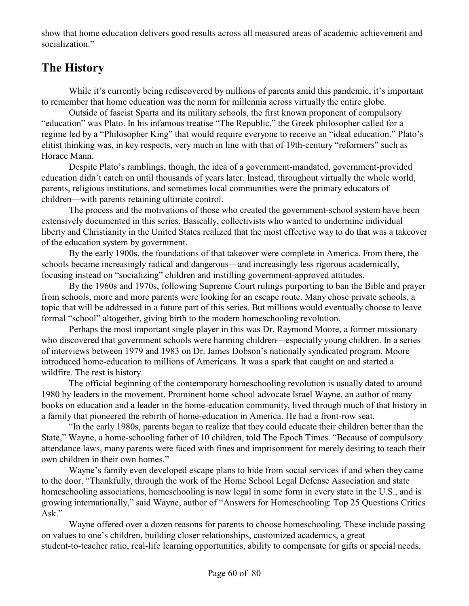show that home education delivers good results across all measured areas of academic achievement and socialization."

## **The History**

While it's currently being rediscovered by millions of parents amid this pandemic, it's important to remember that home education was the norm for millennia across virtually the entire globe.

Outside of fascist Sparta and its military schools, the first known proponent of compulsory "education" was Plato. In his infamous treatise "The Republic," the Greek philosopher called for a regime led by a "Philosopher King" that would require everyone to receive an "ideal education." Plato's elitist thinking was, in key respects, very much in line with that of 19th-century "reformers" such as Horace Mann.

Despite Plato's ramblings, though, the idea of a government-mandated, government-provided education didn't catch on until thousands of years later. Instead, throughout virtually the whole world, parents, religious institutions, and sometimes local communities were the primary educators of children—with parents retaining ultimate control.

The process and the motivations of those who created the government-school system have been extensively documented in this series. Basically, collectivists who wanted to undermine individual liberty and Christianity in the United States realized that the most effective way to do that was a takeover of the education system by government.

By the early 1900s, the foundations of that takeover were complete in America. From there, the schools became increasingly radical and dangerous—and increasingly less rigorous academically, focusing instead on "socializing" children and instilling government-approved attitudes.

By the 1960s and 1970s, following Supreme Court rulings purporting to ban the Bible and prayer from schools, more and more parents were looking for an escape route. Many chose private schools, a topic that will be addressed in a future part of this series. But millions would eventually choose to leave formal "school" altogether, giving birth to the modern homeschooling revolution.

Perhaps the most important single player in this was Dr. Raymond Moore, a former missionary who discovered that government schools were harming children—especially young children. In a series of interviews between 1979 and 1983 on Dr. James Dobson's nationally syndicated program, Moore introduced home-education to millions of Americans. It was a spark that caught on and started a wildfire. The rest is history.

The official beginning of the contemporary homeschooling revolution is usually dated to around 1980 by leaders in the movement. Prominent home school advocate Israel Wayne, an author of many books on education and a leader in the home-education community, lived through much of that history in a family that pioneered the rebirth of home-education in America. He had a front-row seat.

"In the early 1980s, parents began to realize that they could educate their children better than the State," Wayne, a home-schooling father of 10 children, told The Epoch Times. "Because of compulsory attendance laws, many parents were faced with fines and imprisonment for merely desiring to teach their own children in their own homes."

Wayne's family even developed escape plans to hide from social services if and when they came to the door. "Thankfully, through the work of the Home School Legal Defense Association and state homeschooling associations, homeschooling is now legal in some form in every state in the U.S., and is growing internationally," said Wayne, author of "Answers for Homeschooling: Top 25 Questions Critics Ask."

Wayne offered over a dozen reasons for parents to choose homeschooling. These include passing on values to one's children, building closer relationships, customized academics, a great student-to-teacher ratio, real-life learning opportunities, ability to compensate for gifts or special needs,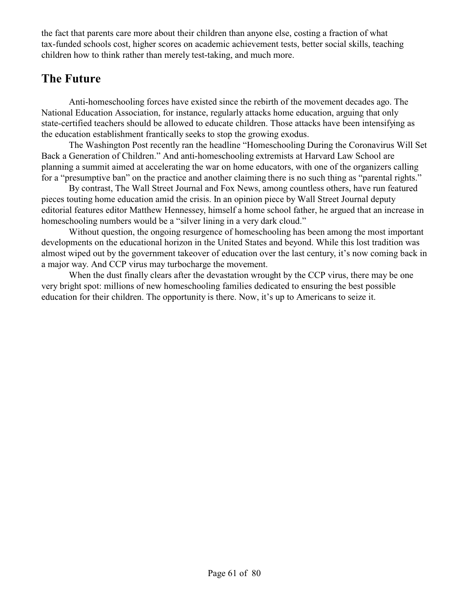the fact that parents care more about their children than anyone else, costing a fraction of what tax-funded schools cost, higher scores on academic achievement tests, better social skills, teaching children how to think rather than merely test-taking, and much more.

## **The Future**

Anti-homeschooling forces have existed since the rebirth of the movement decades ago. The National Education Association, for instance, regularly attacks home education, arguing that only state-certified teachers should be allowed to educate children. Those attacks have been intensifying as the education establishment frantically seeks to stop the growing exodus.

The Washington Post recently ran the headline "Homeschooling During the Coronavirus Will Set Back a Generation of Children." And anti-homeschooling extremists at Harvard Law School are planning a summit aimed at accelerating the war on home educators, with one of the organizers calling for a "presumptive ban" on the practice and another claiming there is no such thing as "parental rights."

By contrast, The Wall Street Journal and Fox News, among countless others, have run featured pieces touting home education amid the crisis. In an opinion piece by Wall Street Journal deputy editorial features editor Matthew Hennessey, himself a home school father, he argued that an increase in homeschooling numbers would be a "silver lining in a very dark cloud."

Without question, the ongoing resurgence of homeschooling has been among the most important developments on the educational horizon in the United States and beyond. While this lost tradition was almost wiped out by the government takeover of education over the last century, it's now coming back in a major way. And CCP virus may turbocharge the movement.

When the dust finally clears after the devastation wrought by the CCP virus, there may be one very bright spot: millions of new homeschooling families dedicated to ensuring the best possible education for their children. The opportunity is there. Now, it's up to Americans to seize it.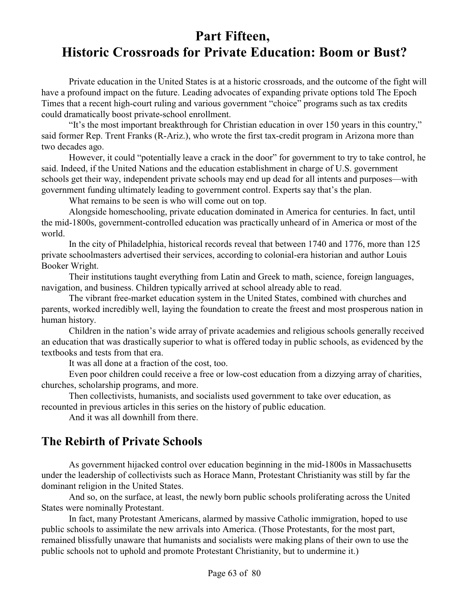## **Part Fifteen, Historic Crossroads for Private Education: Boom or Bust?**

Private education in the United States is at a historic crossroads, and the outcome of the fight will have a profound impact on the future. Leading advocates of expanding private options told The Epoch Times that a recent high-court ruling and various government "choice" programs such as tax credits could dramatically boost private-school enrollment.

"It's the most important breakthrough for Christian education in over 150 years in this country," said former Rep. Trent Franks (R-Ariz.), who wrote the first tax-credit program in Arizona more than two decades ago.

However, it could "potentially leave a crack in the door" for government to try to take control, he said. Indeed, if the United Nations and the education establishment in charge of U.S. government schools get their way, independent private schools may end up dead for all intents and purposes—with government funding ultimately leading to government control. Experts say that's the plan.

What remains to be seen is who will come out on top.

Alongside homeschooling, private education dominated in America for centuries. In fact, until the mid-1800s, government-controlled education was practically unheard of in America or most of the world.

In the city of Philadelphia, historical records reveal that between 1740 and 1776, more than 125 private schoolmasters advertised their services, according to colonial-era historian and author Louis Booker Wright.

Their institutions taught everything from Latin and Greek to math, science, foreign languages, navigation, and business. Children typically arrived at school already able to read.

The vibrant free-market education system in the United States, combined with churches and parents, worked incredibly well, laying the foundation to create the freest and most prosperous nation in human history.

Children in the nation's wide array of private academies and religious schools generally received an education that was drastically superior to what is offered today in public schools, as evidenced by the textbooks and tests from that era.

It was all done at a fraction of the cost, too.

Even poor children could receive a free or low-cost education from a dizzying array of charities, churches, scholarship programs, and more.

Then collectivists, humanists, and socialists used government to take over education, as recounted in previous articles in this series on the history of public education.

And it was all downhill from there.

### **The Rebirth of Private Schools**

As government hijacked control over education beginning in the mid-1800s in Massachusetts under the leadership of collectivists such as Horace Mann, Protestant Christianity was still by far the dominant religion in the United States.

And so, on the surface, at least, the newly born public schools proliferating across the United States were nominally Protestant.

In fact, many Protestant Americans, alarmed by massive Catholic immigration, hoped to use public schools to assimilate the new arrivals into America. (Those Protestants, for the most part, remained blissfully unaware that humanists and socialists were making plans of their own to use the public schools not to uphold and promote Protestant Christianity, but to undermine it.)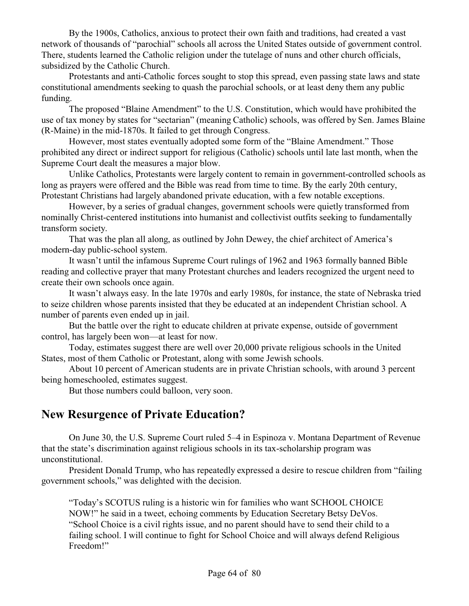By the 1900s, Catholics, anxious to protect their own faith and traditions, had created a vast network of thousands of "parochial" schools all across the United States outside of government control. There, students learned the Catholic religion under the tutelage of nuns and other church officials, subsidized by the Catholic Church.

Protestants and anti-Catholic forces sought to stop this spread, even passing state laws and state constitutional amendments seeking to quash the parochial schools, or at least deny them any public funding.

The proposed "Blaine Amendment" to the U.S. Constitution, which would have prohibited the use of tax money by states for "sectarian" (meaning Catholic) schools, was offered by Sen. James Blaine (R-Maine) in the mid-1870s. It failed to get through Congress.

However, most states eventually adopted some form of the "Blaine Amendment." Those prohibited any direct or indirect support for religious (Catholic) schools until late last month, when the Supreme Court dealt the measures a major blow.

Unlike Catholics, Protestants were largely content to remain in government-controlled schools as long as prayers were offered and the Bible was read from time to time. By the early 20th century, Protestant Christians had largely abandoned private education, with a few notable exceptions.

However, by a series of gradual changes, government schools were quietly transformed from nominally Christ-centered institutions into humanist and collectivist outfits seeking to fundamentally transform society.

That was the plan all along, as outlined by John Dewey, the chief architect of America's modern-day public-school system.

It wasn't until the infamous Supreme Court rulings of 1962 and 1963 formally banned Bible reading and collective prayer that many Protestant churches and leaders recognized the urgent need to create their own schools once again.

It wasn't always easy. In the late 1970s and early 1980s, for instance, the state of Nebraska tried to seize children whose parents insisted that they be educated at an independent Christian school. A number of parents even ended up in jail.

But the battle over the right to educate children at private expense, outside of government control, has largely been won—at least for now.

Today, estimates suggest there are well over 20,000 private religious schools in the United States, most of them Catholic or Protestant, along with some Jewish schools.

About 10 percent of American students are in private Christian schools, with around 3 percent being homeschooled, estimates suggest.

But those numbers could balloon, very soon.

#### **New Resurgence of Private Education?**

On June 30, the U.S. Supreme Court ruled 5–4 in Espinoza v. Montana Department of Revenue that the state's discrimination against religious schools in its tax-scholarship program was unconstitutional.

President Donald Trump, who has repeatedly expressed a desire to rescue children from "failing government schools," was delighted with the decision.

"Today's SCOTUS ruling is a historic win for families who want SCHOOL CHOICE NOW!" he said in a tweet, echoing comments by Education Secretary Betsy DeVos. "School Choice is a civil rights issue, and no parent should have to send their child to a failing school. I will continue to fight for School Choice and will always defend Religious Freedom!"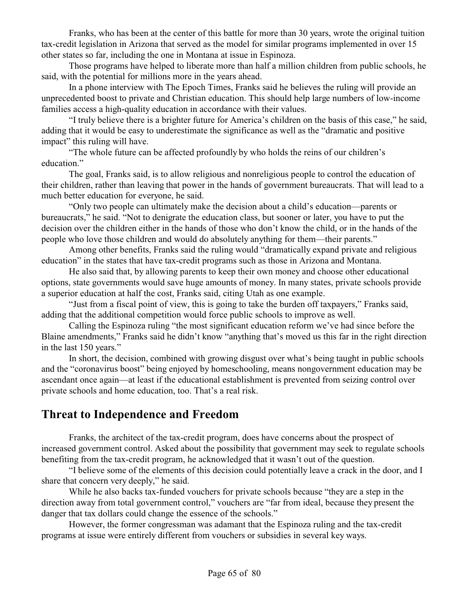Franks, who has been at the center of this battle for more than 30 years, wrote the original tuition tax-credit legislation in Arizona that served as the model for similar programs implemented in over 15 other states so far, including the one in Montana at issue in Espinoza.

Those programs have helped to liberate more than half a million children from public schools, he said, with the potential for millions more in the years ahead.

In a phone interview with The Epoch Times, Franks said he believes the ruling will provide an unprecedented boost to private and Christian education. This should help large numbers of low-income families access a high-quality education in accordance with their values.

"I truly believe there is a brighter future for America's children on the basis of this case," he said, adding that it would be easy to underestimate the significance as well as the "dramatic and positive impact" this ruling will have.

"The whole future can be affected profoundly by who holds the reins of our children's education."

The goal, Franks said, is to allow religious and nonreligious people to control the education of their children, rather than leaving that power in the hands of government bureaucrats. That will lead to a much better education for everyone, he said.

"Only two people can ultimately make the decision about a child's education—parents or bureaucrats," he said. "Not to denigrate the education class, but sooner or later, you have to put the decision over the children either in the hands of those who don't know the child, or in the hands of the people who love those children and would do absolutely anything for them—their parents."

Among other benefits, Franks said the ruling would "dramatically expand private and religious education" in the states that have tax-credit programs such as those in Arizona and Montana.

He also said that, by allowing parents to keep their own money and choose other educational options, state governments would save huge amounts of money. In many states, private schools provide a superior education at half the cost, Franks said, citing Utah as one example.

"Just from a fiscal point of view, this is going to take the burden off taxpayers," Franks said, adding that the additional competition would force public schools to improve as well.

Calling the Espinoza ruling "the most significant education reform we've had since before the Blaine amendments," Franks said he didn't know "anything that's moved us this far in the right direction in the last 150 years."

In short, the decision, combined with growing disgust over what's being taught in public schools and the "coronavirus boost" being enjoyed by homeschooling, means nongovernment education may be ascendant once again—at least if the educational establishment is prevented from seizing control over private schools and home education, too. That's a real risk.

### **Threat to Independence and Freedom**

Franks, the architect of the tax-credit program, does have concerns about the prospect of increased government control. Asked about the possibility that government may seek to regulate schools benefiting from the tax-credit program, he acknowledged that it wasn't out of the question.

"I believe some of the elements of this decision could potentially leave a crack in the door, and I share that concern very deeply," he said.

While he also backs tax-funded vouchers for private schools because "they are a step in the direction away from total government control," vouchers are "far from ideal, because they present the danger that tax dollars could change the essence of the schools."

However, the former congressman was adamant that the Espinoza ruling and the tax-credit programs at issue were entirely different from vouchers or subsidies in several key ways.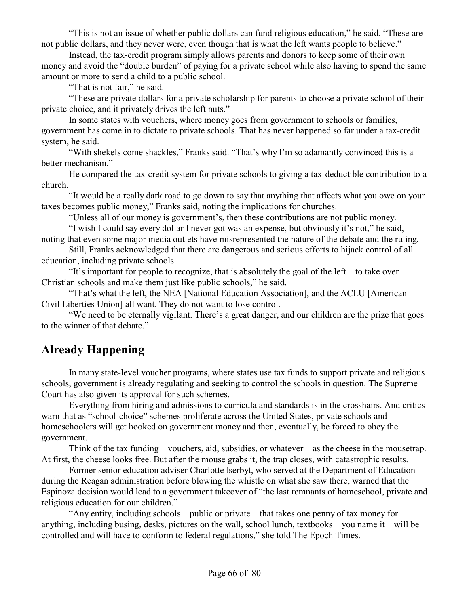"This is not an issue of whether public dollars can fund religious education," he said. "These are not public dollars, and they never were, even though that is what the left wants people to believe."

Instead, the tax-credit program simply allows parents and donors to keep some of their own money and avoid the "double burden" of paying for a private school while also having to spend the same amount or more to send a child to a public school.

"That is not fair," he said.

"These are private dollars for a private scholarship for parents to choose a private school of their private choice, and it privately drives the left nuts."

In some states with vouchers, where money goes from government to schools or families, government has come in to dictate to private schools. That has never happened so far under a tax-credit system, he said.

"With shekels come shackles," Franks said. "That's why I'm so adamantly convinced this is a better mechanism."

He compared the tax-credit system for private schools to giving a tax-deductible contribution to a church.

"It would be a really dark road to go down to say that anything that affects what you owe on your taxes becomes public money," Franks said, noting the implications for churches.

"Unless all of our money is government's, then these contributions are not public money.

"I wish I could say every dollar I never got was an expense, but obviously it's not," he said, noting that even some major media outlets have misrepresented the nature of the debate and the ruling.

Still, Franks acknowledged that there are dangerous and serious efforts to hijack control of all education, including private schools.

"It's important for people to recognize, that is absolutely the goal of the left—to take over Christian schools and make them just like public schools," he said.

"That's what the left, the NEA [National Education Association], and the ACLU [American Civil Liberties Union] all want. They do not want to lose control.

"We need to be eternally vigilant. There's a great danger, and our children are the prize that goes to the winner of that debate."

## **Already Happening**

In many state-level voucher programs, where states use tax funds to support private and religious schools, government is already regulating and seeking to control the schools in question. The Supreme Court has also given its approval for such schemes.

Everything from hiring and admissions to curricula and standards is in the crosshairs. And critics warn that as "school-choice" schemes proliferate across the United States, private schools and homeschoolers will get hooked on government money and then, eventually, be forced to obey the government.

Think of the tax funding—vouchers, aid, subsidies, or whatever—as the cheese in the mousetrap. At first, the cheese looks free. But after the mouse grabs it, the trap closes, with catastrophic results.

Former senior education adviser Charlotte Iserbyt, who served at the Department of Education during the Reagan administration before blowing the whistle on what she saw there, warned that the Espinoza decision would lead to a government takeover of "the last remnants of homeschool, private and religious education for our children."

"Any entity, including schools—public or private—that takes one penny of tax money for anything, including busing, desks, pictures on the wall, school lunch, textbooks—you name it—will be controlled and will have to conform to federal regulations," she told The Epoch Times.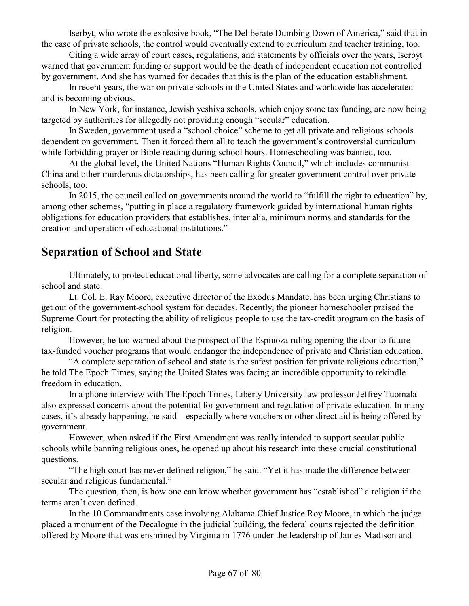Iserbyt, who wrote the explosive book, "The Deliberate Dumbing Down of America," said that in the case of private schools, the control would eventually extend to curriculum and teacher training, too.

Citing a wide array of court cases, regulations, and statements by officials over the years, Iserbyt warned that government funding or support would be the death of independent education not controlled by government. And she has warned for decades that this is the plan of the education establishment.

In recent years, the war on private schools in the United States and worldwide has accelerated and is becoming obvious.

In New York, for instance, Jewish yeshiva schools, which enjoy some tax funding, are now being targeted by authorities for allegedly not providing enough "secular" education.

In Sweden, government used a "school choice" scheme to get all private and religious schools dependent on government. Then it forced them all to teach the government's controversial curriculum while forbidding prayer or Bible reading during school hours. Homeschooling was banned, too.

At the global level, the United Nations "Human Rights Council," which includes communist China and other murderous dictatorships, has been calling for greater government control over private schools, too.

In 2015, the council called on governments around the world to "fulfill the right to education" by, among other schemes, "putting in place a regulatory framework guided by international human rights obligations for education providers that establishes, inter alia, minimum norms and standards for the creation and operation of educational institutions."

## **Separation of School and State**

Ultimately, to protect educational liberty, some advocates are calling for a complete separation of school and state.

Lt. Col. E. Ray Moore, executive director of the Exodus Mandate, has been urging Christians to get out of the government-school system for decades. Recently, the pioneer homeschooler praised the Supreme Court for protecting the ability of religious people to use the tax-credit program on the basis of religion.

However, he too warned about the prospect of the Espinoza ruling opening the door to future tax-funded voucher programs that would endanger the independence of private and Christian education.

"A complete separation of school and state is the safest position for private religious education," he told The Epoch Times, saying the United States was facing an incredible opportunity to rekindle freedom in education.

In a phone interview with The Epoch Times, Liberty University law professor Jeffrey Tuomala also expressed concerns about the potential for government and regulation of private education. In many cases, it's already happening, he said—especially where vouchers or other direct aid is being offered by government.

However, when asked if the First Amendment was really intended to support secular public schools while banning religious ones, he opened up about his research into these crucial constitutional questions.

"The high court has never defined religion," he said. "Yet it has made the difference between secular and religious fundamental."

The question, then, is how one can know whether government has "established" a religion if the terms aren't even defined.

In the 10 Commandments case involving Alabama Chief Justice Roy Moore, in which the judge placed a monument of the Decalogue in the judicial building, the federal courts rejected the definition offered by Moore that was enshrined by Virginia in 1776 under the leadership of James Madison and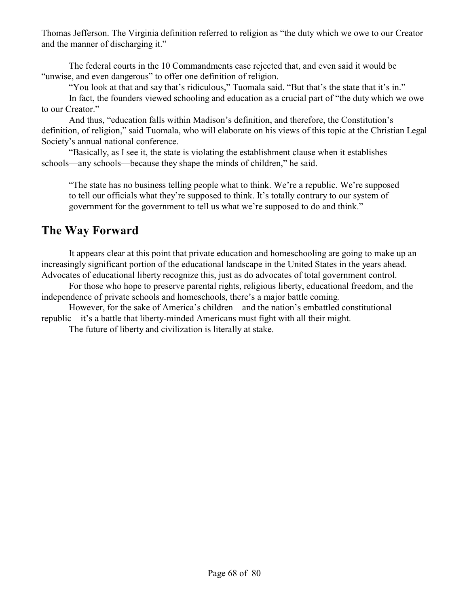Thomas Jefferson. The Virginia definition referred to religion as "the duty which we owe to our Creator and the manner of discharging it."

The federal courts in the 10 Commandments case rejected that, and even said it would be "unwise, and even dangerous" to offer one definition of religion.

"You look at that and say that's ridiculous," Tuomala said. "But that's the state that it's in."

In fact, the founders viewed schooling and education as a crucial part of "the duty which we owe to our Creator."

And thus, "education falls within Madison's definition, and therefore, the Constitution's definition, of religion," said Tuomala, who will elaborate on his views of this topic at the Christian Legal Society's annual national conference.

"Basically, as I see it, the state is violating the establishment clause when it establishes schools—any schools—because they shape the minds of children," he said.

"The state has no business telling people what to think. We're a republic. We're supposed to tell our officials what they're supposed to think. It's totally contrary to our system of government for the government to tell us what we're supposed to do and think."

### **The Way Forward**

It appears clear at this point that private education and homeschooling are going to make up an increasingly significant portion of the educational landscape in the United States in the years ahead. Advocates of educational liberty recognize this, just as do advocates of total government control.

For those who hope to preserve parental rights, religious liberty, educational freedom, and the independence of private schools and homeschools, there's a major battle coming.

However, for the sake of America's children—and the nation's embattled constitutional republic—it's a battle that liberty-minded Americans must fight with all their might.

The future of liberty and civilization is literally at stake.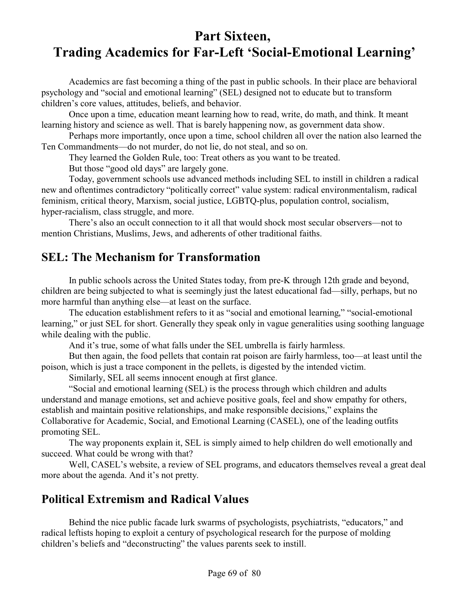## **Part Sixteen, Trading Academics for Far-Left 'Social-Emotional Learning'**

Academics are fast becoming a thing of the past in public schools. In their place are behavioral psychology and "social and emotional learning" (SEL) designed not to educate but to transform children's core values, attitudes, beliefs, and behavior.

Once upon a time, education meant learning how to read, write, do math, and think. It meant learning history and science as well. That is barely happening now, as government data show.

Perhaps more importantly, once upon a time, school children all over the nation also learned the Ten Commandments—do not murder, do not lie, do not steal, and so on.

They learned the Golden Rule, too: Treat others as you want to be treated.

But those "good old days" are largely gone.

Today, government schools use advanced methods including SEL to instill in children a radical new and oftentimes contradictory "politically correct" value system: radical environmentalism, radical feminism, critical theory, Marxism, social justice, LGBTQ-plus, population control, socialism, hyper-racialism, class struggle, and more.

There's also an occult connection to it all that would shock most secular observers—not to mention Christians, Muslims, Jews, and adherents of other traditional faiths.

#### **SEL: The Mechanism for Transformation**

In public schools across the United States today, from pre-K through 12th grade and beyond, children are being subjected to what is seemingly just the latest educational fad—silly, perhaps, but no more harmful than anything else—at least on the surface.

The education establishment refers to it as "social and emotional learning," "social-emotional learning," or just SEL for short. Generally they speak only in vague generalities using soothing language while dealing with the public.

And it's true, some of what falls under the SEL umbrella is fairly harmless.

But then again, the food pellets that contain rat poison are fairly harmless, too—at least until the poison, which is just a trace component in the pellets, is digested by the intended victim.

Similarly, SEL all seems innocent enough at first glance.

"Social and emotional learning (SEL) is the process through which children and adults understand and manage emotions, set and achieve positive goals, feel and show empathy for others, establish and maintain positive relationships, and make responsible decisions," explains the Collaborative for Academic, Social, and Emotional Learning (CASEL), one of the leading outfits promoting SEL.

The way proponents explain it, SEL is simply aimed to help children do well emotionally and succeed. What could be wrong with that?

Well, CASEL's website, a review of SEL programs, and educators themselves reveal a great deal more about the agenda. And it's not pretty.

### **Political Extremism and Radical Values**

Behind the nice public facade lurk swarms of psychologists, psychiatrists, "educators," and radical leftists hoping to exploit a century of psychological research for the purpose of molding children's beliefs and "deconstructing" the values parents seek to instill.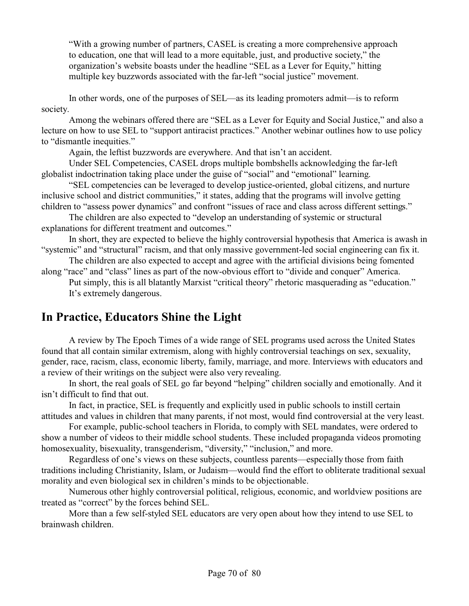"With a growing number of partners, CASEL is creating a more comprehensive approach to education, one that will lead to a more equitable, just, and productive society," the organization's website boasts under the headline "SEL as a Lever for Equity," hitting multiple key buzzwords associated with the far-left "social justice" movement.

In other words, one of the purposes of SEL—as its leading promoters admit—is to reform society.

Among the webinars offered there are "SEL as a Lever for Equity and Social Justice," and also a lecture on how to use SEL to "support antiracist practices." Another webinar outlines how to use policy to "dismantle inequities."

Again, the leftist buzzwords are everywhere. And that isn't an accident.

Under SEL Competencies, CASEL drops multiple bombshells acknowledging the far-left globalist indoctrination taking place under the guise of "social" and "emotional" learning.

"SEL competencies can be leveraged to develop justice-oriented, global citizens, and nurture inclusive school and district communities," it states, adding that the programs will involve getting children to "assess power dynamics" and confront "issues of race and class across different settings."

The children are also expected to "develop an understanding of systemic or structural explanations for different treatment and outcomes."

In short, they are expected to believe the highly controversial hypothesis that America is awash in "systemic" and "structural" racism, and that only massive government-led social engineering can fix it.

The children are also expected to accept and agree with the artificial divisions being fomented along "race" and "class" lines as part of the now-obvious effort to "divide and conquer" America.

Put simply, this is all blatantly Marxist "critical theory" rhetoric masquerading as "education." It's extremely dangerous.

## **In Practice, Educators Shine the Light**

A review by The Epoch Times of a wide range of SEL programs used across the United States found that all contain similar extremism, along with highly controversial teachings on sex, sexuality, gender, race, racism, class, economic liberty, family, marriage, and more. Interviews with educators and a review of their writings on the subject were also very revealing.

In short, the real goals of SEL go far beyond "helping" children socially and emotionally. And it isn't difficult to find that out.

In fact, in practice, SEL is frequently and explicitly used in public schools to instill certain attitudes and values in children that many parents, if not most, would find controversial at the very least.

For example, public-school teachers in Florida, to comply with SEL mandates, were ordered to show a number of videos to their middle school students. These included propaganda videos promoting homosexuality, bisexuality, transgenderism, "diversity," "inclusion," and more.

Regardless of one's views on these subjects, countless parents—especially those from faith traditions including Christianity, Islam, or Judaism—would find the effort to obliterate traditional sexual morality and even biological sex in children's minds to be objectionable.

Numerous other highly controversial political, religious, economic, and worldview positions are treated as "correct" by the forces behind SEL.

More than a few self-styled SEL educators are very open about how they intend to use SEL to brainwash children.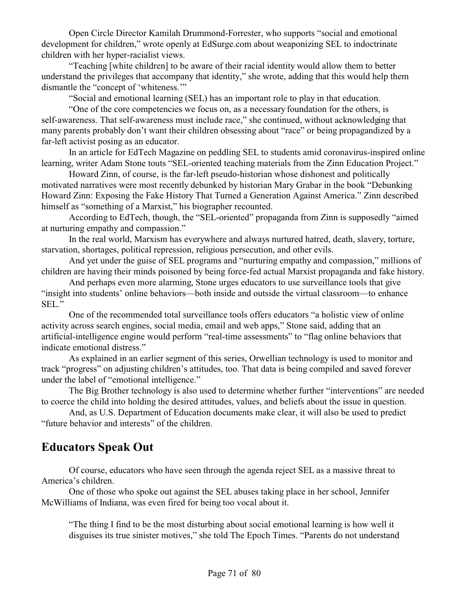Open Circle Director Kamilah Drummond-Forrester, who supports "social and emotional development for children," wrote openly at EdSurge.com about weaponizing SEL to indoctrinate children with her hyper-racialist views.

"Teaching [white children] to be aware of their racial identity would allow them to better understand the privileges that accompany that identity," she wrote, adding that this would help them dismantle the "concept of 'whiteness."

"Social and emotional learning (SEL) has an important role to play in that education.

"One of the core competencies we focus on, as a necessary foundation for the others, is self-awareness. That self-awareness must include race," she continued, without acknowledging that many parents probably don't want their children obsessing about "race" or being propagandized by a far-left activist posing as an educator.

In an article for EdTech Magazine on peddling SEL to students amid coronavirus-inspired online learning, writer Adam Stone touts "SEL-oriented teaching materials from the Zinn Education Project."

Howard Zinn, of course, is the far-left pseudo-historian whose dishonest and politically motivated narratives were most recently debunked by historian Mary Grabar in the book "Debunking Howard Zinn: Exposing the Fake History That Turned a Generation Against America." Zinn described himself as "something of a Marxist," his biographer recounted.

According to EdTech, though, the "SEL-oriented" propaganda from Zinn is supposedly "aimed at nurturing empathy and compassion."

In the real world, Marxism has everywhere and always nurtured hatred, death, slavery, torture, starvation, shortages, political repression, religious persecution, and other evils.

And yet under the guise of SEL programs and "nurturing empathy and compassion," millions of children are having their minds poisoned by being force-fed actual Marxist propaganda and fake history.

And perhaps even more alarming, Stone urges educators to use surveillance tools that give "insight into students' online behaviors—both inside and outside the virtual classroom—to enhance SEL."

One of the recommended total surveillance tools offers educators "a holistic view of online activity across search engines, social media, email and web apps," Stone said, adding that an artificial-intelligence engine would perform "real-time assessments" to "flag online behaviors that indicate emotional distress."

As explained in an earlier segment of this series, Orwellian technology is used to monitor and track "progress" on adjusting children's attitudes, too. That data is being compiled and saved forever under the label of "emotional intelligence."

The Big Brother technology is also used to determine whether further "interventions" are needed to coerce the child into holding the desired attitudes, values, and beliefs about the issue in question.

And, as U.S. Department of Education documents make clear, it will also be used to predict "future behavior and interests" of the children.

### **Educators Speak Out**

Of course, educators who have seen through the agenda reject SEL as a massive threat to America's children.

One of those who spoke out against the SEL abuses taking place in her school, Jennifer McWilliams of Indiana, was even fired for being too vocal about it.

"The thing I find to be the most disturbing about social emotional learning is how well it disguises its true sinister motives," she told The Epoch Times. "Parents do not understand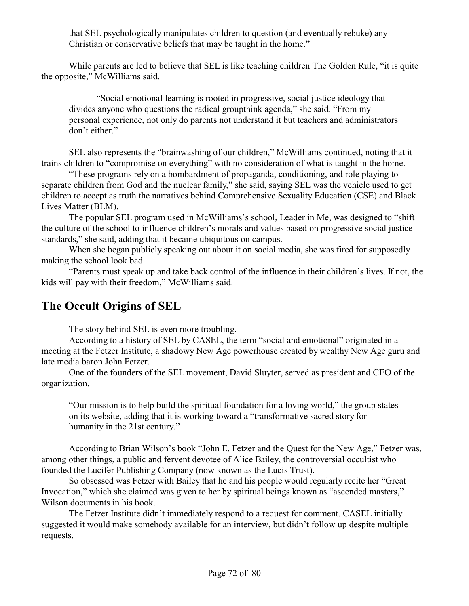that SEL psychologically manipulates children to question (and eventually rebuke) any Christian or conservative beliefs that may be taught in the home."

While parents are led to believe that SEL is like teaching children The Golden Rule, "it is quite the opposite," McWilliams said.

"Social emotional learning is rooted in progressive, social justice ideology that divides anyone who questions the radical groupthink agenda," she said. "From my personal experience, not only do parents not understand it but teachers and administrators don't either."

SEL also represents the "brainwashing of our children," McWilliams continued, noting that it trains children to "compromise on everything" with no consideration of what is taught in the home.

"These programs rely on a bombardment of propaganda, conditioning, and role playing to separate children from God and the nuclear family," she said, saying SEL was the vehicle used to get children to accept as truth the narratives behind Comprehensive Sexuality Education (CSE) and Black Lives Matter (BLM).

The popular SEL program used in McWilliams's school, Leader in Me, was designed to "shift the culture of the school to influence children's morals and values based on progressive social justice standards," she said, adding that it became ubiquitous on campus.

When she began publicly speaking out about it on social media, she was fired for supposedly making the school look bad.

"Parents must speak up and take back control of the influence in their children's lives. If not, the kids will pay with their freedom," McWilliams said.

# **The Occult Origins of SEL**

The story behind SEL is even more troubling.

According to a history of SEL by CASEL, the term "social and emotional" originated in a meeting at the Fetzer Institute, a shadowy New Age powerhouse created by wealthy New Age guru and late media baron John Fetzer.

One of the founders of the SEL movement, David Sluyter, served as president and CEO of the organization.

"Our mission is to help build the spiritual foundation for a loving world," the group states on its website, adding that it is working toward a "transformative sacred story for humanity in the 21st century."

According to Brian Wilson's book "John E. Fetzer and the Quest for the New Age," Fetzer was, among other things, a public and fervent devotee of Alice Bailey, the controversial occultist who founded the Lucifer Publishing Company (now known as the Lucis Trust).

So obsessed was Fetzer with Bailey that he and his people would regularly recite her "Great Invocation," which she claimed was given to her by spiritual beings known as "ascended masters," Wilson documents in his book.

The Fetzer Institute didn't immediately respond to a request for comment. CASEL initially suggested it would make somebody available for an interview, but didn't follow up despite multiple requests.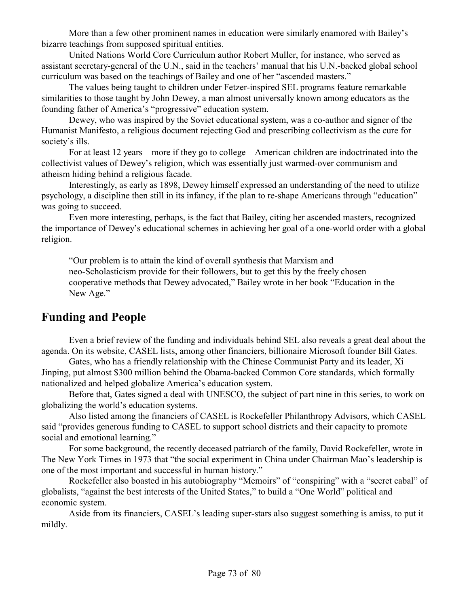More than a few other prominent names in education were similarly enamored with Bailey's bizarre teachings from supposed spiritual entities.

United Nations World Core Curriculum author Robert Muller, for instance, who served as assistant secretary-general of the U.N., said in the teachers' manual that his U.N.-backed global school curriculum was based on the teachings of Bailey and one of her "ascended masters."

The values being taught to children under Fetzer-inspired SEL programs feature remarkable similarities to those taught by John Dewey, a man almost universally known among educators as the founding father of America's "progressive" education system.

Dewey, who was inspired by the Soviet educational system, was a co-author and signer of the Humanist Manifesto, a religious document rejecting God and prescribing collectivism as the cure for society's ills.

For at least 12 years—more if they go to college—American children are indoctrinated into the collectivist values of Dewey's religion, which was essentially just warmed-over communism and atheism hiding behind a religious facade.

Interestingly, as early as 1898, Dewey himself expressed an understanding of the need to utilize psychology, a discipline then still in its infancy, if the plan to re-shape Americans through "education" was going to succeed.

Even more interesting, perhaps, is the fact that Bailey, citing her ascended masters, recognized the importance of Dewey's educational schemes in achieving her goal of a one-world order with a global religion.

"Our problem is to attain the kind of overall synthesis that Marxism and neo-Scholasticism provide for their followers, but to get this by the freely chosen cooperative methods that Dewey advocated," Bailey wrote in her book "Education in the New Age."

## **Funding and People**

Even a brief review of the funding and individuals behind SEL also reveals a great deal about the agenda. On its website, CASEL lists, among other financiers, billionaire Microsoft founder Bill Gates.

Gates, who has a friendly relationship with the Chinese Communist Party and its leader, Xi Jinping, put almost \$300 million behind the Obama-backed Common Core standards, which formally nationalized and helped globalize America's education system.

Before that, Gates signed a deal with UNESCO, the subject of part nine in this series, to work on globalizing the world's education systems.

Also listed among the financiers of CASEL is Rockefeller Philanthropy Advisors, which CASEL said "provides generous funding to CASEL to support school districts and their capacity to promote social and emotional learning."

For some background, the recently deceased patriarch of the family, David Rockefeller, wrote in The New York Times in 1973 that "the social experiment in China under Chairman Mao's leadership is one of the most important and successful in human history."

Rockefeller also boasted in his autobiography "Memoirs" of "conspiring" with a "secret cabal" of globalists, "against the best interests of the United States," to build a "One World" political and economic system.

Aside from its financiers, CASEL's leading super-stars also suggest something is amiss, to put it mildly.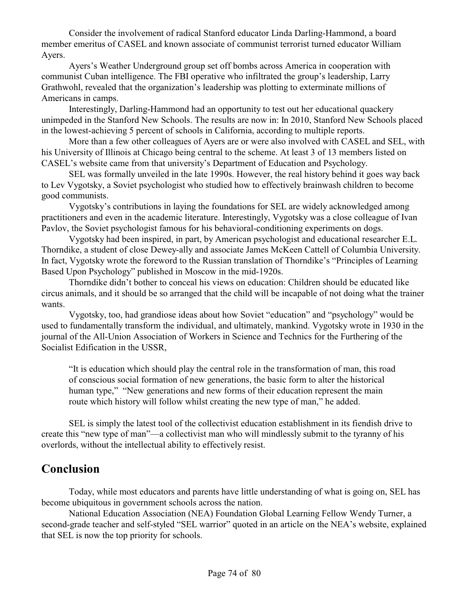Consider the involvement of radical Stanford educator Linda Darling-Hammond, a board member emeritus of CASEL and known associate of communist terrorist turned educator William Ayers.

Ayers's Weather Underground group set off bombs across America in cooperation with communist Cuban intelligence. The FBI operative who infiltrated the group's leadership, Larry Grathwohl, revealed that the organization's leadership was plotting to exterminate millions of Americans in camps.

Interestingly, Darling-Hammond had an opportunity to test out her educational quackery unimpeded in the Stanford New Schools. The results are now in: In 2010, Stanford New Schools placed in the lowest-achieving 5 percent of schools in California, according to multiple reports.

More than a few other colleagues of Ayers are or were also involved with CASEL and SEL, with his University of Illinois at Chicago being central to the scheme. At least 3 of 13 members listed on CASEL's website came from that university's Department of Education and Psychology.

SEL was formally unveiled in the late 1990s. However, the real history behind it goes way back to Lev Vygotsky, a Soviet psychologist who studied how to effectively brainwash children to become good communists.

Vygotsky's contributions in laying the foundations for SEL are widely acknowledged among practitioners and even in the academic literature. Interestingly, Vygotsky was a close colleague of Ivan Pavlov, the Soviet psychologist famous for his behavioral-conditioning experiments on dogs.

Vygotsky had been inspired, in part, by American psychologist and educational researcher E.L. Thorndike, a student of close Dewey-ally and associate James McKeen Cattell of Columbia University. In fact, Vygotsky wrote the foreword to the Russian translation of Thorndike's "Principles of Learning Based Upon Psychology" published in Moscow in the mid-1920s.

Thorndike didn't bother to conceal his views on education: Children should be educated like circus animals, and it should be so arranged that the child will be incapable of not doing what the trainer wants.

Vygotsky, too, had grandiose ideas about how Soviet "education" and "psychology" would be used to fundamentally transform the individual, and ultimately, mankind. Vygotsky wrote in 1930 in the journal of the All-Union Association of Workers in Science and Technics for the Furthering of the Socialist Edification in the USSR,

"It is education which should play the central role in the transformation of man, this road of conscious social formation of new generations, the basic form to alter the historical human type," "New generations and new forms of their education represent the main route which history will follow whilst creating the new type of man," he added.

SEL is simply the latest tool of the collectivist education establishment in its fiendish drive to create this "new type of man"—a collectivist man who will mindlessly submit to the tyranny of his overlords, without the intellectual ability to effectively resist.

### **Conclusion**

Today, while most educators and parents have little understanding of what is going on, SEL has become ubiquitous in government schools across the nation.

National Education Association (NEA) Foundation Global Learning Fellow Wendy Turner, a second-grade teacher and self-styled "SEL warrior" quoted in an article on the NEA's website, explained that SEL is now the top priority for schools.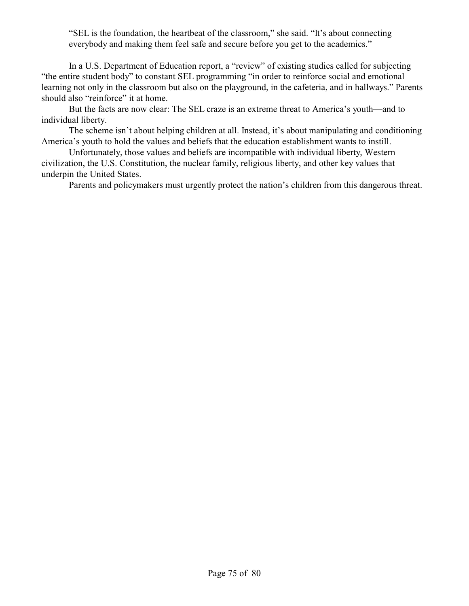"SEL is the foundation, the heartbeat of the classroom," she said. "It's about connecting everybody and making them feel safe and secure before you get to the academics."

In a U.S. Department of Education report, a "review" of existing studies called for subjecting "the entire student body" to constant SEL programming "in order to reinforce social and emotional learning not only in the classroom but also on the playground, in the cafeteria, and in hallways." Parents should also "reinforce" it at home.

But the facts are now clear: The SEL craze is an extreme threat to America's youth—and to individual liberty.

The scheme isn't about helping children at all. Instead, it's about manipulating and conditioning America's youth to hold the values and beliefs that the education establishment wants to instill.

Unfortunately, those values and beliefs are incompatible with individual liberty, Western civilization, the U.S. Constitution, the nuclear family, religious liberty, and other key values that underpin the United States.

Parents and policymakers must urgently protect the nation's children from this dangerous threat.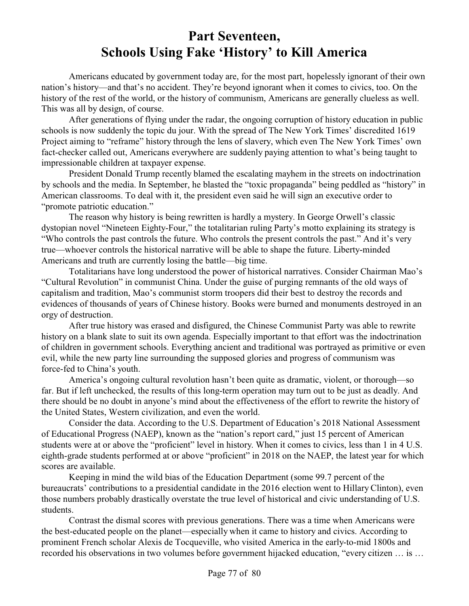# **Part Seventeen, Schools Using Fake 'History' to Kill America**

Americans educated by government today are, for the most part, hopelessly ignorant of their own nation's history—and that's no accident. They're beyond ignorant when it comes to civics, too. On the history of the rest of the world, or the history of communism, Americans are generally clueless as well. This was all by design, of course.

After generations of flying under the radar, the ongoing corruption of history education in public schools is now suddenly the topic du jour. With the spread of The New York Times' discredited 1619 Project aiming to "reframe" history through the lens of slavery, which even The New York Times' own fact-checker called out, Americans everywhere are suddenly paying attention to what's being taught to impressionable children at taxpayer expense.

President Donald Trump recently blamed the escalating mayhem in the streets on indoctrination by schools and the media. In September, he blasted the "toxic propaganda" being peddled as "history" in American classrooms. To deal with it, the president even said he will sign an executive order to "promote patriotic education."

The reason why history is being rewritten is hardly a mystery. In George Orwell's classic dystopian novel "Nineteen Eighty-Four," the totalitarian ruling Party's motto explaining its strategy is "Who controls the past controls the future. Who controls the present controls the past." And it's very true—whoever controls the historical narrative will be able to shape the future. Liberty-minded Americans and truth are currently losing the battle—big time.

Totalitarians have long understood the power of historical narratives. Consider Chairman Mao's "Cultural Revolution" in communist China. Under the guise of purging remnants of the old ways of capitalism and tradition, Mao's communist storm troopers did their best to destroy the records and evidences of thousands of years of Chinese history. Books were burned and monuments destroyed in an orgy of destruction.

After true history was erased and disfigured, the Chinese Communist Party was able to rewrite history on a blank slate to suit its own agenda. Especially important to that effort was the indoctrination of children in government schools. Everything ancient and traditional was portrayed as primitive or even evil, while the new party line surrounding the supposed glories and progress of communism was force-fed to China's youth.

America's ongoing cultural revolution hasn't been quite as dramatic, violent, or thorough—so far. But if left unchecked, the results of this long-term operation may turn out to be just as deadly. And there should be no doubt in anyone's mind about the effectiveness of the effort to rewrite the history of the United States, Western civilization, and even the world.

Consider the data. According to the U.S. Department of Education's 2018 National Assessment of Educational Progress (NAEP), known as the "nation's report card," just 15 percent of American students were at or above the "proficient" level in history. When it comes to civics, less than 1 in 4 U.S. eighth-grade students performed at or above "proficient" in 2018 on the NAEP, the latest year for which scores are available.

Keeping in mind the wild bias of the Education Department (some 99.7 percent of the bureaucrats' contributions to a presidential candidate in the 2016 election went to Hillary Clinton), even those numbers probably drastically overstate the true level of historical and civic understanding of U.S. students.

Contrast the dismal scores with previous generations. There was a time when Americans were the best-educated people on the planet—especially when it came to history and civics. According to prominent French scholar Alexis de Tocqueville, who visited America in the early-to-mid 1800s and recorded his observations in two volumes before government hijacked education, "every citizen … is …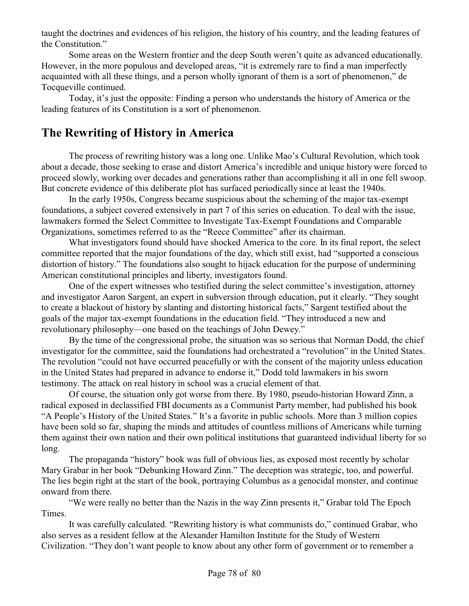taught the doctrines and evidences of his religion, the history of his country, and the leading features of the Constitution."

Some areas on the Western frontier and the deep South weren't quite as advanced educationally. However, in the more populous and developed areas, "it is extremely rare to find a man imperfectly acquainted with all these things, and a person wholly ignorant of them is a sort of phenomenon," de Tocqueville continued.

Today, it's just the opposite: Finding a person who understands the history of America or the leading features of its Constitution is a sort of phenomenon.

### **The Rewriting of History in America**

The process of rewriting history was a long one. Unlike Mao's Cultural Revolution, which took about a decade, those seeking to erase and distort America's incredible and unique history were forced to proceed slowly, working over decades and generations rather than accomplishing it all in one fell swoop. But concrete evidence of this deliberate plot has surfaced periodically since at least the 1940s.

In the early 1950s, Congress became suspicious about the scheming of the major tax-exempt foundations, a subject covered extensively in part 7 of this series on education. To deal with the issue, lawmakers formed the Select Committee to Investigate Tax-Exempt Foundations and Comparable Organizations, sometimes referred to as the "Reece Committee" after its chairman.

What investigators found should have shocked America to the core. In its final report, the select committee reported that the major foundations of the day, which still exist, had "supported a conscious distortion of history." The foundations also sought to hijack education for the purpose of undermining American constitutional principles and liberty, investigators found.

One of the expert witnesses who testified during the select committee's investigation, attorney and investigator Aaron Sargent, an expert in subversion through education, put it clearly. "They sought to create a blackout of history by slanting and distorting historical facts," Sargent testified about the goals of the major tax-exempt foundations in the education field. "They introduced a new and revolutionary philosophy—one based on the teachings of John Dewey."

By the time of the congressional probe, the situation was so serious that Norman Dodd, the chief investigator for the committee, said the foundations had orchestrated a "revolution" in the United States. The revolution "could not have occurred peacefully or with the consent of the majority unless education in the United States had prepared in advance to endorse it," Dodd told lawmakers in his sworn testimony. The attack on real history in school was a crucial element of that.

Of course, the situation only got worse from there. By 1980, pseudo-historian Howard Zinn, a radical exposed in declassified FBI documents as a Communist Party member, had published his book "A People's History of the United States." It's a favorite in public schools. More than 3 million copies have been sold so far, shaping the minds and attitudes of countless millions of Americans while turning them against their own nation and their own political institutions that guaranteed individual liberty for so long.

The propaganda "history" book was full of obvious lies, as exposed most recently by scholar Mary Grabar in her book "Debunking Howard Zinn." The deception was strategic, too, and powerful. The lies begin right at the start of the book, portraying Columbus as a genocidal monster, and continue onward from there.

"We were really no better than the Nazis in the way Zinn presents it," Grabar told The Epoch Times.

It was carefully calculated. "Rewriting history is what communists do," continued Grabar, who also serves as a resident fellow at the Alexander Hamilton Institute for the Study of Western Civilization. "They don't want people to know about any other form of government or to remember a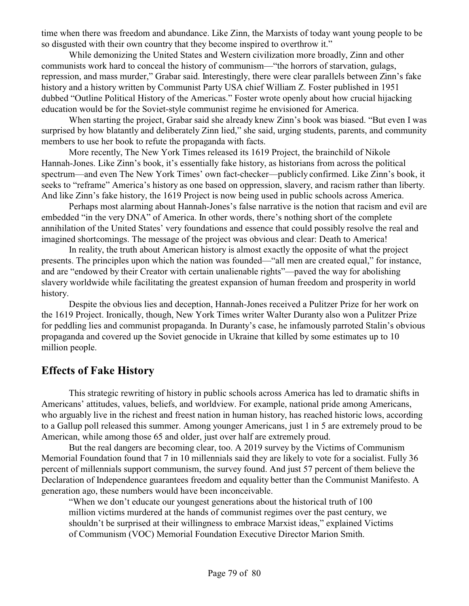time when there was freedom and abundance. Like Zinn, the Marxists of today want young people to be so disgusted with their own country that they become inspired to overthrow it."

While demonizing the United States and Western civilization more broadly, Zinn and other communists work hard to conceal the history of communism—"the horrors of starvation, gulags, repression, and mass murder," Grabar said. Interestingly, there were clear parallels between Zinn's fake history and a history written by Communist Party USA chief William Z. Foster published in 1951 dubbed "Outline Political History of the Americas." Foster wrote openly about how crucial hijacking education would be for the Soviet-style communist regime he envisioned for America.

When starting the project, Grabar said she already knew Zinn's book was biased. "But even I was surprised by how blatantly and deliberately Zinn lied," she said, urging students, parents, and community members to use her book to refute the propaganda with facts.

More recently, The New York Times released its 1619 Project, the brainchild of Nikole Hannah-Jones. Like Zinn's book, it's essentially fake history, as historians from across the political spectrum—and even The New York Times' own fact-checker—publicly confirmed. Like Zinn's book, it seeks to "reframe" America's history as one based on oppression, slavery, and racism rather than liberty. And like Zinn's fake history, the 1619 Project is now being used in public schools across America.

Perhaps most alarming about Hannah-Jones's false narrative is the notion that racism and evil are embedded "in the very DNA" of America. In other words, there's nothing short of the complete annihilation of the United States' very foundations and essence that could possibly resolve the real and imagined shortcomings. The message of the project was obvious and clear: Death to America!

In reality, the truth about American history is almost exactly the opposite of what the project presents. The principles upon which the nation was founded—"all men are created equal," for instance, and are "endowed by their Creator with certain unalienable rights"—paved the way for abolishing slavery worldwide while facilitating the greatest expansion of human freedom and prosperity in world history.

Despite the obvious lies and deception, Hannah-Jones received a Pulitzer Prize for her work on the 1619 Project. Ironically, though, New York Times writer Walter Duranty also won a Pulitzer Prize for peddling lies and communist propaganda. In Duranty's case, he infamously parroted Stalin's obvious propaganda and covered up the Soviet genocide in Ukraine that killed by some estimates up to 10 million people.

#### **Effects of Fake History**

This strategic rewriting of history in public schools across America has led to dramatic shifts in Americans' attitudes, values, beliefs, and worldview. For example, national pride among Americans, who arguably live in the richest and freest nation in human history, has reached historic lows, according to a Gallup poll released this summer. Among younger Americans, just 1 in 5 are extremely proud to be American, while among those 65 and older, just over half are extremely proud.

But the real dangers are becoming clear, too. A 2019 survey by the Victims of Communism Memorial Foundation found that 7 in 10 millennials said they are likely to vote for a socialist. Fully 36 percent of millennials support communism, the survey found. And just 57 percent of them believe the Declaration of Independence guarantees freedom and equality better than the Communist Manifesto. A generation ago, these numbers would have been inconceivable.

"When we don't educate our youngest generations about the historical truth of 100 million victims murdered at the hands of communist regimes over the past century, we shouldn't be surprised at their willingness to embrace Marxist ideas," explained Victims of Communism (VOC) Memorial Foundation Executive Director Marion Smith.